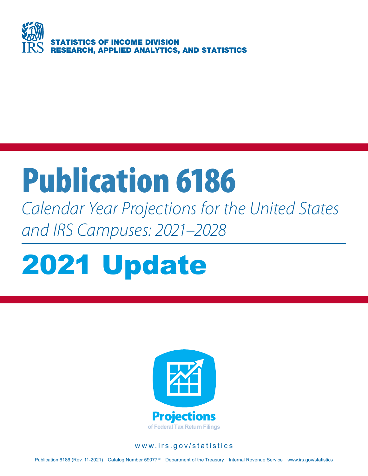

# Publication 6186

*Calendar Year Projections for the United States and IRS Campuses: 2021–2028*

# 2021 Update



#### www.irs.gov/statistics

Publication 6186 (Rev. 11-2021) Catalog Number 59077P Department of the Treasury Internal Revenue Service www.irs.gov/statistics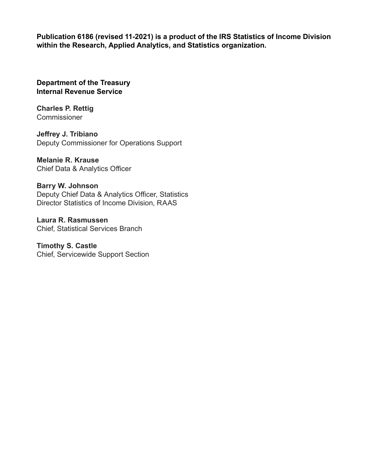**Publication 6186 (revised 11-2021) is a product of the IRS Statistics of Income Division within the Research, Applied Analytics, and Statistics organization.**

**Department of the Treasury Internal Revenue Service**

**Charles P. Rettig Commissioner** 

**Jeffrey J. Tribiano** Deputy Commissioner for Operations Support

**Melanie R. Krause**  Chief Data & Analytics Officer

**Barry W. Johnson** Deputy Chief Data & Analytics Officer, Statistics Director Statistics of Income Division, RAAS

**Laura R. Rasmussen** Chief, Statistical Services Branch

**Timothy S. Castle** Chief, Servicewide Support Section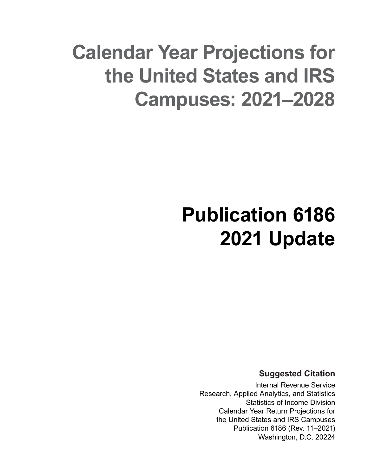## **Calendar Year Projections for the United States and IRS Campuses: 2021–2028**

## **Publication 6186 2021 Update**

**Suggested Citation**

Internal Revenue Service Research, Applied Analytics, and Statistics Statistics of Income Division Calendar Year Return Projections for the United States and IRS Campuses Publication 6186 (Rev. 11–2021) Washington, D.C. 20224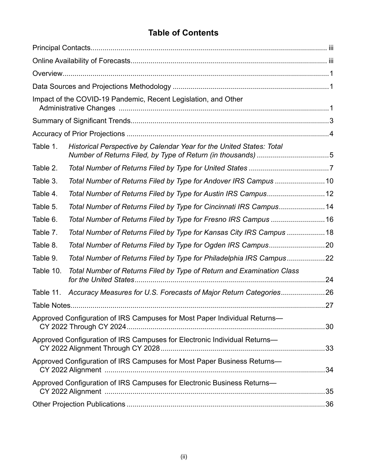## **Table of Contents**

|           | Impact of the COVID-19 Pandemic, Recent Legislation, and Other              |  |
|-----------|-----------------------------------------------------------------------------|--|
|           |                                                                             |  |
|           |                                                                             |  |
| Table 1.  | Historical Perspective by Calendar Year for the United States: Total        |  |
| Table 2.  |                                                                             |  |
| Table 3.  | Total Number of Returns Filed by Type for Andover IRS Campus 10             |  |
| Table 4.  | Total Number of Returns Filed by Type for Austin IRS Campus12               |  |
| Table 5.  | Total Number of Returns Filed by Type for Cincinnati IRS Campus14           |  |
| Table 6.  | Total Number of Returns Filed by Type for Fresno IRS Campus 16              |  |
| Table 7.  | Total Number of Returns Filed by Type for Kansas City IRS Campus 18         |  |
| Table 8.  |                                                                             |  |
| Table 9.  | Total Number of Returns Filed by Type for Philadelphia IRS Campus22         |  |
| Table 10. | Total Number of Returns Filed by Type of Return and Examination Class       |  |
|           | Table 11. Accuracy Measures for U.S. Forecasts of Major Return Categories26 |  |
|           |                                                                             |  |
|           | Approved Configuration of IRS Campuses for Most Paper Individual Returns-   |  |
|           | Approved Configuration of IRS Campuses for Electronic Individual Returns-   |  |
|           | Approved Configuration of IRS Campuses for Most Paper Business Returns-     |  |
|           | Approved Configuration of IRS Campuses for Electronic Business Returns-     |  |
|           |                                                                             |  |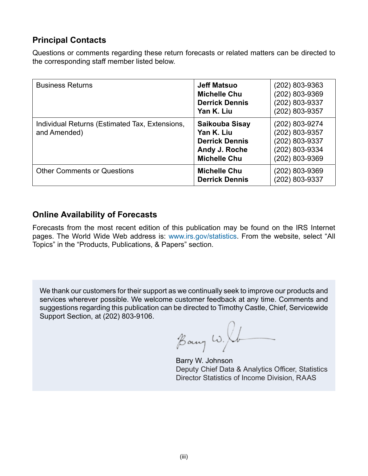## <span id="page-4-0"></span>**Principal Contacts**

Questions or comments regarding these return forecasts or related matters can be directed to the corresponding staff member listed below.

| <b>Business Returns</b>                                        | <b>Jeff Matsuo</b><br><b>Michelle Chu</b><br><b>Derrick Dennis</b><br>Yan K. Liu                     | $(202)$ 803-9363<br>(202) 803-9369<br>(202) 803-9337<br>(202) 803-9357                 |
|----------------------------------------------------------------|------------------------------------------------------------------------------------------------------|----------------------------------------------------------------------------------------|
| Individual Returns (Estimated Tax, Extensions,<br>and Amended) | <b>Saikouba Sisay</b><br>Yan K. Liu<br><b>Derrick Dennis</b><br>Andy J. Roche<br><b>Michelle Chu</b> | (202) 803-9274<br>(202) 803-9357<br>(202) 803-9337<br>(202) 803-9334<br>(202) 803-9369 |
| <b>Other Comments or Questions</b>                             | <b>Michelle Chu</b><br><b>Derrick Dennis</b>                                                         | $(202)$ 803-9369<br>(202) 803-9337                                                     |

## **Online Availability of Forecasts**

Forecasts from the most recent edition of this publication may be found on the IRS Internet pages. The World Wide Web address is: www.irs.gov/statistics. From the website, select "All Topics" in the "Products, Publications, & Papers" section.

We thank our customers for their support as we continually seek to improve our products and services wherever possible. We welcome customer feedback at any time. Comments and suggestions regarding this publication can be directed to Timothy Castle, Chief, Servicewide Support Section, at (202) 803-9106.

Bany w. Ib

Barry W. Johnson Deputy Chief Data & Analytics Officer, Statistics Director Statistics of Income Division, RAAS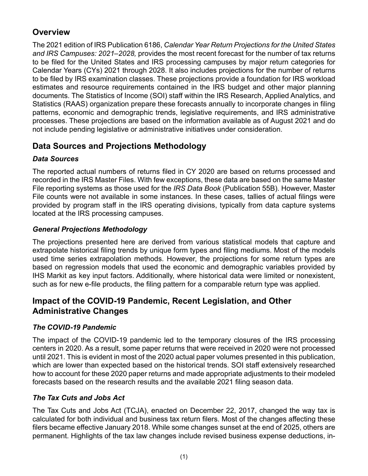## <span id="page-5-0"></span>**Overview**

The 2021 edition of IRS Publication 6186, *Calendar Year Return Projections for the United States and IRS Campuses: 2021–2028,* provides the most recent forecast for the number of tax returns to be filed for the United States and IRS processing campuses by major return categories for Calendar Years (CYs) 2021 through 2028. It also includes projections for the number of returns to be filed by IRS examination classes. These projections provide a foundation for IRS workload estimates and resource requirements contained in the IRS budget and other major planning documents. The Statistics of Income (SOI) staff within the IRS Research, Applied Analytics, and Statistics (RAAS) organization prepare these forecasts annually to incorporate changes in filing patterns, economic and demographic trends, legislative requirements, and IRS administrative processes. These projections are based on the information available as of August 2021 and do not include pending legislative or administrative initiatives under consideration.

## **Data Sources and Projections Methodology**

## *Data Sources*

The reported actual numbers of returns filed in CY 2020 are based on returns processed and recorded in the IRS Master Files. With few exceptions, these data are based on the same Master File reporting systems as those used for the *IRS Data Book* (Publication 55B). However, Master File counts were not available in some instances. In these cases, tallies of actual filings were provided by program staff in the IRS operating divisions, typically from data capture systems located at the IRS processing campuses.

## *General Projections Methodology*

The projections presented here are derived from various statistical models that capture and extrapolate historical filing trends by unique form types and filing mediums. Most of the models used time series extrapolation methods. However, the projections for some return types are based on regression models that used the economic and demographic variables provided by IHS Markit as key input factors. Additionally, where historical data were limited or nonexistent, such as for new e-file products, the filing pattern for a comparable return type was applied.

## **Impact of the COVID-19 Pandemic, Recent Legislation, and Other Administrative Changes**

## *The COVID-19 Pandemic*

The impact of the COVID-19 pandemic led to the temporary closures of the IRS processing centers in 2020. As a result, some paper returns that were received in 2020 were not processed until 2021. This is evident in most of the 2020 actual paper volumes presented in this publication, which are lower than expected based on the historical trends. SOI staff extensively researched how to account for these 2020 paper returns and made appropriate adjustments to their modeled forecasts based on the research results and the available 2021 filing season data.

## *The Tax Cuts and Jobs Act*

The Tax Cuts and Jobs Act (TCJA), enacted on December 22, 2017, changed the way tax is calculated for both individual and business tax return filers. Most of the changes affecting these filers became effective January 2018. While some changes sunset at the end of 2025, others are permanent. Highlights of the tax law changes include revised business expense deductions, in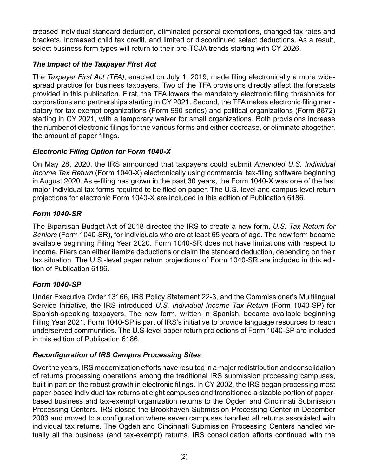creased individual standard deduction, eliminated personal exemptions, changed tax rates and brackets, increased child tax credit, and limited or discontinued select deductions. As a result, select business form types will return to their pre-TCJA trends starting with CY 2026.

## *The Impact of the Taxpayer First Act*

The *Taxpayer First Act (TFA)*, enacted on July 1, 2019, made filing electronically a more widespread practice for business taxpayers. Two of the TFA provisions directly affect the forecasts provided in this publication. First, the TFA lowers the mandatory electronic filing thresholds for corporations and partnerships starting in CY 2021. Second, the TFA makes electronic filing mandatory for tax-exempt organizations (Form 990 series) and political organizations (Form 8872) starting in CY 2021, with a temporary waiver for small organizations. Both provisions increase the number of electronic filings for the various forms and either decrease, or eliminate altogether, the amount of paper filings.

## *Electronic Filing Option for Form 1040-X*

On May 28, 2020, the IRS announced that taxpayers could submit *Amended U.S. Individual Income Tax Return* (Form 1040-X) electronically using commercial tax-filing software beginning in August 2020. As e-filing has grown in the past 30 years, the Form 1040-X was one of the last major individual tax forms required to be filed on paper. The U.S.-level and campus-level return projections for electronic Form 1040-X are included in this edition of Publication 6186.

## *Form 1040-SR*

The Bipartisan Budget Act of 2018 directed the IRS to create a new form, *U.S. Tax Return for Seniors* (Form 1040-SR), for individuals who are at least 65 years of age. The new form became available beginning Filing Year 2020. Form 1040-SR does not have limitations with respect to income. Filers can either itemize deductions or claim the standard deduction, depending on their tax situation. The U.S.-level paper return projections of Form 1040-SR are included in this edition of Publication 6186.

## *Form 1040-SP*

Under Executive Order 13166, IRS Policy Statement 22-3, and the Commissioner's Multilingual Service Initiative, the IRS introduced *U.S. Individual Income Tax Return* (Form 1040-SP) for Spanish-speaking taxpayers. The new form, written in Spanish, became available beginning Filing Year 2021. Form 1040-SP is part of IRS's initiative to provide language resources to reach underserved communities. The U.S-level paper return projections of Form 1040-SP are included in this edition of Publication 6186.

## *Reconfiguration of IRS Campus Processing Sites*

Over the years, IRS modernization efforts have resulted in a major redistribution and consolidation of returns processing operations among the traditional IRS submission processing campuses, built in part on the robust growth in electronic filings. In CY 2002, the IRS began processing most paper-based individual tax returns at eight campuses and transitioned a sizable portion of paperbased business and tax-exempt organization returns to the Ogden and Cincinnati Submission Processing Centers. IRS closed the Brookhaven Submission Processing Center in December 2003 and moved to a configuration where seven campuses handled all returns associated with individual tax returns. The Ogden and Cincinnati Submission Processing Centers handled virtually all the business (and tax-exempt) returns. IRS consolidation efforts continued with the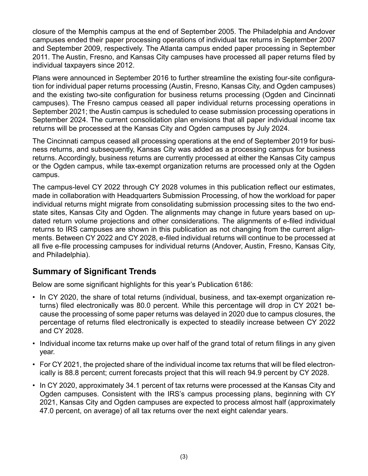<span id="page-7-0"></span>closure of the Memphis campus at the end of September 2005. The Philadelphia and Andover campuses ended their paper processing operations of individual tax returns in September 2007 and September 2009, respectively. The Atlanta campus ended paper processing in September 2011. The Austin, Fresno, and Kansas City campuses have processed all paper returns filed by individual taxpayers since 2012.

Plans were announced in September 2016 to further streamline the existing four-site configuration for individual paper returns processing (Austin, Fresno, Kansas City, and Ogden campuses) and the existing two-site configuration for business returns processing (Ogden and Cincinnati campuses). The Fresno campus ceased all paper individual returns processing operations in September 2021; the Austin campus is scheduled to cease submission processing operations in September 2024. The current consolidation plan envisions that all paper individual income tax returns will be processed at the Kansas City and Ogden campuses by July 2024.

The Cincinnati campus ceased all processing operations at the end of September 2019 for business returns, and subsequently, Kansas City was added as a processing campus for business returns. Accordingly, business returns are currently processed at either the Kansas City campus or the Ogden campus, while tax-exempt organization returns are processed only at the Ogden campus.

The campus-level CY 2022 through CY 2028 volumes in this publication reflect our estimates, made in collaboration with Headquarters Submission Processing, of how the workload for paper individual returns might migrate from consolidating submission processing sites to the two endstate sites, Kansas City and Ogden. The alignments may change in future years based on updated return volume projections and other considerations. The alignments of e-filed individual returns to IRS campuses are shown in this publication as not changing from the current alignments. Between CY 2022 and CY 2028, e-filed individual returns will continue to be processed at all five e-file processing campuses for individual returns (Andover, Austin, Fresno, Kansas City, and Philadelphia).

## **Summary of Significant Trends**

Below are some significant highlights for this year's Publication 6186:

- In CY 2020, the share of total returns (individual, business, and tax-exempt organization returns) filed electronically was 80.0 percent. While this percentage will drop in CY 2021 because the processing of some paper returns was delayed in 2020 due to campus closures, the percentage of returns filed electronically is expected to steadily increase between CY 2022 and CY 2028.
- Individual income tax returns make up over half of the grand total of return filings in any given year.
- For CY 2021, the projected share of the individual income tax returns that will be filed electronically is 88.8 percent; current forecasts project that this will reach 94.9 percent by CY 2028.
- In CY 2020, approximately 34.1 percent of tax returns were processed at the Kansas City and Ogden campuses. Consistent with the IRS's campus processing plans, beginning with CY 2021, Kansas City and Ogden campuses are expected to process almost half (approximately 47.0 percent, on average) of all tax returns over the next eight calendar years.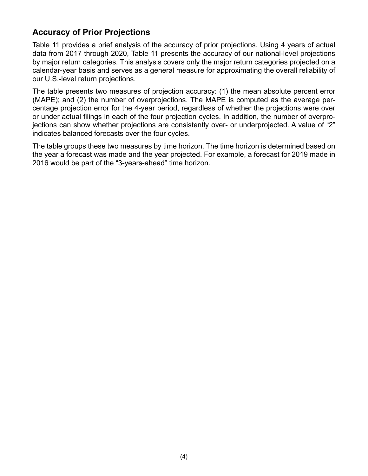## <span id="page-8-0"></span>**Accuracy of Prior Projections**

Table 11 provides a brief analysis of the accuracy of prior projections. Using 4 years of actual data from 2017 through 2020, Table 11 presents the accuracy of our national-level projections by major return categories. This analysis covers only the major return categories projected on a calendar-year basis and serves as a general measure for approximating the overall reliability of our U.S.-level return projections.

The table presents two measures of projection accuracy: (1) the mean absolute percent error (MAPE); and (2) the number of overprojections. The MAPE is computed as the average percentage projection error for the 4-year period, regardless of whether the projections were over or under actual filings in each of the four projection cycles. In addition, the number of overprojections can show whether projections are consistently over- or underprojected. A value of "2" indicates balanced forecasts over the four cycles.

The table groups these two measures by time horizon. The time horizon is determined based on the year a forecast was made and the year projected. For example, a forecast for 2019 made in 2016 would be part of the "3-years-ahead" time horizon.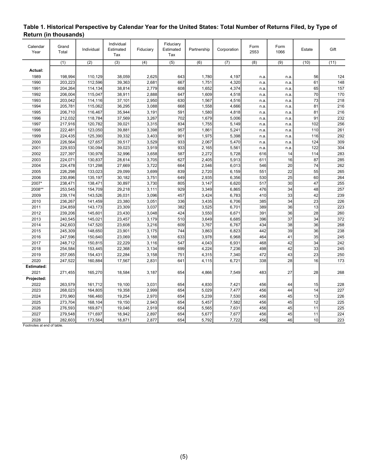| Calendar<br>Year | Grand<br>Total   | Individual | Individual<br>Estimated<br>Tax | Fiduciary        | Fiduciary<br>Estimated<br>Tax | Partnership | Corporation      | Form<br>2553 | Form<br>1066 | Estate          | Gift |
|------------------|------------------|------------|--------------------------------|------------------|-------------------------------|-------------|------------------|--------------|--------------|-----------------|------|
|                  | $\overline{(1)}$ | (2)        | (3)                            | $\overline{(4)}$ | $\overline{(5)}$              | (6)         | $\overline{(7)}$ | (8)          | (9)          | (10)            | (11) |
| Actual:          |                  |            |                                |                  |                               |             |                  |              |              |                 |      |
| 1989             | 198,994          | 110,129    | 38,059                         | 2,625            | 643                           | 1,780       | 4,197            | n.a.         | n.a.         | 56              | 124  |
| 1990             | 203,223          | 112,596    | 39,363                         | 2,681            | 667                           | 1,751       | 4,320            | n.a.         | n.a.         | 61              | 148  |
| 1991             | 204,264          | 114,134    | 38,814                         | 2,779            | 608                           | 1,652       | 4,374            | n.a.         | n.a.         | 65              | 157  |
| 1992             | 206,004          | 115,047    | 38,911                         | 2,888            | 647                           | 1,609       | 4,518            | n.a.         | n.a.         | 70              | 170  |
| 1993             | 203,042          | 114,116    | 37,101                         | 2,950            | 630                           | 1,567       | 4,516            | n.a.         | n.a.         | 73              | 218  |
| 1994             | 205,781          | 115,062    | 36,295                         | 3,088            | 668                           | 1,558       | 4,666            | n.a.         | n.a.         | 81              | 216  |
| 1995             | 206,710          | 116,467    | 35,944                         | 3,191            | 591                           | 1,580       | 4,818            | n.a.         | n.a.         | 81              | 216  |
| 1996             | 212,032          | 118,784    | 37,569                         | 3,267            | 702                           | 1,679       | 5,006            | n.a.         | n.a.         | 91              | 232  |
| 1997             | 217,916          | 120,782    | 39,021                         | 3,315            | 834                           | 1,755       | 5,149            | n.a.         | n.a.         | 102             | 256  |
| 1998             | 222,481          | 123,050    | 39,881                         | 3,398            | 957                           | 1,861       | 5,241            | n.a.         | n.a.         | 110             | 261  |
| 1999             | 224,435          | 125,390    | 39,332                         | 3,403            | 901                           | 1,975       | 5,398            | n.a.         | n.a.         | 116             | 292  |
| 2000             | 226,564          | 127,657    | 39,517                         | 3,529            | 933                           | 2,067       | 5,470            | n.a.         | n.a.         | 124             | 309  |
| 2001             | 229,933          | 130,094    | 39,023                         | 3,919            | 933                           | 2,165       | 5,561            | n.a.         | n.a.         | 122             | 304  |
| 2002             | 227,397          | 130,978    | 32,996                         | 3,658            | 587                           | 2,272       | 5,728            | 616          | 14           | 114             | 283  |
| 2003             | 224,071          | 130,837    | 28,614                         | 3,705            | 627                           | 2,405       | 5,913            | 611          | 16           | 87              | 285  |
| 2004             | 224,478          | 131,298    | 27,669                         | 3,722            | 664                           | 2,546       | 6,013            | 546          | 20           | 74              | 262  |
| 2005             | 226,298          | 133,023    | 29,099                         | 3,699            | 839                           | 2,720       | 6,159            | 551          | 22           | 55              | 265  |
| 2006             | 230,896          | 135,197    | 30,182                         | 3,751            | 649                           | 2,935       | 6,356            | 530          | 25           | 60              | 264  |
| 2007*            | 238,471          | 138,471    | 30,897                         | 3,730            | 805                           | 3,147       | 6,620            | 517          | 30           | 47              | 255  |
| 2008**           | 253,545          | 154,709    | 29,218                         | 3,111            | 929                           | 3,349       | 6,865            | 476          | 34           | 48              | 257  |
| 2009             | 239,174          | 143,526    | 26,031                         | 3,096            | 457                           | 3,424       | 6,783            | 410          | 33           | 42              | 239  |
| 2010             | 236,267          | 141,459    | 23,380                         | 3,051            | 336                           | 3,435       | 6,706            | 385          | 34           | 23              | 226  |
| 2011             | 234,859          | 143,173    | 23,309                         | 3,037            | 382                           | 3,525       | 6,701            | 389          | 36           | 13              | 223  |
| 2012             | 239,206          | 145,601    | 23,430                         | 3,048            | 424                           | 3,550       | 6,671            | 391          | 36           | 28              | 260  |
| 2013             | 240,545          | 145,021    | 23,457                         | 3,179            | 510                           | 3,649       | 6,685            | 396          | 37           | 34              | 372  |
| 2014             | 242,603          | 147,520    | 23,608                         | 3,216            | 609                           | 3,767       | 6,767            | 434          | 38           | 36              | 268  |
| 2015             | 245,309          | 148,650    | 23,901                         | 3,175            | 744                           | 3,863       | 6,823            | 442          | 39           | 36              | 238  |
| 2016             | 247,596          | 150,640    | 23,069                         | 3,188            | 633                           | 3,978       | 6,968            | 464          | 41           | 35              | 245  |
| 2017             | 248,712          | 150,815    | 22,229                         | 3,116            | 547                           | 4,043       | 6,931            | 468          | 42           | 34              | 242  |
| 2018             | 254,584          | 153,445    | 22,368                         | 3,134            | 699                           | 4,224       | 7,236            | 498          | 42           | 33              | 245  |
| 2019             | 257,065          | 154,431    | 22,284                         | 3,158            | 751                           | 4,315       | 7,340            | 472          | 43           | 23              | 250  |
| 2020             | 247,522          | 160,884    | 17,567                         | 2,831            | 641                           | 4,115       | 6,721            | 338          | 28           | 16              | 173  |
| Estimated:       |                  |            |                                |                  |                               |             |                  |              |              |                 |      |
| 2021             | 271,455          | 165,270    | 18,584                         | 3,187            | 654                           | 4,866       | 7,549            | 483          | 27           | 28              | 268  |
| Projected:       |                  |            |                                |                  |                               |             |                  |              |              |                 |      |
| 2022             | 263,579          | 161,712    | 19,100                         | 3,031            | 654                           | 4,830       | 7,421            | 456          | 44           | 15              | 228  |
| 2023             | 268,023          | 164,805    | 19,358                         | 2,999            | 654                           | 5,029       | 7,477            | 456          | 44           | 14              | 227  |
| 2024             | 270,960          | 166,460    | 19,254                         | 2,970            | 654                           | 5,239       | 7,530            | 456          | 45           | 13              | 226  |
| 2025             | 273,704          | 168,104    | 19,150                         | 2,943            | 654                           | 5,457       | 7,582            | 456          | 45           | 12              | 225  |
| 2026             | 276,593          | 169,871    | 19,046                         | 2,919            | 654                           | 5,565       | 7,631            | 456          | 45           | 11              | 225  |
| 2027             | 279,548          | 171,697    | 18,942                         | 2,897            | 654                           | 5,677       | 7,677            | 456          | 45           | 11              | 224  |
| 2028             | 282,603          | 173,564    | 18,871                         | 2,877            | 654                           | 5,792       | 7,722            | 456          | 46           | 10 <sup>1</sup> | 223  |
|                  |                  |            |                                |                  |                               |             |                  |              |              |                 |      |

#### <span id="page-9-0"></span>**Table 1. Historical Perspective by Calendar Year for the United States: Total Number of Returns Filed, by Type of Return (in thousands)**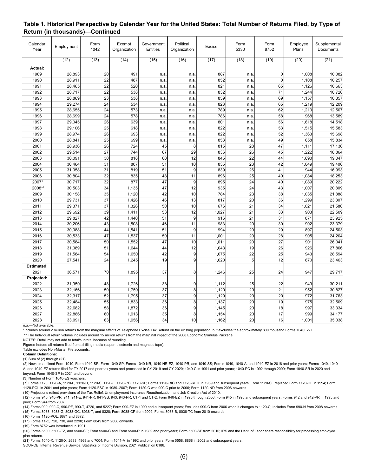| Calendar<br>Year  | Employment | Form<br>1042    | Exempt<br>Organization | Government<br>Entities | Political<br>Organization | <b>Excise</b> | Form<br>5330    | Form<br>8752   | Employee<br>Plans | Supplemental<br>Documents |
|-------------------|------------|-----------------|------------------------|------------------------|---------------------------|---------------|-----------------|----------------|-------------------|---------------------------|
|                   | (12)       | (13)            | (14)                   | (15)                   | (16)                      | (17)          | (18)            | (19)           | (20)              | (21)                      |
| Actual:           |            |                 |                        |                        |                           |               |                 |                |                   |                           |
| 1989              | 28,893     | 20              | 491                    | n.a                    | n.a.                      | 887           | n.a             | $\overline{0}$ | 1,008             | 10,082                    |
| 1990              | 28,911     | 22              | 487                    | n.a                    | n.a.                      | 852           | n.a             | $\mathbf 0$    | 1,108             | 10,257                    |
| 1991              | 28,465     | 22              | 520                    | n.a                    | n.a.                      | 821           | n.a.            | 65             | 1,126             | 10,663                    |
| 1992              | 28,717     | 22              | 538                    | n.a                    | n.a.                      | 832           | n.a             | 71             | 1,244             | 10,720                    |
| 1993              | 28,869     | 23              | 538                    | n.a                    | n.a.                      | 859           | n.a.            | 69             | 1,157             | 10,357                    |
| 1994              | 29,274     | $\overline{24}$ | 534                    | n.a                    | n.a                       | 823           | n.a.            | 65             | 1,219             | 12,209                    |
| 1995              | 28,655     | 24              | 573                    | n.a                    | n.a.                      | 789           | n.a.            | 62             | 1,213             | 12,507                    |
| 1996              | 28,699     | $\overline{24}$ | 578                    | n.a                    | n.a.                      | 786           | n.a.            | 58             | 968               | 13,589                    |
| 1997              | 29,045     | 26              | 639                    | n.a                    | n.a.                      | 801           | n.a.            | 56             | 1,618             | 14,518                    |
| 1998              | 29,106     | 25              | 618                    | n.a                    | n.a.                      | 822           | n.a.            | 53             | 1,515             | 15,583                    |
| 1999              | 28,974     | 26              | 693                    | n.a                    | n.a                       | 822           | n.a             | 52             | 1,363             | 15,698                    |
| 2000              | 28,841     | 25              | 699                    | n.a                    | n.a.                      | 853           | n.a.            | 49             | 658               | 15,834                    |
| 2001              | 28,936     | 26              | 724                    | 45                     | 8                         | 815           | 28              | 47             | 1,111             | 17,136                    |
| 2002              | 29,514     | 27              | 744                    | 67                     | 29                        | 836           | 26              | 45             | 1,222             | 18,864                    |
| 2003              | 30,091     | 30              | 818                    | 60                     | 12                        | 845           | $\overline{22}$ | 44             | 1,690             | 19,047                    |
| 2004              | 30,464     | 31              | 807                    | 51                     | 10                        | 835           | 23              | 42             | 1,049             | 19,400                    |
| 2005              | 31,058     | 31              | 819                    | 51                     | 9                         | 839           | 26              | 41             | 944               | 16,993                    |
| 2006              | 30,804     | 32              | 835                    | 48                     | 11                        | 896           | 25              | 40             | 1,084             | 18,253                    |
| 2007*             | 30,717     | 32              | 877                    | 47                     | 9                         | 895           | $\overline{24}$ | 40             | 1,089             | 20,222                    |
| 2008**            | 30,503     | 34              | 1,135                  | 47                     | 12                        | 935           | 24              | 43             | 1,007             | 20,809                    |
| 2009              | 30,158     | 35              | 1,120                  | 42                     | 10                        | 784           | 23              | 38             | 1,035             | 21,888                    |
| 2010              | 29,731     | 37              | 1,426                  | 46                     | 13                        | 817           | 20              | 36             | 1,299             | 23,807                    |
| 2011              | 29,371     | 37              | 1,326                  | 50                     | 10                        | 676           | 21              | 34             | 1,021             | 21,580                    |
| 2012              | 29,692     | 39              | 1,411                  | 53                     | 12                        | 1,027         | 21              | 33             | 903               | 22,509                    |
| 2013              | 29,827     | 42              | 1,440                  | 51                     | 9                         | 916           | 21              | 31             | 871               | 23,925                    |
| 2014              | 30,206     | 43              | 1,508                  | 46                     | 11                        | 983           | 20              | 30             | 902               | 23,379                    |
| 2015              | 30,088     | 44              | 1,541                  | 51                     | 9                         | 994           | 20              | 29             | 897               | 24,503                    |
| 2016              | 30,533     | 47              | 1,537                  | 50                     | 11                        | 1,001         | 20              | 28             | 905               | 24,204                    |
| 2017              | 30,584     | 50              | 1,552                  | 47                     | 10                        | 1,011         | $\overline{20}$ | 27             | 901               | 26,041                    |
| 2018              | 31,089     | 51              | 1,644                  | 44                     | 12                        | 1,043         | 19              | 26             | 926               | 27,806                    |
| 2019              | 31,584     | 54              | 1,650                  | 42                     | 9                         | 1,075         | 22              | 25             | 943               | 28,594                    |
| 2020              | 27,541     | 24              | 1,245                  | 19                     | 9                         | 1,020         | 5               | 12             | 870               | 23,463                    |
| <b>Estimated:</b> |            |                 |                        |                        |                           |               |                 |                |                   |                           |
| 2021              | 36,571     | 70              | 1,895                  | 37                     | 8                         | 1,246         | 25              | 24             | 947               | 29,717                    |
| Projected:        |            |                 |                        |                        |                           |               |                 |                |                   |                           |
| 2022              | 31,950     | 48              | 1,726                  | 38                     | $\overline{9}$            | 1,112         | 25              | 22             | 949               | 30,211                    |
| 2023              | 32,166     | 50              | 1,759                  | 37                     | $\overline{\mathbf{8}}$   | 1,120         | 20              | 21             | 952               | 30,827                    |
| 2024              | 32,317     | 52              | 1,795                  | 37                     | 9                         | 1,129         | $\overline{20}$ | 20             | 972               | 31,763                    |
| 2025              | 32,484     | 55              | 1,833                  | 36                     | 8                         | 1,137         | 20              | 19             | 975               | 32,509                    |
| 2026              | 32,682     | 58              | 1,872                  | 36                     | 9                         | 1,145         | 20              | 18             | 997               | 33,334                    |
| 2027              | 32,886     | 60              | 1,913                  | $\overline{35}$        | 8                         | 1,154         | 20              | 17             | 999               | 34,177                    |
| 2028              | 33,091     | 63              | 1,956                  | 34                     | 10 <sup>1</sup>           | 1,162         | $\overline{20}$ | 16             | 1,001             | 35,038                    |

#### **Table 1. Historical Perspective by Calendar Year for the United States: Total Number of Returns Filed, by Type of Return (in thousands)—Continued**

n.a.—Not available.

\*Includes around 2 million returns from the marginal effects of Telephone Excise Tax Refund on the existing population, but excludes the approximately 800 thousand Forms 1040EZ-T.

\*\* The Individual return volume includes around 15 million returns from the marginal impact of the 2008 Economic Stimulus Package.

NOTES: Detail may not add to total/subtotal because of rounding.

Figures include all returns filed from all filing media (paper, electronic and magnetic tape).

Table excludes Non-Master File accounts.

#### **Column Definitions:**

(1) Sum of (2) through (21).

(2) New streamlined Form 1040, Form 1040-SR, Form 1040-SP, Forms 1040-NR, 1040-NR-EZ, 1040-PR, and 1040-SS; Forms 1040, 1040-A, and 1040-EZ in 2018 and prior years; Forms 1040, 1040- A, and 1040-EZ returns filed for TY 2017 and prior tax years and processed in CY 2019 and CY 2020; 1040-C in 1991 and prior years; 1040-PC in 1992 through 2000; Form 1040-SR in 2020 and beyond; Form 1040-SP in 2021 and beyond.

(3) Number of Form 1040-ES vouchers.

(7) Forms 1120, 1120-A, 1120-F, 1120-H, 1120-S, 1120-L, 1120-PC, 1120-SF; Forms 1120-RIC and 1120-REIT in 1989 and subsequent years; Form 1120-SF replaced Form 1120-DF in 1994; Form 1120-POL in 2001 and prior years; Form 1120-FSC in 1989–2007; Form 1120-C was 990-C prior to 2006; Form 1120-ND from 2006 onwards.

(10) Projections reflect provisions of the Tax Relief, Unemployment Insurance Reauthorization, and Job Creation Act of 2010.

(12) Forms 940, 940-PR, 941, 941-E, 941-PR, 941-SS, 943, 943-PR, CT-1 and CT-2; Form 940-EZ in 1990 through 2006; Form 945 in 1995 and subsequent years; Forms 942 and 942-PR in 1995 and prior; Form 944 from 2007.

(14) Forms 990, 990-C, 990-PF, 990-T, 4720, and 5227; Form 990-EZ in 1990 and subsequent years; Excludes 990-C from 2006 when it changes to 1120-C; Includes Form 990-N from 2008 onwards. (15) Forms 8038, 8038-G, 8038-GC, 8038-T, and 8328; Form 8038-CP from 2009; Forms 8038-B, 8038-TC from 2010 onwards.

(16) Forms 1120-POL, 8871 and 8872.

(17) Forms 11-C, 720, 730, and 2290; Form 8849 from 2008 onwards.

(19) Form 8752 was introduced in 1991.

(20) Forms 5500, 5500-EZ, and 5500-SF; Form 5500-C and Form 5500-R in 1989 and prior years; Form 5500-SF from 2010; IRS and the Dept. of Labor share responsibility for processing employee plan returns.

(21) Forms 1040-X, 1120-X, 2688, 4868 and 7004; Form 1041-A in 1992 and prior years. Form 5558, 8868 in 2002 and subsequent years.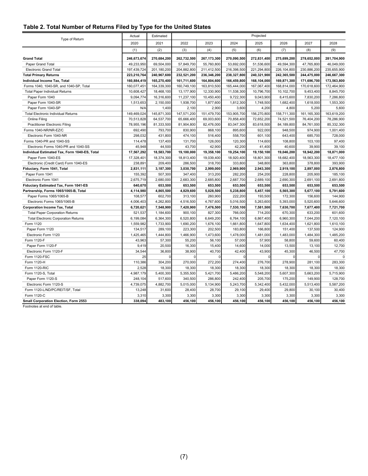#### <span id="page-11-0"></span>**Table 2. Total Number of Returns Filed by Type for the United States**

|                                               | Actual      | Projected<br>Estimated |             |             |             |             |             |               |             |
|-----------------------------------------------|-------------|------------------------|-------------|-------------|-------------|-------------|-------------|---------------|-------------|
| Type of Return                                |             |                        |             |             |             |             |             |               |             |
|                                               | 2020        | 2021                   | 2022        | 2023        | 2024        | 2025        | 2026        | 2027          | 2028        |
|                                               | (1)         | (2)                    | (3)         | (4)         | (5)         | (6)         | (7)         | (8)           | (9)         |
| <b>Grand Total</b>                            | 246,673,674 | 270,684,200            | 262,732,500 | 267,173,300 | 270,090,500 | 272,831,400 | 275,699,200 | 278,652,000   | 281,704,900 |
| Paper Grand Total                             | 49,233,950  | 69,504,000             | 57,849,700  | 55,760,800  | 53,692,000  | 51,536,600  | 49,594,300  | 47,765,800    | 46,049,000  |
| <b>Electronic Grand Total</b>                 | 197,439,724 | 201,180,200            | 204,882,800 | 211,412,500 | 216,398,500 | 221,294,800 | 226,104,800 | 230,886,200   | 235,655,900 |
| <b>Total Primary Returns</b>                  | 223,210,764 | 240,967,600            | 232,521,200 | 236,346,200 | 238,327,800 | 240,321,900 | 242,365,500 | 244,475,000   | 246,667,300 |
| Individual Income Tax, Total                  | 160,884,419 | 165,270,400            | 161,711,600 | 164,804,600 | 166,459,800 | 168,104,000 | 169,871,300 | 171,696,700   | 173,563,800 |
| Forms 1040, 1040-SR, and 1040-SP, Total       | 160,077,45  | 164,339,300            | 160,749,100 | 163,810,500 | 165,444,000 | 167,067,400 | 168,814,000 | 170,618,600   | 172,464,900 |
| <b>Total Paper Individual Returns</b>         | 10,608,427  | 18,468,100             | 13,177,900  | 12,330,900  | 11,538,300  | 10,796,700  | 10,102,700  | 9,453,400     | 8,845,700   |
| Paper Form 1040                               | 9,094,774   | 16,316,600             | 11,237,100  | 10,450,400  | 9,722,300   | 9,043,900   | 8,415,600   | 7,830,200     | 7,286,800   |
| Paper Form 1040-SR                            | 1,513,653   | 2,150,000              | 1,938,700   | 1,877,600   | 1,812,300   | 1,748,500   | 1,682,400   | 1,618,000     | 1,553,300   |
| Paper Form 1040-SP                            | N/A         | 1,400                  | 2,100       | 2,900       | 3,600       | 4,200       | 4,800       | 5,200         | 5,600       |
| <b>Total Electronic Individual Returns</b>    | 149,469,024 | 145,871,300            | 147,571,200 | 151,479,700 | 153,905,700 | 156,270,800 | 158,711,300 | 161, 165, 300 | 163,619,200 |
| Online Filing                                 | 70,513,828  | 64,537,700             | 65,666,400  | 69,003,600  | 70,858,400  | 72,652,200  | 74,521,500  | 76,404,200    | 78,286,900  |
| Practitioner Electronic Filing                | 78,955,196  | 81,333,500             | 81,904,800  | 82,476,000  | 83,047,300  | 83,618,500  | 84,189,800  | 84,761,000    | 85,332,300  |
| Forms 1040-NR/NR-EZ/C                         | 692,490     | 793,700                | 830,900     | 868,100     | 895,600     | 922,000     | 948,500     | 974,900       | 1,001,400   |
| Electronic Form 1040-NR                       | 298,032     | 431,800                | 474,100     | 516,400     | 558,700     | 601,100     | 643,400     | 685,700       | 728,000     |
| Forms 1040-PR and 1040-SS                     | 114,478     | 137,400                | 131,700     | 126,000     | 120,300     | 114,600     | 108,800     | 103,100       | 97,400      |
| Electronic Forms 1040-PR and 1040-SS          | 45,948      | 44,500                 | 43,700      | 42,900      | 42,200      | 41,400      | 40,600      | 39,900        | 39,100      |
| Individual Estimated Tax, Form 1040-ES, Total | 17,567,292  | 18,583,700             | 19,100,000  | 19,358,100  | 19,254,100  | 19,150,100  | 19,046,200  | 18,942,200    | 18,871,000  |
| Paper Form 1040-ES                            | 17,328,40   | 18,374,300             | 18,813,400  | 19,039,400  | 18,920,400  | 18,801,300  | 18,682,400  | 18,563,300    | 18,477,100  |
| Electronic (Credit Card) Form 1040-ES         | 238,891     | 209,400                | 286,500     | 318,700     | 333,800     | 348,800     | 363,800     | 378,800       | 393,900     |
| Fiduciary, Form 1041, Total                   | 2,831,111   | 3,187,300              | 3,030,700   | 2,999,000   | 2,969,900   | 2,943,300   | 2,919,100   | 2,897,000     | 2,876,800   |
| Paper Form 1041                               | 155,392     | 507,300                | 347,400     | 313,200     | 282,200     | 254,200     | 228,800     | 205,900       | 185,100     |
| Electronic Form 1041                          | 2,675,719   | 2,680,000              | 2,683,300   | 2,685,800   | 2,687,700   | 2,689,100   | 2,690,300   | 2,691,100     | 2,691,800   |
| Fiduciary Estimated Tax, Form 1041-ES         | 640,670     | 653,500                | 653,500     | 653,500     | 653,500     | 653,500     | 653,500     | 653,500       | 653,500     |
| Partnership, Forms 1065/1065-B, Total         | 4,114,980   | 4,865,500              | 4,829,600   | 5,028,500   | 5,238,800   | 5,457,100   | 5,565,300   | 5,677,100     | 5,791,600   |
| Paper Forms 1065/1065-B                       | 108,577     | 602,700                | 313,100     | 260,900     | 222,200     | 193,500     | 172,300     | 156,600       | 144,900     |
| Electronic Forms 1065/1065-B                  | 4,006,403   | 4,262,800              | 4,516,500   | 4,767,600   | 5,016,500   | 5,263,600   | 5,393,000   | 5,520,600     | 5,646,600   |
| <b>Corporation Income Tax, Total</b>          | 6,720,621   | 7,548,900              | 7,420,900   | 7,476,500   | 7,530,100   | 7,581,500   | 7,630,700   | 7,677,400     | 7,721,700   |
| <b>Total Paper Corporation Returns</b>        | 521,537     | 1,184,600              | 900,100     | 827,300     | 766,000     | 714,200     | 670,300     | 633,200       | 601,600     |
| <b>Total Electronic Corporation Returns</b>   | 6,199,084   | 6,364,300              | 6,520,800   | 6,649,200   | 6,764,100   | 6,867,400   | 6,960,300   | 7,044,200     | 7,120,100   |
| Form 1120                                     | 1,559,982   | 1,733,900              | 1,690,200   | 1,676,100   | 1,661,800   | 1,647,800   | 1,634,400   | 1,621,800     | 1,610,100   |
| Paper Form 1120                               | 134,517     | 289,100                | 223,300     | 202,500     | 183,800     | 166,800     | 151,400     | 137,500       | 124,900     |
| Electronic Form 1120                          | 1,425,465   | 1,444,800              | 1,466,900   | 1,473,600   | 1,478,000   | 1,481,000   | 1,483,000   | 1,484,300     | 1,485,200   |
| Form 1120-F                                   | 43,963      | 57,300                 | 55,200      | 56,100      | 57,000      | 57,900      | 58,800      | 59,600        | 60,400      |
| Paper Form 1120-F                             | 9,419       | 20,500                 | 16,300      | 15,400      | 14,600      | 14,000      | 13,500      | 13,100        | 12,700      |
| Electronic Form 1120-F                        | 34,544      | 36,800                 | 38,900      | 40,700      | 42,400      | 43,900      | 45,300      | 46,500        | 47,700      |
| Form 1120-FSC                                 | 25          |                        | $\Omega$    |             | $\Omega$    |             |             | $\cap$        | $\Omega$    |
| Form 1120-H                                   | 110,386     | 304,200                | 270,000     | 272,200     | 274,400     | 276,700     | 278,900     | 281,100       | 283,300     |
| Form 1120-RIC                                 | 2,528       | 18,300                 | 18,300      | 18,300      | 18,300      | 18,300      | 18,300      | 18,300        | 18,300      |
| Form 1120-S, Total                            | 4,987,179   | 5,400,300              | 5,355,500   | 5,421,700   | 5,486,200   | 5,548,200   | 5,607,300   | 5,663,200     | 5,715,900   |
| Paper Form 1120-S                             | 248,104     | 517,600                | 340,500     | 286,800     | 242,400     | 205,700     | 175,200     | 149,900       | 128,700     |
| Electronic Form 1120-S                        | 4,739,075   | 4,882,700              | 5,015,000   | 5,134,900   | 5,243,700   | 5,342,400   | 5,432,000   | 5,513,400     | 5,587,200   |
| Form 1120-L/ND/PC/REIT/SF, Total              | 13,248      | 31,600                 | 28,400      | 28,700      | 29,100      | 29,400      | 29,800      | 30,100        | 30,400      |
| Form 1120-C                                   | 3,310       | 3,300                  | 3,300       | 3,300       | 3,300       | 3,300       | 3,300       | 3,300         | 3,300       |
| Small Corporation Election, Form 2553         | 338,094     | 483,100                | 456,100     | 456,100     | 456,100     | 456,100     | 456,100     | 456,100       | 456,100     |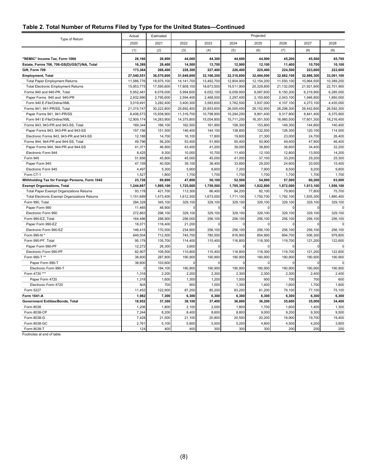#### **Table 2. Total Number of Returns Filed by Type for the United States—Continued**

|                                                 | Actual      | Estimated  |              |            |            | Projected  |            |            |             |
|-------------------------------------------------|-------------|------------|--------------|------------|------------|------------|------------|------------|-------------|
| Type of Return                                  | 2020        | 2021       | 2022         | 2023       | 2024       | 2025       | 2026       | 2027       | 2028        |
|                                                 | (1)         | (2)        | (3)          | (4)        | (5)        | (6)        | (7)        | (8)        | (9)         |
| "REMIC" Income Tax, Form 1066                   | 28,166      | 26,900     | 44,000       | 44,300     | 44,600     | 44,900     | 45,200     | 45,500     | 45,700      |
| Estate, Forms 706, 706-GS(D)/GS(T)/NA, Total    | 16,389      | 28.400     | 14,500       | 13,700     | 12,900     | 12,100     | 11,400     | 10,700     | 10,100      |
| Gift, Form 709                                  | 173,364     | 268,400    | 228,300      | 227,400    | 226,400    | 225,400    | 224,500    | 223,600    | 222,600     |
| <b>Employment, Total</b>                        | 27,540,551  | 36,570,800 | 31,949,800   | 32,166,300 | 32,316,800 | 32,484,000 | 32,682,100 | 32,886,300 | 33,091,100  |
| <b>Total Paper Employment Returns</b>           | 11,586,776  | 18,975,100 | 14, 141, 700 | 13,492,700 | 12,804,900 | 12,154,200 | 11,550,100 | 10,964,500 | 10,389,200  |
| <b>Total Electronic Employment Returns</b>      | 15,953,775  | 17,595,600 | 17,808,100   | 18,673,500 | 19,511,900 | 20,329,800 | 21,132,000 | 21,921,900 | 22,701,900  |
| Forms 940 and 940-PR, Total                     | 5,952,481   | 6,078,000  | 5,994,600    | 6,052,100  | 6,059,900  | 6,087,600  | 6,150,200  | 6,219,900  | 6,285,000   |
| Paper Forms 940 and 940-PR                      | 2,932,990   | 2,795,600  | 2,594,400    | 2,468,500  | 2,297,400  | 2,150,600  | 2,043,100  | 1,946,800  | 1,850,000   |
| Form 940 E-File/Online/XML                      | 3,019,491   | 3,282,400  | 3,400,300    | 3,583,600  | 3,762,500  | 3,937,000  | 4,107,100  | 4,273,100  | 4,435,000   |
| Forms 941, 941-PR/SS, Total                     | 21,315,747  | 30,222,800 | 25,692,400   | 25,853,600 | 26,005,400 | 26,152,900 | 26,298,300 | 26,442,800 | 26,592,300  |
| Paper Forms 941, 941-PR/SS                      | 8,406,573   | 15,938,900 | 11,316,700   | 10,798,900 | 10,294,200 | 9,801,400  | 9,317,800  | 8,841,400  | 8,375,900   |
| Form 941 E-File/Online/XML                      | 12.909.174  | 14,283,900 | 14,375,800   | 15,054,800 | 15,711,200 | 16,351,500 | 16,980,500 | 17,601,300 | 18,216,400  |
| Forms 943, 943-PR and 943-SS, Total             | 169,344     | 166,100    | 162,500      | 161,900    | 158,300    | 153,800    | 149,300    | 144,800    | 140,400     |
| Paper Forms 943, 943-PR and 943-SS              | 157,156     | 151,500    | 146,400      | 144,100    | 138,800    | 132,500    | 126,300    | 120,100    | 114,000     |
| Electronic Forms 943, 943-PR and 943-SS         | 12,188      | 14,700     | 16,100       | 17,800     | 19,600     | 21,300     | 23,000     | 24,700     | 26,400      |
| Forms 944, 944-PR and 944-SS, Total             | 49,796      | 56,200     | 53,400       | 51,900     | 50,400     | 50,900     | 49,400     | 47,900     | 46,400      |
| Paper Forms 944, 944-PR and 944-SS              | 41,371      | 46,900     | 43,400       | 41,200     | 39,000     | 38,800     | 36,600     | 34,400     | 32,200      |
| Electronic Form 944                             | 8,425       | 9,300      | 10,000       | 10,700     | 11,400     | 12,100     | 12,800     | 13,500     | 14,200      |
| Form 945                                        | 51,656      | 45,800     | 45,000       | 45,000     | 41,000     | 37,100     | 33,200     | 29,200     | 25,300      |
| Paper Form 945                                  | 47,159      | 40,500     | 39,100       | 38,400     | 33,800     | 29,200     | 24,600     | 20,000     | 15,400      |
| Electronic Form 945                             | 4,497       | 5,300      | 5,900        | 6,600      | 7,200      | 7,900      | 8,500      | 9,200      | 9,800       |
| Form CT-1                                       | 1,527       | 1,800      | 1,700        | 1,700      | 1,700      | 1.700      | 1,700      | 1.700      | 1,700       |
| Withholding Tax for Foreign Persons, Form 1042  | 23,726      | 69,800     | 47,800       | 50,100     | 52,500     | 54,900     | 57,500     | 60,200     | 63,000      |
| <b>Exempt Organizations, Total</b>              | 1,244,867   | 1,895,100  | 1,725,600    | 1,759,500  | 1,795,300  | 1,832,800  | 1,872,000  | 1,913,100  | 1,956,100   |
| <b>Total Paper Exempt Organizations Returns</b> | 93,178      | 421,700    | 113,300      | 86,400     | 84,200     | 82,100     | 79,900     | 77,800     | 75,700      |
| Total Electronic Exempt Organizations Returns   | 1,151,689   | 1,473,400  | 1,612,300    | 1,673,000  | 1,711,100  | 1,750,700  | 1,792,100  | 1,835,300  | 1,880,400   |
| Form 990, Total                                 | 284,328     | 345,100    | 329,100      | 329,100    | 329,100    | 329,100    | 329,100    | 329,100    | 329,100     |
| Paper Form 990                                  | 11,465      | 48,900     |              |            |            |            |            |            | $\Omega$    |
| Electronic Form 990                             | 272,863     | 296,100    | 329,100      | 329,100    | 329,100    | 329,100    | 329,100    | 329,100    | 329,100     |
| Form 990-EZ, Total                              | 164,486     | 288,900    | 256,000      | 256,100    | 256,100    | 256,100    | 256,100    | 256,100    | 256,100     |
| Paper Form 990-EZ                               | 18,071      | 118,400    | 21,200       | $\Omega$   | $\Omega$   | $\Omega$   | $\Omega$   | $\Omega$   | $\mathbf 0$ |
| Electronic Form 990-EZ                          | 146,415     | 170,500    | 234,800      | 256,100    | 256,100    | 256,100    | 256,100    | 256,100    | 256,100     |
| Form 990-N *                                    | 649,504     | 712,500    | 745,700      | 780,500    | 816,900    | 854,900    | 894,700    | 936,300    | 979,800     |
| Form 990-PF, Total                              | 95,179      | 135,700    | 114,400      | 115,400    | 116,800    | 118,300    | 119,700    | 121,200    | 122,600     |
| Paper Form 990-PF                               | 12,272      | 26,300     | 3,600        |            | C          | $\Omega$   |            | C          |             |
| Electronic Form 990-PF                          | 82,907      | 109,500    | 110,800      | 115,400    | 116,800    | 118,300    | 119,700    | 121,200    | 122,600     |
| Form 990-T **                                   | 38,600      | 287,800    | 190,900      | 190,900    | 190,900    | 190,900    | 190,900    | 190,900    | 190,900     |
| Paper Form 990-T                                | 38,600      | 103,600    | $\Omega$     | $\Omega$   | $\Omega$   | $\Omega$   | $\Omega$   | $\Omega$   | $\Omega$    |
| Electronic Form 990-T                           | $\mathbf 0$ | 184,100    | 190,900      | 190,900    | 190,900    | 190,900    | 190,900    | 190,900    | 190,900     |
| Form 4720 ***                                   | 1,318       | 2,200      | 2,200        | 2,300      | 2,300      | 2,300      | 2,300      | 2,400      | 2,400       |
| Paper Form 4720                                 | 1,318       | 1,600      | 1,300        | 1,200      | 1,000      | 900        | 700        | 700        | 600         |
| Electronic Form 4720                            | N/A         | 700        | 900          | 1,000      | 1,300      | 1,400      | 1,600      | 1,700      | 1,800       |
| Form 5227                                       | 11,452      | 122,900    | 87,200       | 85,200     | 83,200     | 81,200     | 79,100     | 77,100     | 75,100      |
| Form 1041-A                                     | 1,982       | 7,300      | 6,300        | 6,300      | 6,300      | 6,300      | 6,300      | 6,300      | 6,300       |
| <b>Government Entities/Bonds, Total</b>         | 18,952      | 37,300     | 38,100       | 37,400     | 36,800     | 36,200     | 35,600     | 35,000     | 34,400      |
| Form 8038                                       | 1,206       | 1,800      | 2,100        | 2,000      | 1,800      | 1,700      | 1,600      | 1,400      | 1,300       |
| Form 8038-CP                                    | 7,244       | 8,200      | 8,400        | 8,600      | 8,800      | 9,000      | 9,200      | 9,300      | 9,500       |
| Form 8038-G                                     | 7,428       | 21,500     | 21,100       | 20,800     | 20,500     | 20,200     | 19,900     | 19,700     | 19,400      |
| Form 8038-GC                                    | 2,76'       | 5,100      | 5,800        | 5,500      | 5,200      | 4,800      | 4,500      | 4,200      | 3,800       |
| Form 8038-T                                     | 124         | 400        | 400          | 300        | 300        | 300        | 200        | 200        | 200         |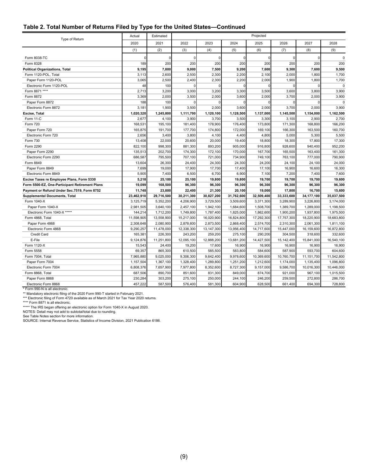| Table 2. Total Number of Returns Filed by Type for the United States-Continued |  |  |
|--------------------------------------------------------------------------------|--|--|
|--------------------------------------------------------------------------------|--|--|

| Type of Return                                 | Actual     | Estimated  | Projected  |              |            |            |            |            |             |
|------------------------------------------------|------------|------------|------------|--------------|------------|------------|------------|------------|-------------|
|                                                | 2020       | 2021       | 2022       | 2023         | 2024       | 2025       | 2026       | 2027       | 2028        |
|                                                | (1)        | (2)        | (3)        | (4)          | (5)        | (6)        | (7)        | (8)        | (9)         |
| Form 8038-TC                                   |            | $\Omega$   | O          | $\Omega$     | $\Omega$   | 0          | $\Omega$   | 0          | 0           |
| Form 8328                                      | 189        | 200        | 200        | 200          | 200        | 200        | 200        | 200        | 200         |
| <b>Political Organizations, Total</b>          | 9,195      | 7,800      | 9,000      | 7,500        | 9,200      | 7,600      | 9,300      | 7,600      | 9,500       |
| Form 1120-POL, Total                           | 3,113      | 2,600      | 2,500      | 2,300        | 2,200      | 2,100      | 2,000      | 1,800      | 1,700       |
| Paper Form 1120-POL                            | 3,065      | 2,500      | 2,400      | 2,300        | 2,200      | 2,000      | 1,900      | 1,800      | 1,700       |
| Electronic Form 1120-POL                       | 48         | 100        |            |              |            | 0          |            | $\Omega$   | $\mathbf 0$ |
| Form 8871 ****                                 | 2,713      | 3,200      | 3,000      | 3,200        | 3,300      | 3,500      | 3,600      | 3,800      | 3,900       |
| Form 8872                                      | 3,369      | 2,000      | 3,500      | 2,000        | 3,600      | 2,000      | 3,700      | 2,000      | 3,900       |
| Paper Form 8872                                | 188        | 100        | $\Omega$   | $\Omega$     | $\Omega$   | $\Omega$   | $\Omega$   | $\Omega$   | $\pmb{0}$   |
| Electronic Form 8872                           | 3,181      | 1,900      | 3,500      | 2,000        | 3,600      | 2,000      | 3,700      | 2,000      | 3,900       |
| Excise, Total                                  | 1,020,320  | 1,245,800  | 1,111,700  | 1,120,100    | 1,128,500  | 1,137,000  | 1,145,500  | 1,154,000  | 1,162,500   |
| Form 11-C                                      | 2,677      | 4,100      | 3,900      | 3,700        | 3,500      | 3,300      | 3,100      | 2,900      | 2,700       |
| <b>Form 720</b>                                | 168,531    | 195,100    | 181,400    | 178,900      | 176,400    | 173,800    | 171,300    | 168,800    | 166,200     |
| Paper Form 720                                 | 165,875    | 191,700    | 177,700    | 174,800      | 172,000    | 169,100    | 166,300    | 163,500    | 160,700     |
| Electronic Form 720                            | 2,656      | 3,400      | 3,800      | 4,100        | 4,400      | 4,800      | 5,000      | 5,300      | 5,500       |
| Form 730                                       | 13,408     | 22,000     | 20,600     | 20,000       | 19,400     | 18,800     | 18,300     | 17,800     | 17,300      |
| Form 2290                                      | 822,100    | 998,300    | 881,300    | 893,200      | 905,000    | 916,800    | 928,600    | 940,400    | 952,200     |
| Paper Form 2290                                | 135,513    | 202,700    | 174,300    | 172,100      | 170,000    | 167,700    | 165,500    | 163,400    | 161,300     |
| Electronic Form 2290                           | 686,587    | 795,500    | 707,100    | 721,000      | 734,900    | 749,100    | 763,100    | 777,000    | 790,900     |
| Form 8849                                      | 13,604     | 26,300     | 24,400     | 24,300       | 24,300     | 24,200     | 24,100     | 24,100     | 24,000      |
| Paper Form 8849                                | 7,699      | 19,000     | 17,900     | 17,700       | 17,400     | 17,100     | 16,900     | 16,600     | 16,300      |
| Electronic Form 8849                           | 5,905      | 7,400      | 6,500      | 6,700        | 6,900      | 7,100      | 7,200      | 7,400      | 7,600       |
| Excise Taxes re Employee Plans, Form 5330      | 5,218      | 25,100     | 25,100     | 19,800       | 19,800     | 19,700     | 19,700     | 19,700     | 19,600      |
| Form 5500-EZ, One-Participant Retirement Plans | 19,099     | 168,500    | 96,300     | 96,300       | 96,300     | 96,300     | 96,300     | 96,300     | 96,300      |
| Payment or Refund Under Sec.7519, Form 8752    | 11,748     | 23,800     | 22,400     | 21,300       | 20,100     | 19,000     | 17,800     | 16,700     | 15,600      |
| <b>Supplemental Documents, Total</b>           | 23,462,910 | 29,716,500 | 30,211,300 | 30,827,200   | 31,762,600 | 32,509,400 | 33,333,600 | 34,177,100 | 35,037,500  |
| Form 1040-X                                    | 3,125,719  | 5,352,200  | 4,206,900  | 3,729,500    | 3,509,600  | 3,371,300  | 3,289,900  | 3,226,800  | 3,174,000   |
| Paper Form 1040-X                              | 2,981,505  | 3,640,100  | 2,457,100  | 1,942,100    | 1,684,600  | 1,508,700  | 1,389,700  | 1,289,000  | 1,198,500   |
| Electronic Form 1040-X *****                   | 144,214    | 1,712,200  | 1,749,800  | 1,787,400    | 1,825,000  | 1,862,600  | 1,900,200  | 1,937,800  | 1,975,500   |
| Form 4868, Total                               | 11,598,905 | 13,558,900 | 15,217,000 | 16,020,900   | 16,824,800 | 17,292,300 | 17,757,300 | 18,220,900 | 18,683,800  |
| Paper Form 4868                                | 2,308,648  | 2,080,900  | 2,878,600  | 2,873,500    | 2,868,400  | 2,574,700  | 2,310,300  | 2,061,300  | 1,811,100   |
| Electronic Form 4868                           | 9,290,257  | 11,478,000 | 12,338,300 | 13, 147, 300 | 13,956,400 | 14,717,600 | 15,447,000 | 16,159,600 | 16,872,800  |
| Credit Card                                    | 165,381    | 226,300    | 243,200    | 259,200      | 275,100    | 290,200    | 304,500    | 318,600    | 332,600     |
| E-File                                         | 9,124,876  | 11,251,800 | 12,095,100 | 12,888,200   | 13,681,200 | 14,427,500 | 15,142,400 | 15,841,000 | 16,540,100  |
| Form 1120-X                                    | 15,543     | 24,400     | 19,200     | 17,600       | 16,900     | 16,900     | 16,900     | 16,900     | 16,900      |
| Form 5558                                      | 69,357     | 865,300    | 610,500    | 585,500      | 583,800    | 584,600    | 587,900    | 593,700    | 604,600     |
| Form 7004, Total                               | 7,965,880  | 9,025,000  | 9,306,300  | 9,642,400    | 9,978,600  | 10,369,600 | 10,760,700 | 11,151,700 | 11,542,800  |
| Paper Form 7004                                | 1,157,504  | 1,367,100  | 1,328,400  | 1,289,800    | 1,251,200  | 1,212,600  | 1,174,000  | 1,135,400  | 1,096,800   |
| Electronic Form 7004                           | 6,808,376  | 7,657,900  | 7,977,800  | 8,352,600    | 8,727,300  | 9,157,000  | 9,586,700  | 10,016,300 | 10,446,000  |
| Form 8868, Total                               | 687,506    | 890,700    | 851,600    | 831,300      | 849,000    | 874,700    | 921,000    | 967,100    | 1,015,500   |
| Paper Form 8868                                | 230,284    | 303,200    | 275,100    | 250,000      | 244,100    | 246,200    | 259,500    | 272,800    | 286,700     |
| Electronic Form 8868                           | 457,222    | 587,500    | 576,400    | 581,300      | 604,900    | 628,500    | 661,400    | 694,300    | 728,800     |

\* Form 990-N is all electronic.<br>\*\* Mandatory electronic filing of the 2020 Form 990-T started in February 2021.<br>\*\*\* Electronic filing of Form 4720 available as of March 2021 for Tax Year 2020 returns.<br>\*\*\*\* Form 8871 is all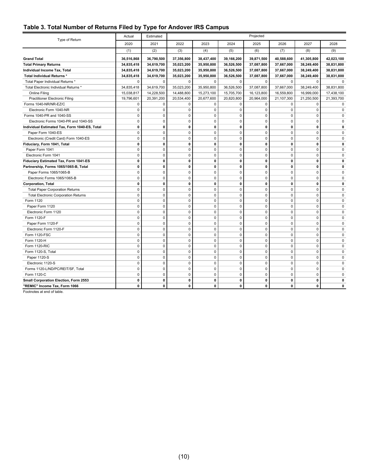#### <span id="page-14-0"></span>**Table 3. Total Number of Returns Filed by Type for Andover IRS Campus**

| Type of Return                                | Actual       | Estimated   | Projected    |             |             |              |             |              |             |
|-----------------------------------------------|--------------|-------------|--------------|-------------|-------------|--------------|-------------|--------------|-------------|
|                                               | 2020         | 2021        | 2022         | 2023        | 2024        | 2025         | 2026        | 2027         | 2028        |
|                                               | (1)          | (2)         | (3)          | (4)         | (5)         | (6)          | (7)         | (8)          | (9)         |
| <b>Grand Total</b>                            | 36,516,868   | 36,790,500  | 37,356,800   | 38,437,400  | 39,166,200  | 39,871,500   | 40,588,600  | 41,305,800   | 42,023,100  |
| <b>Total Primary Returns</b>                  | 34,835,418   | 34,619,700  | 35,023,200   | 35,950,800  | 36,526,500  | 37,087,800   | 37,667,000  | 38,249,400   | 38,831,800  |
| Individual Income Tax, Total                  | 34,835,418   | 34,619,700  | 35,023,200   | 35,950,800  | 36,526,500  | 37,087,800   | 37,667,000  | 38,249,400   | 38,831,800  |
| Total Individual Returns *                    | 34,835,418   | 34,619,700  | 35,023,200   | 35,950,800  | 36,526,500  | 37,087,800   | 37,667,000  | 38,249,400   | 38,831,800  |
| Total Paper Individual Returns *              | 0            | 0           | $\mathbf 0$  | $\mathbf 0$ | $\mathbf 0$ | $\mathbf 0$  | $\mathbf 0$ | $\mathbf 0$  | $\mathbf 0$ |
| Total Electronic Individual Returns *         | 34,835,418   | 34,619,700  | 35,023,200   | 35,950,800  | 36,526,500  | 37,087,800   | 37,667,000  | 38,249,400   | 38,831,800  |
| Online Filing                                 | 15,038,817   | 14,228,500  | 14,488,800   | 15,273,100  | 15,705,700  | 16,123,800   | 16,559,800  | 16,999,000   | 17,438,100  |
| <b>Practitioner Electronic Filing</b>         | 19,796,601   | 20,391,200  | 20,534,400   | 20,677,600  | 20,820,800  | 20,964,000   | 21,107,300  | 21,250,500   | 21,393,700  |
| Forms 1040-NR/NR-EZ/C                         | 0            | 0           | $\mathbf 0$  | 0           | 0           | $\Omega$     | $\Omega$    | $\mathbf 0$  | $\mathbf 0$ |
| Electronic Form 1040-NR                       | 0            | $\mathbf 0$ | $\mathbf 0$  | $\mathbf 0$ | $\mathbf 0$ | $\mathbf 0$  | $\mathbf 0$ | $\mathbf 0$  | $\mathbf 0$ |
| Forms 1040-PR and 1040-SS                     | $\mathbf 0$  | $\mathbf 0$ | $\mathbf 0$  | $\pmb{0}$   | $\pmb{0}$   | $\mathbf 0$  | $\mathbf 0$ | $\mathbf 0$  | $\mathbf 0$ |
| Electronic Forms 1040-PR and 1040-SS          | $\mathbf 0$  | 0           | $\mathbf 0$  | 0           | 0           | $\mathbf 0$  | $\mathbf 0$ | $\mathbf 0$  | $\mathbf 0$ |
| Individual Estimated Tax, Form 1040-ES, Total | $\mathbf{0}$ | 0           | $\mathbf{0}$ | $\mathbf 0$ | 0           | $\mathbf{0}$ | 0           | 0            | 0           |
| Paper Form 1040-ES                            | 0            | $\Omega$    | $\mathbf 0$  | $\mathbf 0$ | $\mathbf 0$ | $\mathbf 0$  | $\Omega$    | $\Omega$     | $\Omega$    |
| Electronic (Credit Card) Form 1040-ES         | $\mathbf 0$  | 0           | $\mathbf 0$  | $\mathbf 0$ | 0           | $\mathbf 0$  | $\mathbf 0$ | $\mathbf 0$  | $\mathbf 0$ |
| Fiduciary, Form 1041, Total                   | $\mathbf{0}$ | 0           | $\mathbf 0$  | 0           | 0           | $\mathbf{0}$ | 0           | $\mathbf{0}$ | 0           |
| Paper Form 1041                               | $\mathbf 0$  | 0           | $\mathbf 0$  | $\pmb{0}$   | 0           | $\mathbf 0$  | $\mathbf 0$ | $\mathbf 0$  | $\Omega$    |
| Electronic Form 1041                          | $\mathbf 0$  | 0           | $\mathbf 0$  | $\mathbf 0$ | 0           | $\mathbf 0$  | $\Omega$    | $\Omega$     | $\Omega$    |
| Fiduciary Estimated Tax, Form 1041-ES         | $\mathbf{0}$ | 0           | $\mathbf{0}$ | $\mathbf 0$ | 0           | 0            | 0           | 0            | 0           |
| Partnership, Forms 1065/1065-B, Total         | 0            | 0           | $\mathbf 0$  | $\mathbf 0$ | 0           | $\mathbf 0$  | 0           | $\mathbf 0$  | 0           |
| Paper Forms 1065/1065-B                       | $\mathbf 0$  | 0           | $\mathbf 0$  | 0           | 0           | $\mathbf 0$  | $\mathbf 0$ | $\mathbf 0$  | $\mathbf 0$ |
| Electronic Forms 1065/1065-B                  | $\mathbf 0$  | 0           | $\mathbf 0$  | $\pmb{0}$   | 0           | $\pmb{0}$    | $\mathbf 0$ | $\mathbf 0$  | $\mathbf 0$ |
| <b>Corporation, Total</b>                     | 0            | 0           | $\mathbf 0$  | $\mathbf 0$ | 0           | $\mathbf 0$  | 0           | 0            | 0           |
| <b>Total Paper Corporation Returns</b>        | $\mathbf 0$  | 0           | $\mathbf 0$  | $\mathbf 0$ | 0           | $\mathbf 0$  | $\Omega$    | $\Omega$     | $\mathbf 0$ |
| <b>Total Electronic Corporation Returns</b>   | 0            | $\mathbf 0$ | $\mathbf 0$  | $\mathbf 0$ | $\mathbf 0$ | $\mathbf 0$  | $\mathbf 0$ | $\mathbf 0$  | $\mathbf 0$ |
| Form 1120                                     | $\mathbf 0$  | 0           | $\mathbf 0$  | 0           | 0           | $\mathbf 0$  | $\Omega$    | $\mathbf 0$  | $\mathbf 0$ |
| Paper Form 1120                               | $\mathbf 0$  | $\mathbf 0$ | $\mathbf 0$  | $\pmb{0}$   | 0           | $\mathbf 0$  | $\mathbf 0$ | $\mathbf 0$  | $\mathbf 0$ |
| Electronic Form 1120                          | $\mathbf 0$  | 0           | $\mathbf 0$  | $\pmb{0}$   | $\pmb{0}$   | $\pmb{0}$    | $\mathbf 0$ | $\mathbf 0$  | $\mathbf 0$ |
| Form 1120-F                                   | $\mathbf 0$  | $\Omega$    | $\mathbf 0$  | $\mathbf 0$ | 0           | $\mathbf 0$  | $\Omega$    | $\Omega$     | $\Omega$    |
| Paper Form 1120-F                             | 0            | 0           | $\mathbf 0$  | $\mathbf 0$ | 0           | $\mathbf 0$  | $\mathbf 0$ | 0            | 0           |
| Electronic Form 1120-F                        | $\mathbf 0$  | 0           | $\mathbf 0$  | $\pmb{0}$   | $\mathbf 0$ | $\mathbf 0$  | $\Omega$    | $\mathbf 0$  | $\mathbf 0$ |
| Form 1120-FSC                                 | $\mathbf 0$  | 0           | $\mathbf 0$  | $\mathbf 0$ | 0           | $\mathbf 0$  | $\mathbf 0$ | $\mathbf 0$  | $\mathbf 0$ |
| Form 1120-H                                   | $\mathbf 0$  | 0           | $\mathbf 0$  | $\pmb{0}$   | 0           | $\mathbf 0$  | $\mathbf 0$ | $\mathbf 0$  | $\mathbf 0$ |
| Form 1120-RIC                                 | $\mathbf 0$  | $\Omega$    | $\mathbf 0$  | $\mathbf 0$ | 0           | $\mathbf 0$  | $\Omega$    | $\Omega$     | $\Omega$    |
| Form 1120-S, Total                            | $\mathbf 0$  | 0           | $\mathbf 0$  | $\mathbf 0$ | 0           | $\mathbf 0$  | $\mathbf 0$ | $\mathbf 0$  | $\mathbf 0$ |
| Paper 1120-S                                  | $\mathbf 0$  | 0           | $\mathbf 0$  | 0           | 0           | $\mathbf 0$  | $\Omega$    | 0            | $\mathbf 0$ |
| Electronic 1120-S                             | $\mathbf 0$  | 0           | $\mathbf 0$  | $\pmb{0}$   | $\mathbf 0$ | $\mathbf 0$  | $\mathbf 0$ | $\mathbf 0$  | $\mathbf 0$ |
| Forms 1120-L/ND/PC/REIT/SF, Total             | $\mathbf 0$  | 0           | $\mathbf 0$  | $\mathbf 0$ | 0           | $\pmb{0}$    | $\mathbf 0$ | $\mathbf 0$  | $\mathbf 0$ |
| Form 1120-C                                   | $\mathbf 0$  | 0           | $\mathbf 0$  | $\mathbf 0$ | 0           | $\mathbf 0$  | $\mathbf 0$ | $\mathbf 0$  | $\mathbf 0$ |
| Small Corporation Election, Form 2553         | 0            | 0           | 0            | 0           | 0           | 0            | 0           | 0            | 0           |
| "REMIC" Income Tax, Form 1066                 | 0            | 0           | 0            | 0           | 0           | $\mathbf{0}$ | 0           | $\mathbf{0}$ | 0           |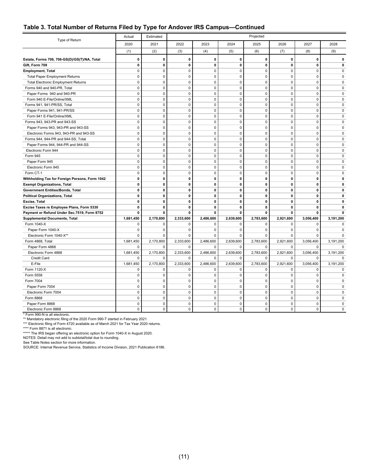#### **Table 3. Total Number of Returns Filed by Type for Andover IRS Campus—Continued**

| Type of Return                                 | Actual      | Estimated    |                | Projected   |              |              |              |              |             |  |
|------------------------------------------------|-------------|--------------|----------------|-------------|--------------|--------------|--------------|--------------|-------------|--|
|                                                | 2020        | 2021         | 2022           | 2023        | 2024         | 2025         | 2026         | 2027         | 2028        |  |
|                                                | (1)         | (2)          | (3)            | (4)         | (5)          | (6)          | (7)          | (8)          | (9)         |  |
| Estate, Forms 706, 706-GS(D)/GS(T)/NA, Total   | 0           | $\mathbf{0}$ | $\pmb{0}$      | $\pmb{0}$   | 0            | $\mathbf 0$  | $\mathbf 0$  | $\mathbf 0$  | 0           |  |
| Gift, Form 709                                 | 0           | 0            | $\mathbf{0}$   | $\mathbf 0$ | $\mathbf 0$  | $\mathbf 0$  | $\mathbf{0}$ | $\mathbf{0}$ | 0           |  |
| <b>Employment, Total</b>                       | $\mathbf 0$ | $\mathbf{0}$ | $\mathbf 0$    | $\mathbf 0$ | $\mathbf 0$  | $\mathbf 0$  | $\mathbf 0$  | $\mathbf 0$  | $\mathbf 0$ |  |
| <b>Total Paper Employment Returns</b>          | $\Omega$    | $\pmb{0}$    | $\mathbf 0$    | $\pmb{0}$   | $\pmb{0}$    | $\Omega$     | $\mathbf 0$  | $\mathbf 0$  | 0           |  |
| <b>Total Electronic Employment Returns</b>     | $\mathbf 0$ | $\mathbf{0}$ | $\mathbf 0$    | $\pmb{0}$   | $\mathbf 0$  | $\mathbf 0$  | $\mathbf 0$  | $\mathbf 0$  | 0           |  |
| Forms 940 and 940-PR, Total                    | $\mathbf 0$ | $\mathbf{0}$ | $\mathbf 0$    | $\pmb{0}$   | $\mathbf 0$  | $\mathbf 0$  | $\mathbf 0$  | $\mathbf 0$  | 0           |  |
| Paper Forms 940 and 940-PR                     | 0           | $\mathbf 0$  | $\mathbf 0$    | $\pmb{0}$   | $\mathsf 0$  | $\mathbf 0$  | $\mathbf 0$  | $\mathbf 0$  | 0           |  |
| Form 940 E-File/Online/XML                     | $\mathbf 0$ | $\mathbf 0$  | $\mathbf 0$    | 0           | $\pmb{0}$    | $\mathbf 0$  | $\mathbf 0$  | $\mathbf 0$  | $\mathbf 0$ |  |
| Forms 941, 941-PR/SS, Total                    | $\mathbf 0$ | $\mathbf 0$  | $\mathbf 0$    | 0           | $\mathsf 0$  | $\mathbf 0$  | $\mathbf 0$  | $\mathbf 0$  | $\mathbf 0$ |  |
| Paper Forms 941, 941-PR/SS                     | $\mathbf 0$ | $\mathbf 0$  | $\mathbf 0$    | 0           | $\mathsf 0$  | $\mathbf 0$  | $\mathbf 0$  | $\mathbf 0$  | $\mathbf 0$ |  |
| Form 941 E-File/Online/XML                     | $\mathbf 0$ | $\mathbf 0$  | $\mathbf 0$    | 0           | $\mathsf 0$  | $\pmb{0}$    | $\mathbf 0$  | $\mathbf 0$  | $\mathbf 0$ |  |
| Forms 943, 943-PR and 943-SS                   | $\Omega$    | $\mathbf 0$  | $\mathbf 0$    | 0           | $\mathbf 0$  | $\Omega$     | $\Omega$     | $\Omega$     | $\Omega$    |  |
| Paper Forms 943, 943-PR and 943-SS             | 0           | $\mathbf{0}$ | $\mathbf 0$    | 0           | $\mathbf 0$  | $\mathbf 0$  | $\mathbf 0$  | 0            | 0           |  |
| Electronic Forms 943, 943-PR and 943-SS        | $\Omega$    | $\Omega$     | $\mathbf 0$    | 0           | $\mathbf 0$  | $\Omega$     | $\Omega$     | $\Omega$     | $\Omega$    |  |
| Forms 944, 944-PR and 944-SS, Total            | $\Omega$    | $\mathbf{0}$ | $\mathbf 0$    | $\mathbf 0$ | $\mathbf 0$  | $\mathbf 0$  | $\mathbf 0$  | 0            | $\Omega$    |  |
| Paper Forms 944, 944-PR and 944-SS             | $\mathbf 0$ | $\mathbf{0}$ | $\mathbf 0$    | $\mathbf 0$ | $\mathbf 0$  | $\mathbf 0$  | $\mathbf 0$  | $\mathbf 0$  | $\Omega$    |  |
| Electronic Form 944                            | $\mathbf 0$ | $\mathbf{0}$ | $\mathbf 0$    | $\mathbf 0$ | $\mathbf 0$  | $\mathbf 0$  | $\mathbf 0$  | $\mathbf 0$  | 0           |  |
| Form 945                                       | 0           | $\mathbf{0}$ | $\mathbf 0$    | $\mathbf 0$ | $\mathbf 0$  | $\mathbf 0$  | $\mathbf 0$  | $\mathbf 0$  | 0           |  |
| Paper Form 945                                 | $\mathbf 0$ | $\mathbf{0}$ | $\mathbf 0$    | $\mathbf 0$ | $\mathsf 0$  | $\pmb{0}$    | $\mathbf 0$  | $\mathbf 0$  | 0           |  |
| Electronic Form 945                            | $\mathbf 0$ | $\mathbf{0}$ | $\mathbf 0$    | $\mathbf 0$ | $\mathbf 0$  | $\mathbf 0$  | $\mathbf 0$  | $\mathbf 0$  | $\Omega$    |  |
| Form CT-1                                      | $\mathbf 0$ | $\mathbf{0}$ | $\mathbf 0$    | $\mathbf 0$ | $\mathbf 0$  | $\mathbf 0$  | $\mathbf 0$  | $\mathbf 0$  | 0           |  |
| Withholding Tax for Foreign Persons, Form 1042 | 0           | $\mathbf 0$  | $\mathbf 0$    | $\mathbf 0$ | $\mathbf 0$  | $\mathbf 0$  | $\mathbf 0$  | $\mathbf{0}$ | 0           |  |
| <b>Exempt Organizations, Total</b>             | 0           | $\mathbf 0$  | $\mathbf 0$    | $\mathbf 0$ | $\mathbf 0$  | $\mathbf 0$  | $\mathbf 0$  | $\mathbf{0}$ | 0           |  |
| <b>Government Entities/Bonds, Total</b>        | 0           | $\mathbf 0$  | $\mathbf 0$    | $\mathbf 0$ | $\mathbf 0$  | $\mathbf 0$  | $\mathbf 0$  | 0            | 0           |  |
| <b>Political Organizations, Total</b>          | 0           | $\mathbf 0$  | $\mathbf{0}$   | $\mathbf 0$ | $\mathbf 0$  | $\mathbf 0$  | $\mathbf{0}$ | $\mathbf{0}$ | 0           |  |
| Excise, Total                                  | 0           | $\mathbf{0}$ | $\mathbf 0$    | 0           | 0            | $\mathbf 0$  | $\mathbf 0$  | 0            | 0           |  |
| Excise Taxes re Employee Plans, Form 5330      | 0           | $\mathbf 0$  | 0              | 0           | $\mathbf 0$  | $\mathbf 0$  | $\mathbf 0$  | 0            | 0           |  |
| Payment or Refund Under Sec.7519, Form 8752    | 0           | $\mathbf{0}$ | $\mathbf{0}$   | 0           | $\mathbf{0}$ | $\mathbf{0}$ | $\mathbf{0}$ | 0            | 0           |  |
| <b>Supplemental Documents, Total</b>           | 1,681,450   | 2,170,800    | 2,333,600      | 2,486,600   | 2,639,600    | 2,783,600    | 2,921,600    | 3,056,400    | 3,191,200   |  |
| Form 1040-X                                    | 0           | $\mathbf 0$  | $\pmb{0}$      | $\mathbf 0$ | $\mathbf 0$  | $\mathbf 0$  | $\mathbf 0$  | 0            | 0           |  |
| Paper Form 1040-X                              | $\mathbf 0$ | $\mathbf 0$  | $\mathbf 0$    | 0           | $\mathsf 0$  | $\mathbf 0$  | $\mathbf 0$  | $\mathbf 0$  | $\mathbf 0$ |  |
| Electronic Form 1040-X**                       | $\mathbf 0$ | $\pmb{0}$    | $\mathbf 0$    | $\pmb{0}$   | $\mathsf 0$  | $\mathbf 0$  | $\mathbf 0$  | 0            | 0           |  |
| Form 4868, Total                               | 1,681,450   | 2,170,800    | 2,333,600      | 2,486,600   | 2,639,600    | 2,783,600    | 2,921,600    | 3,056,400    | 3,191,200   |  |
| Paper Form 4868                                | 0           | $\mathbf 0$  | $\overline{0}$ | 0           | $\mathbf 0$  | $\pmb{0}$    | $\mathsf 0$  | 0            | 0           |  |
| Electronic Form 4868                           | 1,681,450   | 2,170,800    | 2,333,600      | 2,486,600   | 2,639,600    | 2,783,600    | 2,921,600    | 3,056,400    | 3,191,200   |  |
| <b>Credit Card</b>                             | $\Omega$    | $\mathbf 0$  | $\Omega$       | 0           | $\mathbf 0$  | $\mathbf 0$  | 0            | 0            | 0           |  |
| E-File                                         | 1,681,450   | 2,170,800    | 2,333,600      | 2,486,600   | 2,639,600    | 2,783,600    | 2,921,600    | 3,056,400    | 3,191,200   |  |
| Form 1120-X                                    | 0           | $\mathbf 0$  | 0              | 0           | 0            | $\mathbf 0$  | $\mathbf 0$  | 0            | 0           |  |
| Form 5558                                      | 0           | $\mathbf 0$  | $\mathbf 0$    | $\mathbf 0$ | $\mathbf 0$  | $\mathbf 0$  | $\mathbf 0$  | $\mathbf 0$  | 0           |  |
| Form 7004                                      | 0           | $\mathbf 0$  | $\mathbf 0$    | $\mathbf 0$ | $\mathbf 0$  | $\mathbf 0$  | $\mathbf 0$  | $\mathbf 0$  | 0           |  |
| Paper Form 7004                                | $\mathbf 0$ | $\mathbf{0}$ | $\mathbf 0$    | $\mathbf 0$ | $\mathbf 0$  | $\mathbf 0$  | $\mathbf 0$  | $\mathbf 0$  | $\mathbf 0$ |  |
| Electronic Form 7004                           | $\mathbf 0$ | $\pmb{0}$    | $\mathbf 0$    | $\pmb{0}$   | $\mathsf 0$  | $\pmb{0}$    | $\mathbf 0$  | $\mathbf 0$  | 0           |  |
| Form 8868                                      | $\mathbf 0$ | $\mathbf 0$  | $\mathbf 0$    | $\mathbf 0$ | $\mathbf 0$  | $\Omega$     | $\Omega$     | $\Omega$     | $\Omega$    |  |
| Paper Form 8868                                | $\Omega$    | $\Omega$     | $\mathbf 0$    | 0           | $\mathbf 0$  | $\mathbf 0$  | $\mathbf 0$  | $\mathbf 0$  | 0           |  |
| Electronic Form 8868                           | $\Omega$    | $\mathbf 0$  | $\mathbf 0$    | 0           | $\mathbf 0$  | $\Omega$     | $\mathbf 0$  | $\mathbf 0$  | 0           |  |

\* Form 990-N is all electronic. \*\* Mandatory electronic filing of the 2020 Form 990-T started in February 2021.

\*\*\* Electronic filing of Form 4720 available as of March 2021 for Tax Year 2020 returns.

\*\*\*\* Form 8871 is all electronic. \*\*\*\*\* The IRS began offering an electronic option for Form 1040-X in August 2020.

NOTES: Detail may not add to subtotal/total due to rounding.

See Table Notes section for more information.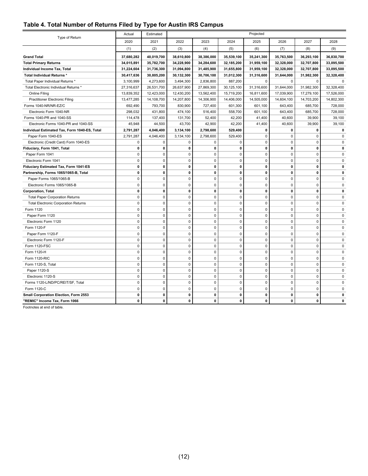#### <span id="page-16-0"></span>**Table 4. Total Number of Returns Filed by Type for Austin IRS Campus**

|                                                            | Actual                   | Estimated                |                          |                          |                          | Projected                |                          |                          |                          |
|------------------------------------------------------------|--------------------------|--------------------------|--------------------------|--------------------------|--------------------------|--------------------------|--------------------------|--------------------------|--------------------------|
| Type of Return                                             | 2020                     | 2021                     | 2022                     | 2023                     | 2024                     | 2025                     | 2026                     | 2027                     | 2028                     |
|                                                            | (1)                      | (2)                      | (3)                      | (4)                      | (5)                      | (6)                      | (7)                      | (8)                      | (9)                      |
|                                                            |                          |                          |                          |                          |                          |                          |                          |                          |                          |
| <b>Grand Total</b>                                         | 37,680,282               | 40,019,700               | 38,610,800               | 38,386,000               | 35,539,100               | 35,241,300               | 35,763,500               | 36,293,100               | 36,830,700               |
| <b>Total Primary Returns</b>                               | 34,015,891               | 35,782,700               | 34,228,900               | 34,284,600               | 32,185,200               | 31,959,100               | 32,328,000               | 32,707,800               | 33,095,500               |
| Individual Income Tax, Total<br>Total Individual Returns * | 31,224,604<br>30,417,636 | 31,736,300<br>30,805,200 | 31,094,800<br>30,132,300 | 31,485,900<br>30,706,100 | 31,655,800<br>31,012,300 | 31,959,100<br>31,316,600 | 32,328,000<br>31,644,000 | 32,707,800<br>31,982,300 | 33,095,500<br>32,328,400 |
| Total Paper Individual Returns *                           | 3,100,999                | 4,273,600                | 3,494,300                | 2,836,800                | 887,200                  | 0                        | $\mathbf 0$              | $\mathbf 0$              | $\mathbf 0$              |
| Total Electronic Individual Returns *                      | 27,316,637               | 26,531,700               | 26,637,900               | 27,869,300               | 30,125,100               | 31,316,600               | 31,644,000               | 31,982,300               | 32,328,400               |
| <b>Online Filing</b>                                       | 13,839,352               | 12,423,000               | 12,430,200               | 13,562,400               | 15,719,200               | 16,811,600               | 17,039,900               | 17,279,100               | 17,526,000               |
|                                                            |                          |                          |                          |                          |                          |                          |                          |                          |                          |
| <b>Practitioner Electronic Filing</b>                      | 13,477,285               | 14,108,700               | 14,207,800<br>830,900    | 14,306,900               | 14,406,000               | 14,505,000               | 14,604,100               | 14,703,200               | 14,802,300               |
| Forms 1040-NR/NR-EZ/C                                      | 692,490                  | 793,700                  |                          | 727,400                  | 601,300                  | 601,100                  | 643,400                  | 685,700                  | 728,000                  |
| Electronic Form 1040-NR                                    | 298,032                  | 431,800                  | 474,100                  | 516,400                  | 558,700                  | 601,100                  | 643,400                  | 685,700                  | 728,000                  |
| Forms 1040-PR and 1040-SS                                  | 114,478                  | 137,400                  | 131,700                  | 52,400                   | 42,200                   | 41,400                   | 40,600                   | 39,900                   | 39,100                   |
| Electronic Forms 1040-PR and 1040-SS                       | 45,948                   | 44,500                   | 43,700                   | 42,900                   | 42,200                   | 41,400                   | 40,600                   | 39,900                   | 39,100                   |
| Individual Estimated Tax, Form 1040-ES, Total              | 2,791,287                | 4,046,400                | 3,134,100                | 2,798,600                | 529,400                  | 0                        | 0                        | $\Omega$                 | 0                        |
| Paper Form 1040-ES                                         | 2,791,287                | 4,046,400                | 3,134,100                | 2,798,600                | 529,400                  | 0                        | $\mathbf 0$              | $\mathbf 0$              | $\Omega$                 |
| Electronic (Credit Card) Form 1040-ES                      | $\mathbf 0$              | $\Omega$                 | $\mathbf 0$              | $\mathbf 0$              | 0                        | $\mathbf 0$              | $\Omega$                 | $\Omega$                 | $\Omega$                 |
| Fiduciary, Form 1041, Total                                | $\mathbf 0$              | 0                        | $\mathbf 0$              | $\mathbf{0}$             | 0                        | $\mathbf 0$              | 0                        | 0                        | 0                        |
| Paper Form 1041                                            | 0                        | $\mathbf 0$              | $\mathbf 0$              | $\mathbf 0$              | $\mathbf 0$              | $\mathbf 0$              | $\mathbf 0$              | $\mathbf 0$              | $\mathbf 0$              |
| Electronic Form 1041                                       | $\mathbf 0$              | $\mathbf 0$              | $\mathbf 0$              | $\mathbf 0$              | 0                        | $\mathbf 0$              | $\mathbf 0$              | $\mathbf 0$              | $\mathbf 0$              |
| Fiduciary Estimated Tax, Form 1041-ES                      | $\mathbf 0$              | 0                        | 0                        | 0                        | 0                        | $\mathbf 0$              | 0                        | $\mathbf 0$              | 0                        |
| Partnership, Forms 1065/1065-B, Total                      | $\mathbf 0$              | 0                        | $\mathbf 0$              | $\mathbf{0}$             | 0                        | $\mathbf{0}$             | 0                        | $\mathbf{0}$             | $\mathbf{0}$             |
| Paper Forms 1065/1065-B                                    | $\mathbf 0$              | $\mathbf 0$              | $\mathbf 0$              | $\pmb{0}$                | 0                        | $\mathbf 0$              | $\mathbf 0$              | $\mathbf 0$              | $\mathbf 0$              |
| Electronic Forms 1065/1065-B                               | $\mathbf 0$              | $\mathbf 0$              | $\mathbf 0$              | $\mathbf{0}$             | 0                        | $\mathbf 0$              | $\mathbf 0$              | $\mathbf 0$              | $\mathbf 0$              |
| <b>Corporation, Total</b>                                  | $\mathbf{0}$             | 0                        | $\mathbf 0$              | $\mathbf{0}$             | 0                        | $\mathbf{0}$             | 0                        | $\mathbf{0}$             | $\mathbf{0}$             |
| <b>Total Paper Corporation Returns</b>                     | $\mathbf 0$              | $\mathbf 0$              | $\mathbf 0$              | $\mathbf{0}$             | $\mathbf 0$              | $\mathbf 0$              | $\Omega$                 | $\Omega$                 | $\mathbf 0$              |
| <b>Total Electronic Corporation Returns</b>                | 0                        | $\mathbf 0$              | $\mathbf 0$              | $\mathbf 0$              | 0                        | $\pmb{0}$                | $\mathbf 0$              | $\mathbf 0$              | $\mathbf 0$              |
| Form 1120                                                  | $\Omega$                 | $\Omega$                 | $\mathbf 0$              | $\mathbf 0$              | $\Omega$                 | $\Omega$                 | $\Omega$                 | $\Omega$                 | $\Omega$                 |
| Paper Form 1120                                            | $\mathbf 0$              | $\mathbf 0$              | $\mathbf 0$              | $\mathbf{0}$             | 0                        | $\mathbf 0$              | $\mathbf 0$              | $\mathbf 0$              | 0                        |
| Electronic Form 1120                                       | $\mathbf 0$              | $\mathbf 0$              | $\mathbf 0$              | $\mathbf{0}$             | $\mathbf 0$              | $\mathbf 0$              | $\mathbf 0$              | $\mathbf 0$              | $\Omega$                 |
| Form 1120-F                                                | $\mathbf 0$              | $\mathbf 0$              | $\mathbf 0$              | $\mathbf 0$              | 0                        | $\mathbf 0$              | $\mathbf 0$              | $\mathbf 0$              | $\mathbf 0$              |
| Paper Form 1120-F                                          | $\mathbf 0$              | $\mathbf 0$              | $\mathbf 0$              | $\mathbf{0}$             | $\mathbf 0$              | $\mathbf 0$              | $\mathbf 0$              | $\mathbf 0$              | $\mathbf 0$              |
| Electronic Form 1120-F                                     | 0                        | $\mathbf 0$              | $\mathbf 0$              | $\mathbf 0$              | 0                        | $\pmb{0}$                | $\mathbf 0$              | $\mathbf 0$              | $\mathbf 0$              |
| Form 1120-FSC                                              | $\mathbf 0$              | $\mathbf 0$              | $\mathbf 0$              | $\pmb{0}$                | 0                        | $\mathbf 0$              | $\mathbf 0$              | $\mathbf 0$              | $\mathbf 0$              |
| Form 1120-H                                                | $\mathbf 0$              | $\mathbf 0$              | $\mathbf 0$              | $\mathbf{0}$             | $\mathbf 0$              | $\mathbf 0$              | $\mathbf 0$              | $\mathbf 0$              | $\mathbf 0$              |
| Form 1120-RIC                                              | $\mathbf 0$              | $\mathbf 0$              | $\mathbf 0$              | $\pmb{0}$                | $\pmb{0}$                | $\mathbf 0$              | $\mathbf 0$              | $\mathbf 0$              | $\mathbf 0$              |
| Form 1120-S, Total                                         | $\mathbf 0$              | $\mathbf 0$              | $\mathbf 0$              | $\mathbf 0$              | 0                        | $\mathbf 0$              | $\mathbf 0$              | $\mathbf 0$              | $\mathbf 0$              |
| Paper 1120-S                                               | $\mathbf 0$              | $\pmb{0}$                | $\mathbf 0$              | $\pmb{0}$                | 0                        | $\pmb{0}$                | $\pmb{0}$                | $\mathbf 0$              | $\mathbf 0$              |
| Electronic 1120-S                                          | $\mathbf 0$              | $\Omega$                 | $\mathbf 0$              | $\mathbf{0}$             | 0                        | $\mathbf 0$              | $\Omega$                 | $\mathbf 0$              | $\mathbf 0$              |
| Forms 1120-L/ND/PC/REIT/SF, Total                          | $\mathbf 0$              | $\mathbf 0$              | $\mathbf 0$              | $\pmb{0}$                | 0                        | $\mathbf 0$              | $\mathbf 0$              | $\mathbf 0$              | $\mathbf 0$              |
| Form 1120-C                                                | $\mathbf 0$              | $\mathbf 0$              | $\mathbf 0$              | $\mathbf 0$              | $\mathbf 0$              | $\mathbf 0$              | $\mathbf 0$              | $\mathbf 0$              | $\Omega$                 |
| Small Corporation Election, Form 2553                      | 0                        | 0                        | $\mathbf 0$              | 0                        | 0                        | 0                        | 0                        | 0                        | 0                        |
| "REMIC" Income Tax, Form 1066                              | 0                        | 0                        | $\mathbf{0}$             | $\mathbf 0$              | 0                        | $\mathbf{0}$             | 0                        | $\Omega$                 | 0                        |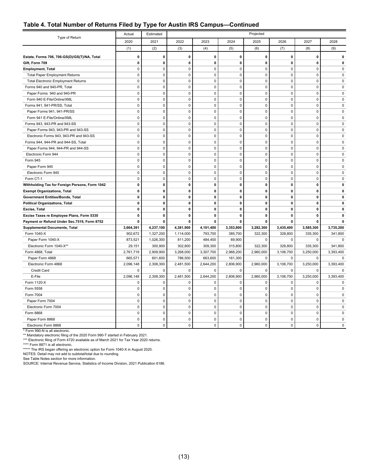#### **Table 4. Total Number of Returns Filed by Type for Austin IRS Campus—Continued**

| 2020<br>2021<br>2022<br>2023<br>2024<br>2025<br>2026<br>2027<br>2028<br>(1)<br>(2)<br>(3)<br>(4)<br>(5)<br>(6)<br>(7)<br>(8)<br>(9)<br>$\mathbf 0$<br>0<br>$\pmb{0}$<br>$\pmb{0}$<br>0<br>$\pmb{0}$<br>$\pmb{0}$<br>0<br>$\mathbf 0$<br>Estate, Forms 706, 706-GS(D)/GS(T)/NA, Total<br>$\mathbf 0$<br>$\mathbf 0$<br>Gift, Form 709<br>$\mathbf 0$<br>$\mathbf 0$<br>$\mathbf 0$<br>$\mathbf 0$<br>0<br>$\mathbf 0$<br>0<br>0<br>0<br>$\mathbf 0$<br>$\mathbf 0$<br>$\pmb{0}$<br>$\mathbf 0$<br><b>Employment, Total</b><br>$\mathbf 0$<br>$\Omega$<br>$\mathbf 0$<br>$\mathbf 0$<br>$\mathbf 0$<br><b>Total Paper Employment Returns</b><br>$\mathbf 0$<br>$\mathbf 0$<br>$\mathbf 0$<br>$\mathbf 0$<br>$\mathbf 0$<br>$\mathbf 0$<br>$\mathbf 0$<br>$\mathbf 0$<br>$\mathbf 0$<br>$\mathbf 0$<br>$\mathbf 0$<br>$\mathbf 0$<br>$\mathbf 0$<br>$\mathbf 0$<br><b>Total Electronic Employment Returns</b><br>0<br>$\mathbf 0$<br>$\Omega$<br>$\Omega$<br>$\Omega$<br>Forms 940 and 940-PR, Total<br>$\Omega$<br>$\Omega$<br>$\Omega$<br>$\Omega$<br>$\Omega$<br>$\Omega$<br>$\mathbf 0$<br>Paper Forms 940 and 940-PR<br>$\mathbf 0$<br>$\mathbf 0$<br>$\mathbf 0$<br>$\mathbf 0$<br>$\mathbf 0$<br>$\Omega$<br>$\Omega$<br>$\mathbf 0$<br>Form 940 E-File/Online/XML<br>$\mathbf 0$<br>$\mathsf 0$<br>$\mathbf 0$<br>$\pmb{0}$<br>$\mathsf 0$<br>$\mathbf 0$<br>$\mathbf 0$<br>$\mathbf 0$<br>$\pmb{0}$<br>Forms 941, 941-PR/SS, Total<br>$\mathbf 0$<br>$\mathbf 0$<br>$\mathbf 0$<br>$\pmb{0}$<br>$\mathbf 0$<br>$\mathbf 0$<br>$\mathbf 0$<br>$\mathbf 0$<br>$\mathbf 0$<br>$\mathbf 0$<br>$\mathsf 0$<br>$\mathsf 0$<br>$\pmb{0}$<br>$\pmb{0}$<br>$\mathbf 0$<br>0<br>$\mathbf 0$<br>$\mathbf 0$<br>Paper Forms 941, 941-PR/SS<br>$\mathbf 0$<br>$\mathbf 0$<br>$\mathbf 0$<br>$\mathbf 0$<br>$\mathbf 0$<br>$\mathbf 0$<br>$\mathbf 0$<br>$\mathbf 0$<br>Form 941 E-File/Online/XML<br>$\mathbf 0$<br>$\pmb{0}$<br>Forms 943, 943-PR and 943-SS<br>$\mathbf 0$<br>$\mathbf 0$<br>$\mathbf 0$<br>$\mathbf 0$<br>$\mathbf 0$<br>$\mathbf 0$<br>$\mathbf 0$<br>$\mathbf 0$<br>$\pmb{0}$<br>$\mathsf 0$<br>Paper Forms 943, 943-PR and 943-SS<br>0<br>$\mathsf 0$<br>$\pmb{0}$<br>0<br>0<br>$\mathbf 0$<br>$\mathbf 0$<br>$\mathbf 0$<br>$\mathbf 0$<br>$\mathbf 0$<br>$\mathbf 0$<br>$\mathsf 0$<br>$\mathbf 0$<br>Electronic Forms 943, 943-PR and 943-SS<br>$\mathbf 0$<br>$\mathbf 0$<br>$\mathbf 0$<br>$\mathbf 0$<br>$\pmb{0}$<br>$\mathsf 0$<br>$\pmb{0}$<br>Forms 944, 944-PR and 944-SS, Total<br>$\mathbf 0$<br>$\mathbf 0$<br>$\mathbf 0$<br>$\mathbf 0$<br>$\mathbf 0$<br>$\mathbf 0$<br>$\pmb{0}$<br>$\mathbf 0$<br>$\pmb{0}$<br>$\pmb{0}$<br>$\mathbf 0$<br>$\mathbf 0$<br>$\mathbf 0$<br>$\mathbf 0$<br>Paper Forms 944, 944-PR and 944-SS<br>$\mathbf 0$<br>$\pmb{0}$<br>Electronic Form 944<br>$\mathsf 0$<br>$\mathbf 0$<br>$\mathbf 0$<br>0<br>$\mathbf 0$<br>$\mathbf 0$<br>$\mathbf 0$<br>$\mathbf 0$<br>$\mathbf 0$<br>$\mathbf 0$<br>$\mathbf 0$<br>Form 945<br>$\mathbf{0}$<br>$\mathbf 0$<br>$\mathbf 0$<br>$\Omega$<br>$\mathbf 0$<br>$\mathbf 0$<br>$\mathbf 0$<br>Paper Form 945<br>$\mathbf 0$<br>$\mathbf 0$<br>$\mathbf 0$<br>$\pmb{0}$<br>$\mathbf 0$<br>$\mathbf 0$<br>$\mathbf 0$<br>$\mathbf 0$<br>$\mathbf 0$<br>$\mathbf 0$<br>0<br>$\mathbf 0$<br>$\mathbf 0$<br>Electronic Form 945<br>$\mathbf 0$<br>$\mathbf 0$<br>$\mathbf 0$<br>Form CT-1<br>$\mathbf 0$<br>$\mathbf 0$<br>$\mathbf 0$<br>$\mathbf 0$<br>$\mathbf 0$<br>$\mathbf 0$<br>$\mathbf 0$<br>$\mathbf 0$<br>$\mathbf 0$<br>Withholding Tax for Foreign Persons, Form 1042<br>$\mathbf 0$<br>$\mathbf{0}$<br>$\mathbf 0$<br>$\mathbf 0$<br>$\mathbf 0$<br>0<br>$\mathbf 0$<br>$\mathbf 0$<br>0<br>$\mathbf{0}$<br>$\mathbf{0}$<br>$\mathbf 0$<br><b>Exempt Organizations, Total</b><br>$\mathbf{0}$<br>$\mathbf{0}$<br>$\mathbf{0}$<br>0<br>$\mathbf{0}$<br>$\mathbf{0}$<br>$\pmb{0}$<br>0<br>$\mathbf 0$<br>$\mathbf 0$<br>$\mathbf 0$<br>$\mathbf 0$<br>0<br>$\mathbf 0$<br>Government Entities/Bonds, Total<br>$\Omega$<br>$\pmb{0}$<br>$\pmb{0}$<br>0<br><b>Political Organizations, Total</b><br>0<br>0<br>0<br>0<br>0<br>$\Omega$<br>$\mathbf 0$<br>$\mathbf 0$<br>$\mathbf 0$<br>0<br>$\mathbf 0$<br>$\mathbf 0$<br>0<br>$\mathbf 0$<br>Excise, Total<br>0<br>$\mathbf 0$<br>$\pmb{0}$<br>0<br>Excise Taxes re Employee Plans, Form 5330<br>0<br>0<br>$\mathbf 0$<br>0<br>$\mathbf 0$<br>0<br>Payment or Refund Under Sec.7519, Form 8752<br>0<br>0<br>$\mathbf 0$<br>0<br>$\mathbf 0$<br>$\mathbf 0$<br>0<br>$\mathbf{0}$<br>$\mathbf{0}$<br>3,664,391<br>4,237,100<br>4,381,900<br>4,101,400<br>3,353,800<br>3,282,300<br>3,435,400<br>3,585,300<br>3,735,200<br><b>Supplemental Documents, Total</b><br>Form 1040-X<br>902,672<br>1,327,200<br>1,114,000<br>793,700<br>385,700<br>322,300<br>328,800<br>335,300<br>341,800<br>873,521<br>1,026,300<br>484,400<br>69,900<br>Paper Form 1040-X<br>811,200<br>$\mathbf 0$<br>$\mathbf 0$<br>$\mathbf 0$<br>$\mathbf 0$<br>Electronic Form 1040-X**<br>29,151<br>300,900<br>302,800<br>309,300<br>315,800<br>322,300<br>328,800<br>335,300<br>341,800<br>2,909,900<br>3,268,000<br>3,307,700<br>2,968,200<br>Form 4868, Total<br>2,761,719<br>2,960,000<br>3,106,700<br>3,250,000<br>3,393,400<br>Paper Form 4868<br>665,571<br>601,600<br>786,500<br>663,600<br>161,300<br>0<br>0<br>0<br>$\mathbf 0$<br>2,096,148<br>2,308,300<br>2,481,500<br>2,644,200<br>2,806,900<br>2,960,000<br>3,106,700<br>3,250,000<br>3,393,400<br>Electronic Form 4868<br>Credit Card<br>0<br>$\mathbf 0$<br>0<br>0<br>0<br>0<br>$\mathbf 0$<br>$\mathbf 0$<br>$\mathbf 0$<br>E-File<br>2,096,148<br>2,308,300<br>2,481,500<br>2,644,200<br>2,806,900<br>2,960,000<br>3,106,700<br>3,250,000<br>3,393,400<br>Form 1120-X<br>$\mathbf 0$<br>$\mathbf 0$<br>$\mathbf 0$<br>0<br>$\mathbf 0$<br>$\mathbf 0$<br>$\mathbf 0$<br>$\mathbf 0$<br>$\mathbf 0$<br>$\mathbf 0$<br>$\mathsf 0$<br>$\pmb{0}$<br>$\pmb{0}$<br>$\mathsf 0$<br>$\pmb{0}$<br>$\Omega$<br>$\Omega$<br>$\pmb{0}$<br>Form 5558<br>$\mathbf 0$<br>$\ddot{\mathbf{0}}$<br>$\mathbf 0$<br>$\pmb{0}$<br>$\pmb{0}$<br>$\pmb{0}$<br>$\mathbf 0$<br>Form 7004<br>$\mathbf 0$<br>$\mathbf 0$<br>$\pmb{0}$<br>$\pmb{0}$<br>$\mathbf 0$<br>$\mathsf 0$<br>$\pmb{0}$<br>$\pmb{0}$<br>$\pmb{0}$<br>$\pmb{0}$<br>$\mathbf 0$<br>Paper Form 7004<br>$\pmb{0}$<br>$\mathbf 0$<br>$\mathbf 0$<br>$\pmb{0}$<br>$\mathbf 0$<br>$\mathbf 0$<br>$\mathbf 0$<br>$\mathbf 0$<br>Electronic Form 7004<br>$\mathbf 0$<br>$\pmb{0}$<br>$\pmb{0}$<br>$\mathbf 0$<br>$\mathbf 0$<br>$\pmb{0}$<br>$\pmb{0}$<br>$\mathbf 0$<br>$\mathbf 0$<br>$\mathbf 0$<br>Form 8868<br>$\mathbf 0$<br>$\mathbf 0$<br>$\mathbf 0$<br>$\mathbf 0$<br>$\mathbf 0$<br>$\mathbf 0$<br>Paper Form 8868<br>$\mathbf 0$<br>$\mathbf 0$<br>$\mathbf 0$<br>$\mathbf 0$<br>$\mathbf 0$<br>$\mathbf 0$<br>$\mathbf 0$<br>Electronic Form 8868<br>$\mathbf 0$<br>$\mathbf 0$<br>$\mathbf 0$<br>$\mathbf 0$<br>$\mathbf 0$ | Type of Return | Actual | Estimated |  | Projected |  |  |
|--------------------------------------------------------------------------------------------------------------------------------------------------------------------------------------------------------------------------------------------------------------------------------------------------------------------------------------------------------------------------------------------------------------------------------------------------------------------------------------------------------------------------------------------------------------------------------------------------------------------------------------------------------------------------------------------------------------------------------------------------------------------------------------------------------------------------------------------------------------------------------------------------------------------------------------------------------------------------------------------------------------------------------------------------------------------------------------------------------------------------------------------------------------------------------------------------------------------------------------------------------------------------------------------------------------------------------------------------------------------------------------------------------------------------------------------------------------------------------------------------------------------------------------------------------------------------------------------------------------------------------------------------------------------------------------------------------------------------------------------------------------------------------------------------------------------------------------------------------------------------------------------------------------------------------------------------------------------------------------------------------------------------------------------------------------------------------------------------------------------------------------------------------------------------------------------------------------------------------------------------------------------------------------------------------------------------------------------------------------------------------------------------------------------------------------------------------------------------------------------------------------------------------------------------------------------------------------------------------------------------------------------------------------------------------------------------------------------------------------------------------------------------------------------------------------------------------------------------------------------------------------------------------------------------------------------------------------------------------------------------------------------------------------------------------------------------------------------------------------------------------------------------------------------------------------------------------------------------------------------------------------------------------------------------------------------------------------------------------------------------------------------------------------------------------------------------------------------------------------------------------------------------------------------------------------------------------------------------------------------------------------------------------------------------------------------------------------------------------------------------------------------------------------------------------------------------------------------------------------------------------------------------------------------------------------------------------------------------------------------------------------------------------------------------------------------------------------------------------------------------------------------------------------------------------------------------------------------------------------------------------------------------------------------------------------------------------------------------------------------------------------------------------------------------------------------------------------------------------------------------------------------------------------------------------------------------------------------------------------------------------------------------------------------------------------------------------------------------------------------------------------------------------------------------------------------------------------------------------------------------------------------------------------------------------------------------------------------------------------------------------------------------------------------------------------------------------------------------------------------------------------------------------------------------------------------------------------------------------------------------------------------------------------------------------------------------------------------------------------------------------------------------------------------------------------------------------------------------------------------------------------------------------------------------------------------------------------------------------------------------------------------------------------------------------------------------------------------------------------------------------------------------------------------------------------------------------------------------------------------------------------------------------------------------------------------------------------------------------------------------------------------------------------------------------------------------------------------------------------------------------------------------------------------------------------------------------------------------------------------------------------------------------------------------------------------------------------------------------------------------------------------------------------------------------------------------------------------------------------------------------------------------------------------------------------------------------------------------------------------------------------------------------------------------------------------------------------------------------------------------------------------------------------------------------------------------------------------------------------------------------------------------------------------------------------------------------------------------|----------------|--------|-----------|--|-----------|--|--|
|                                                                                                                                                                                                                                                                                                                                                                                                                                                                                                                                                                                                                                                                                                                                                                                                                                                                                                                                                                                                                                                                                                                                                                                                                                                                                                                                                                                                                                                                                                                                                                                                                                                                                                                                                                                                                                                                                                                                                                                                                                                                                                                                                                                                                                                                                                                                                                                                                                                                                                                                                                                                                                                                                                                                                                                                                                                                                                                                                                                                                                                                                                                                                                                                                                                                                                                                                                                                                                                                                                                                                                                                                                                                                                                                                                                                                                                                                                                                                                                                                                                                                                                                                                                                                                                                                                                                                                                                                                                                                                                                                                                                                                                                                                                                                                                                                                                                                                                                                                                                                                                                                                                                                                                                                                                                                                                                                                                                                                                                                                                                                                                                                                                                                                                                                                                                                                                                                                                                                                                                                                                                                                                                                                                                                                                                                                                                                                                                                                                                                                                                                                                                                                                                                                                                                                                                                                                                                                                                                                          |                |        |           |  |           |  |  |
|                                                                                                                                                                                                                                                                                                                                                                                                                                                                                                                                                                                                                                                                                                                                                                                                                                                                                                                                                                                                                                                                                                                                                                                                                                                                                                                                                                                                                                                                                                                                                                                                                                                                                                                                                                                                                                                                                                                                                                                                                                                                                                                                                                                                                                                                                                                                                                                                                                                                                                                                                                                                                                                                                                                                                                                                                                                                                                                                                                                                                                                                                                                                                                                                                                                                                                                                                                                                                                                                                                                                                                                                                                                                                                                                                                                                                                                                                                                                                                                                                                                                                                                                                                                                                                                                                                                                                                                                                                                                                                                                                                                                                                                                                                                                                                                                                                                                                                                                                                                                                                                                                                                                                                                                                                                                                                                                                                                                                                                                                                                                                                                                                                                                                                                                                                                                                                                                                                                                                                                                                                                                                                                                                                                                                                                                                                                                                                                                                                                                                                                                                                                                                                                                                                                                                                                                                                                                                                                                                                          |                |        |           |  |           |  |  |
|                                                                                                                                                                                                                                                                                                                                                                                                                                                                                                                                                                                                                                                                                                                                                                                                                                                                                                                                                                                                                                                                                                                                                                                                                                                                                                                                                                                                                                                                                                                                                                                                                                                                                                                                                                                                                                                                                                                                                                                                                                                                                                                                                                                                                                                                                                                                                                                                                                                                                                                                                                                                                                                                                                                                                                                                                                                                                                                                                                                                                                                                                                                                                                                                                                                                                                                                                                                                                                                                                                                                                                                                                                                                                                                                                                                                                                                                                                                                                                                                                                                                                                                                                                                                                                                                                                                                                                                                                                                                                                                                                                                                                                                                                                                                                                                                                                                                                                                                                                                                                                                                                                                                                                                                                                                                                                                                                                                                                                                                                                                                                                                                                                                                                                                                                                                                                                                                                                                                                                                                                                                                                                                                                                                                                                                                                                                                                                                                                                                                                                                                                                                                                                                                                                                                                                                                                                                                                                                                                                          |                |        |           |  |           |  |  |
|                                                                                                                                                                                                                                                                                                                                                                                                                                                                                                                                                                                                                                                                                                                                                                                                                                                                                                                                                                                                                                                                                                                                                                                                                                                                                                                                                                                                                                                                                                                                                                                                                                                                                                                                                                                                                                                                                                                                                                                                                                                                                                                                                                                                                                                                                                                                                                                                                                                                                                                                                                                                                                                                                                                                                                                                                                                                                                                                                                                                                                                                                                                                                                                                                                                                                                                                                                                                                                                                                                                                                                                                                                                                                                                                                                                                                                                                                                                                                                                                                                                                                                                                                                                                                                                                                                                                                                                                                                                                                                                                                                                                                                                                                                                                                                                                                                                                                                                                                                                                                                                                                                                                                                                                                                                                                                                                                                                                                                                                                                                                                                                                                                                                                                                                                                                                                                                                                                                                                                                                                                                                                                                                                                                                                                                                                                                                                                                                                                                                                                                                                                                                                                                                                                                                                                                                                                                                                                                                                                          |                |        |           |  |           |  |  |
|                                                                                                                                                                                                                                                                                                                                                                                                                                                                                                                                                                                                                                                                                                                                                                                                                                                                                                                                                                                                                                                                                                                                                                                                                                                                                                                                                                                                                                                                                                                                                                                                                                                                                                                                                                                                                                                                                                                                                                                                                                                                                                                                                                                                                                                                                                                                                                                                                                                                                                                                                                                                                                                                                                                                                                                                                                                                                                                                                                                                                                                                                                                                                                                                                                                                                                                                                                                                                                                                                                                                                                                                                                                                                                                                                                                                                                                                                                                                                                                                                                                                                                                                                                                                                                                                                                                                                                                                                                                                                                                                                                                                                                                                                                                                                                                                                                                                                                                                                                                                                                                                                                                                                                                                                                                                                                                                                                                                                                                                                                                                                                                                                                                                                                                                                                                                                                                                                                                                                                                                                                                                                                                                                                                                                                                                                                                                                                                                                                                                                                                                                                                                                                                                                                                                                                                                                                                                                                                                                                          |                |        |           |  |           |  |  |
|                                                                                                                                                                                                                                                                                                                                                                                                                                                                                                                                                                                                                                                                                                                                                                                                                                                                                                                                                                                                                                                                                                                                                                                                                                                                                                                                                                                                                                                                                                                                                                                                                                                                                                                                                                                                                                                                                                                                                                                                                                                                                                                                                                                                                                                                                                                                                                                                                                                                                                                                                                                                                                                                                                                                                                                                                                                                                                                                                                                                                                                                                                                                                                                                                                                                                                                                                                                                                                                                                                                                                                                                                                                                                                                                                                                                                                                                                                                                                                                                                                                                                                                                                                                                                                                                                                                                                                                                                                                                                                                                                                                                                                                                                                                                                                                                                                                                                                                                                                                                                                                                                                                                                                                                                                                                                                                                                                                                                                                                                                                                                                                                                                                                                                                                                                                                                                                                                                                                                                                                                                                                                                                                                                                                                                                                                                                                                                                                                                                                                                                                                                                                                                                                                                                                                                                                                                                                                                                                                                          |                |        |           |  |           |  |  |
|                                                                                                                                                                                                                                                                                                                                                                                                                                                                                                                                                                                                                                                                                                                                                                                                                                                                                                                                                                                                                                                                                                                                                                                                                                                                                                                                                                                                                                                                                                                                                                                                                                                                                                                                                                                                                                                                                                                                                                                                                                                                                                                                                                                                                                                                                                                                                                                                                                                                                                                                                                                                                                                                                                                                                                                                                                                                                                                                                                                                                                                                                                                                                                                                                                                                                                                                                                                                                                                                                                                                                                                                                                                                                                                                                                                                                                                                                                                                                                                                                                                                                                                                                                                                                                                                                                                                                                                                                                                                                                                                                                                                                                                                                                                                                                                                                                                                                                                                                                                                                                                                                                                                                                                                                                                                                                                                                                                                                                                                                                                                                                                                                                                                                                                                                                                                                                                                                                                                                                                                                                                                                                                                                                                                                                                                                                                                                                                                                                                                                                                                                                                                                                                                                                                                                                                                                                                                                                                                                                          |                |        |           |  |           |  |  |
|                                                                                                                                                                                                                                                                                                                                                                                                                                                                                                                                                                                                                                                                                                                                                                                                                                                                                                                                                                                                                                                                                                                                                                                                                                                                                                                                                                                                                                                                                                                                                                                                                                                                                                                                                                                                                                                                                                                                                                                                                                                                                                                                                                                                                                                                                                                                                                                                                                                                                                                                                                                                                                                                                                                                                                                                                                                                                                                                                                                                                                                                                                                                                                                                                                                                                                                                                                                                                                                                                                                                                                                                                                                                                                                                                                                                                                                                                                                                                                                                                                                                                                                                                                                                                                                                                                                                                                                                                                                                                                                                                                                                                                                                                                                                                                                                                                                                                                                                                                                                                                                                                                                                                                                                                                                                                                                                                                                                                                                                                                                                                                                                                                                                                                                                                                                                                                                                                                                                                                                                                                                                                                                                                                                                                                                                                                                                                                                                                                                                                                                                                                                                                                                                                                                                                                                                                                                                                                                                                                          |                |        |           |  |           |  |  |
|                                                                                                                                                                                                                                                                                                                                                                                                                                                                                                                                                                                                                                                                                                                                                                                                                                                                                                                                                                                                                                                                                                                                                                                                                                                                                                                                                                                                                                                                                                                                                                                                                                                                                                                                                                                                                                                                                                                                                                                                                                                                                                                                                                                                                                                                                                                                                                                                                                                                                                                                                                                                                                                                                                                                                                                                                                                                                                                                                                                                                                                                                                                                                                                                                                                                                                                                                                                                                                                                                                                                                                                                                                                                                                                                                                                                                                                                                                                                                                                                                                                                                                                                                                                                                                                                                                                                                                                                                                                                                                                                                                                                                                                                                                                                                                                                                                                                                                                                                                                                                                                                                                                                                                                                                                                                                                                                                                                                                                                                                                                                                                                                                                                                                                                                                                                                                                                                                                                                                                                                                                                                                                                                                                                                                                                                                                                                                                                                                                                                                                                                                                                                                                                                                                                                                                                                                                                                                                                                                                          |                |        |           |  |           |  |  |
|                                                                                                                                                                                                                                                                                                                                                                                                                                                                                                                                                                                                                                                                                                                                                                                                                                                                                                                                                                                                                                                                                                                                                                                                                                                                                                                                                                                                                                                                                                                                                                                                                                                                                                                                                                                                                                                                                                                                                                                                                                                                                                                                                                                                                                                                                                                                                                                                                                                                                                                                                                                                                                                                                                                                                                                                                                                                                                                                                                                                                                                                                                                                                                                                                                                                                                                                                                                                                                                                                                                                                                                                                                                                                                                                                                                                                                                                                                                                                                                                                                                                                                                                                                                                                                                                                                                                                                                                                                                                                                                                                                                                                                                                                                                                                                                                                                                                                                                                                                                                                                                                                                                                                                                                                                                                                                                                                                                                                                                                                                                                                                                                                                                                                                                                                                                                                                                                                                                                                                                                                                                                                                                                                                                                                                                                                                                                                                                                                                                                                                                                                                                                                                                                                                                                                                                                                                                                                                                                                                          |                |        |           |  |           |  |  |
|                                                                                                                                                                                                                                                                                                                                                                                                                                                                                                                                                                                                                                                                                                                                                                                                                                                                                                                                                                                                                                                                                                                                                                                                                                                                                                                                                                                                                                                                                                                                                                                                                                                                                                                                                                                                                                                                                                                                                                                                                                                                                                                                                                                                                                                                                                                                                                                                                                                                                                                                                                                                                                                                                                                                                                                                                                                                                                                                                                                                                                                                                                                                                                                                                                                                                                                                                                                                                                                                                                                                                                                                                                                                                                                                                                                                                                                                                                                                                                                                                                                                                                                                                                                                                                                                                                                                                                                                                                                                                                                                                                                                                                                                                                                                                                                                                                                                                                                                                                                                                                                                                                                                                                                                                                                                                                                                                                                                                                                                                                                                                                                                                                                                                                                                                                                                                                                                                                                                                                                                                                                                                                                                                                                                                                                                                                                                                                                                                                                                                                                                                                                                                                                                                                                                                                                                                                                                                                                                                                          |                |        |           |  |           |  |  |
|                                                                                                                                                                                                                                                                                                                                                                                                                                                                                                                                                                                                                                                                                                                                                                                                                                                                                                                                                                                                                                                                                                                                                                                                                                                                                                                                                                                                                                                                                                                                                                                                                                                                                                                                                                                                                                                                                                                                                                                                                                                                                                                                                                                                                                                                                                                                                                                                                                                                                                                                                                                                                                                                                                                                                                                                                                                                                                                                                                                                                                                                                                                                                                                                                                                                                                                                                                                                                                                                                                                                                                                                                                                                                                                                                                                                                                                                                                                                                                                                                                                                                                                                                                                                                                                                                                                                                                                                                                                                                                                                                                                                                                                                                                                                                                                                                                                                                                                                                                                                                                                                                                                                                                                                                                                                                                                                                                                                                                                                                                                                                                                                                                                                                                                                                                                                                                                                                                                                                                                                                                                                                                                                                                                                                                                                                                                                                                                                                                                                                                                                                                                                                                                                                                                                                                                                                                                                                                                                                                          |                |        |           |  |           |  |  |
|                                                                                                                                                                                                                                                                                                                                                                                                                                                                                                                                                                                                                                                                                                                                                                                                                                                                                                                                                                                                                                                                                                                                                                                                                                                                                                                                                                                                                                                                                                                                                                                                                                                                                                                                                                                                                                                                                                                                                                                                                                                                                                                                                                                                                                                                                                                                                                                                                                                                                                                                                                                                                                                                                                                                                                                                                                                                                                                                                                                                                                                                                                                                                                                                                                                                                                                                                                                                                                                                                                                                                                                                                                                                                                                                                                                                                                                                                                                                                                                                                                                                                                                                                                                                                                                                                                                                                                                                                                                                                                                                                                                                                                                                                                                                                                                                                                                                                                                                                                                                                                                                                                                                                                                                                                                                                                                                                                                                                                                                                                                                                                                                                                                                                                                                                                                                                                                                                                                                                                                                                                                                                                                                                                                                                                                                                                                                                                                                                                                                                                                                                                                                                                                                                                                                                                                                                                                                                                                                                                          |                |        |           |  |           |  |  |
|                                                                                                                                                                                                                                                                                                                                                                                                                                                                                                                                                                                                                                                                                                                                                                                                                                                                                                                                                                                                                                                                                                                                                                                                                                                                                                                                                                                                                                                                                                                                                                                                                                                                                                                                                                                                                                                                                                                                                                                                                                                                                                                                                                                                                                                                                                                                                                                                                                                                                                                                                                                                                                                                                                                                                                                                                                                                                                                                                                                                                                                                                                                                                                                                                                                                                                                                                                                                                                                                                                                                                                                                                                                                                                                                                                                                                                                                                                                                                                                                                                                                                                                                                                                                                                                                                                                                                                                                                                                                                                                                                                                                                                                                                                                                                                                                                                                                                                                                                                                                                                                                                                                                                                                                                                                                                                                                                                                                                                                                                                                                                                                                                                                                                                                                                                                                                                                                                                                                                                                                                                                                                                                                                                                                                                                                                                                                                                                                                                                                                                                                                                                                                                                                                                                                                                                                                                                                                                                                                                          |                |        |           |  |           |  |  |
|                                                                                                                                                                                                                                                                                                                                                                                                                                                                                                                                                                                                                                                                                                                                                                                                                                                                                                                                                                                                                                                                                                                                                                                                                                                                                                                                                                                                                                                                                                                                                                                                                                                                                                                                                                                                                                                                                                                                                                                                                                                                                                                                                                                                                                                                                                                                                                                                                                                                                                                                                                                                                                                                                                                                                                                                                                                                                                                                                                                                                                                                                                                                                                                                                                                                                                                                                                                                                                                                                                                                                                                                                                                                                                                                                                                                                                                                                                                                                                                                                                                                                                                                                                                                                                                                                                                                                                                                                                                                                                                                                                                                                                                                                                                                                                                                                                                                                                                                                                                                                                                                                                                                                                                                                                                                                                                                                                                                                                                                                                                                                                                                                                                                                                                                                                                                                                                                                                                                                                                                                                                                                                                                                                                                                                                                                                                                                                                                                                                                                                                                                                                                                                                                                                                                                                                                                                                                                                                                                                          |                |        |           |  |           |  |  |
|                                                                                                                                                                                                                                                                                                                                                                                                                                                                                                                                                                                                                                                                                                                                                                                                                                                                                                                                                                                                                                                                                                                                                                                                                                                                                                                                                                                                                                                                                                                                                                                                                                                                                                                                                                                                                                                                                                                                                                                                                                                                                                                                                                                                                                                                                                                                                                                                                                                                                                                                                                                                                                                                                                                                                                                                                                                                                                                                                                                                                                                                                                                                                                                                                                                                                                                                                                                                                                                                                                                                                                                                                                                                                                                                                                                                                                                                                                                                                                                                                                                                                                                                                                                                                                                                                                                                                                                                                                                                                                                                                                                                                                                                                                                                                                                                                                                                                                                                                                                                                                                                                                                                                                                                                                                                                                                                                                                                                                                                                                                                                                                                                                                                                                                                                                                                                                                                                                                                                                                                                                                                                                                                                                                                                                                                                                                                                                                                                                                                                                                                                                                                                                                                                                                                                                                                                                                                                                                                                                          |                |        |           |  |           |  |  |
|                                                                                                                                                                                                                                                                                                                                                                                                                                                                                                                                                                                                                                                                                                                                                                                                                                                                                                                                                                                                                                                                                                                                                                                                                                                                                                                                                                                                                                                                                                                                                                                                                                                                                                                                                                                                                                                                                                                                                                                                                                                                                                                                                                                                                                                                                                                                                                                                                                                                                                                                                                                                                                                                                                                                                                                                                                                                                                                                                                                                                                                                                                                                                                                                                                                                                                                                                                                                                                                                                                                                                                                                                                                                                                                                                                                                                                                                                                                                                                                                                                                                                                                                                                                                                                                                                                                                                                                                                                                                                                                                                                                                                                                                                                                                                                                                                                                                                                                                                                                                                                                                                                                                                                                                                                                                                                                                                                                                                                                                                                                                                                                                                                                                                                                                                                                                                                                                                                                                                                                                                                                                                                                                                                                                                                                                                                                                                                                                                                                                                                                                                                                                                                                                                                                                                                                                                                                                                                                                                                          |                |        |           |  |           |  |  |
|                                                                                                                                                                                                                                                                                                                                                                                                                                                                                                                                                                                                                                                                                                                                                                                                                                                                                                                                                                                                                                                                                                                                                                                                                                                                                                                                                                                                                                                                                                                                                                                                                                                                                                                                                                                                                                                                                                                                                                                                                                                                                                                                                                                                                                                                                                                                                                                                                                                                                                                                                                                                                                                                                                                                                                                                                                                                                                                                                                                                                                                                                                                                                                                                                                                                                                                                                                                                                                                                                                                                                                                                                                                                                                                                                                                                                                                                                                                                                                                                                                                                                                                                                                                                                                                                                                                                                                                                                                                                                                                                                                                                                                                                                                                                                                                                                                                                                                                                                                                                                                                                                                                                                                                                                                                                                                                                                                                                                                                                                                                                                                                                                                                                                                                                                                                                                                                                                                                                                                                                                                                                                                                                                                                                                                                                                                                                                                                                                                                                                                                                                                                                                                                                                                                                                                                                                                                                                                                                                                          |                |        |           |  |           |  |  |
|                                                                                                                                                                                                                                                                                                                                                                                                                                                                                                                                                                                                                                                                                                                                                                                                                                                                                                                                                                                                                                                                                                                                                                                                                                                                                                                                                                                                                                                                                                                                                                                                                                                                                                                                                                                                                                                                                                                                                                                                                                                                                                                                                                                                                                                                                                                                                                                                                                                                                                                                                                                                                                                                                                                                                                                                                                                                                                                                                                                                                                                                                                                                                                                                                                                                                                                                                                                                                                                                                                                                                                                                                                                                                                                                                                                                                                                                                                                                                                                                                                                                                                                                                                                                                                                                                                                                                                                                                                                                                                                                                                                                                                                                                                                                                                                                                                                                                                                                                                                                                                                                                                                                                                                                                                                                                                                                                                                                                                                                                                                                                                                                                                                                                                                                                                                                                                                                                                                                                                                                                                                                                                                                                                                                                                                                                                                                                                                                                                                                                                                                                                                                                                                                                                                                                                                                                                                                                                                                                                          |                |        |           |  |           |  |  |
|                                                                                                                                                                                                                                                                                                                                                                                                                                                                                                                                                                                                                                                                                                                                                                                                                                                                                                                                                                                                                                                                                                                                                                                                                                                                                                                                                                                                                                                                                                                                                                                                                                                                                                                                                                                                                                                                                                                                                                                                                                                                                                                                                                                                                                                                                                                                                                                                                                                                                                                                                                                                                                                                                                                                                                                                                                                                                                                                                                                                                                                                                                                                                                                                                                                                                                                                                                                                                                                                                                                                                                                                                                                                                                                                                                                                                                                                                                                                                                                                                                                                                                                                                                                                                                                                                                                                                                                                                                                                                                                                                                                                                                                                                                                                                                                                                                                                                                                                                                                                                                                                                                                                                                                                                                                                                                                                                                                                                                                                                                                                                                                                                                                                                                                                                                                                                                                                                                                                                                                                                                                                                                                                                                                                                                                                                                                                                                                                                                                                                                                                                                                                                                                                                                                                                                                                                                                                                                                                                                          |                |        |           |  |           |  |  |
|                                                                                                                                                                                                                                                                                                                                                                                                                                                                                                                                                                                                                                                                                                                                                                                                                                                                                                                                                                                                                                                                                                                                                                                                                                                                                                                                                                                                                                                                                                                                                                                                                                                                                                                                                                                                                                                                                                                                                                                                                                                                                                                                                                                                                                                                                                                                                                                                                                                                                                                                                                                                                                                                                                                                                                                                                                                                                                                                                                                                                                                                                                                                                                                                                                                                                                                                                                                                                                                                                                                                                                                                                                                                                                                                                                                                                                                                                                                                                                                                                                                                                                                                                                                                                                                                                                                                                                                                                                                                                                                                                                                                                                                                                                                                                                                                                                                                                                                                                                                                                                                                                                                                                                                                                                                                                                                                                                                                                                                                                                                                                                                                                                                                                                                                                                                                                                                                                                                                                                                                                                                                                                                                                                                                                                                                                                                                                                                                                                                                                                                                                                                                                                                                                                                                                                                                                                                                                                                                                                          |                |        |           |  |           |  |  |
|                                                                                                                                                                                                                                                                                                                                                                                                                                                                                                                                                                                                                                                                                                                                                                                                                                                                                                                                                                                                                                                                                                                                                                                                                                                                                                                                                                                                                                                                                                                                                                                                                                                                                                                                                                                                                                                                                                                                                                                                                                                                                                                                                                                                                                                                                                                                                                                                                                                                                                                                                                                                                                                                                                                                                                                                                                                                                                                                                                                                                                                                                                                                                                                                                                                                                                                                                                                                                                                                                                                                                                                                                                                                                                                                                                                                                                                                                                                                                                                                                                                                                                                                                                                                                                                                                                                                                                                                                                                                                                                                                                                                                                                                                                                                                                                                                                                                                                                                                                                                                                                                                                                                                                                                                                                                                                                                                                                                                                                                                                                                                                                                                                                                                                                                                                                                                                                                                                                                                                                                                                                                                                                                                                                                                                                                                                                                                                                                                                                                                                                                                                                                                                                                                                                                                                                                                                                                                                                                                                          |                |        |           |  |           |  |  |
|                                                                                                                                                                                                                                                                                                                                                                                                                                                                                                                                                                                                                                                                                                                                                                                                                                                                                                                                                                                                                                                                                                                                                                                                                                                                                                                                                                                                                                                                                                                                                                                                                                                                                                                                                                                                                                                                                                                                                                                                                                                                                                                                                                                                                                                                                                                                                                                                                                                                                                                                                                                                                                                                                                                                                                                                                                                                                                                                                                                                                                                                                                                                                                                                                                                                                                                                                                                                                                                                                                                                                                                                                                                                                                                                                                                                                                                                                                                                                                                                                                                                                                                                                                                                                                                                                                                                                                                                                                                                                                                                                                                                                                                                                                                                                                                                                                                                                                                                                                                                                                                                                                                                                                                                                                                                                                                                                                                                                                                                                                                                                                                                                                                                                                                                                                                                                                                                                                                                                                                                                                                                                                                                                                                                                                                                                                                                                                                                                                                                                                                                                                                                                                                                                                                                                                                                                                                                                                                                                                          |                |        |           |  |           |  |  |
|                                                                                                                                                                                                                                                                                                                                                                                                                                                                                                                                                                                                                                                                                                                                                                                                                                                                                                                                                                                                                                                                                                                                                                                                                                                                                                                                                                                                                                                                                                                                                                                                                                                                                                                                                                                                                                                                                                                                                                                                                                                                                                                                                                                                                                                                                                                                                                                                                                                                                                                                                                                                                                                                                                                                                                                                                                                                                                                                                                                                                                                                                                                                                                                                                                                                                                                                                                                                                                                                                                                                                                                                                                                                                                                                                                                                                                                                                                                                                                                                                                                                                                                                                                                                                                                                                                                                                                                                                                                                                                                                                                                                                                                                                                                                                                                                                                                                                                                                                                                                                                                                                                                                                                                                                                                                                                                                                                                                                                                                                                                                                                                                                                                                                                                                                                                                                                                                                                                                                                                                                                                                                                                                                                                                                                                                                                                                                                                                                                                                                                                                                                                                                                                                                                                                                                                                                                                                                                                                                                          |                |        |           |  |           |  |  |
|                                                                                                                                                                                                                                                                                                                                                                                                                                                                                                                                                                                                                                                                                                                                                                                                                                                                                                                                                                                                                                                                                                                                                                                                                                                                                                                                                                                                                                                                                                                                                                                                                                                                                                                                                                                                                                                                                                                                                                                                                                                                                                                                                                                                                                                                                                                                                                                                                                                                                                                                                                                                                                                                                                                                                                                                                                                                                                                                                                                                                                                                                                                                                                                                                                                                                                                                                                                                                                                                                                                                                                                                                                                                                                                                                                                                                                                                                                                                                                                                                                                                                                                                                                                                                                                                                                                                                                                                                                                                                                                                                                                                                                                                                                                                                                                                                                                                                                                                                                                                                                                                                                                                                                                                                                                                                                                                                                                                                                                                                                                                                                                                                                                                                                                                                                                                                                                                                                                                                                                                                                                                                                                                                                                                                                                                                                                                                                                                                                                                                                                                                                                                                                                                                                                                                                                                                                                                                                                                                                          |                |        |           |  |           |  |  |
|                                                                                                                                                                                                                                                                                                                                                                                                                                                                                                                                                                                                                                                                                                                                                                                                                                                                                                                                                                                                                                                                                                                                                                                                                                                                                                                                                                                                                                                                                                                                                                                                                                                                                                                                                                                                                                                                                                                                                                                                                                                                                                                                                                                                                                                                                                                                                                                                                                                                                                                                                                                                                                                                                                                                                                                                                                                                                                                                                                                                                                                                                                                                                                                                                                                                                                                                                                                                                                                                                                                                                                                                                                                                                                                                                                                                                                                                                                                                                                                                                                                                                                                                                                                                                                                                                                                                                                                                                                                                                                                                                                                                                                                                                                                                                                                                                                                                                                                                                                                                                                                                                                                                                                                                                                                                                                                                                                                                                                                                                                                                                                                                                                                                                                                                                                                                                                                                                                                                                                                                                                                                                                                                                                                                                                                                                                                                                                                                                                                                                                                                                                                                                                                                                                                                                                                                                                                                                                                                                                          |                |        |           |  |           |  |  |
|                                                                                                                                                                                                                                                                                                                                                                                                                                                                                                                                                                                                                                                                                                                                                                                                                                                                                                                                                                                                                                                                                                                                                                                                                                                                                                                                                                                                                                                                                                                                                                                                                                                                                                                                                                                                                                                                                                                                                                                                                                                                                                                                                                                                                                                                                                                                                                                                                                                                                                                                                                                                                                                                                                                                                                                                                                                                                                                                                                                                                                                                                                                                                                                                                                                                                                                                                                                                                                                                                                                                                                                                                                                                                                                                                                                                                                                                                                                                                                                                                                                                                                                                                                                                                                                                                                                                                                                                                                                                                                                                                                                                                                                                                                                                                                                                                                                                                                                                                                                                                                                                                                                                                                                                                                                                                                                                                                                                                                                                                                                                                                                                                                                                                                                                                                                                                                                                                                                                                                                                                                                                                                                                                                                                                                                                                                                                                                                                                                                                                                                                                                                                                                                                                                                                                                                                                                                                                                                                                                          |                |        |           |  |           |  |  |
|                                                                                                                                                                                                                                                                                                                                                                                                                                                                                                                                                                                                                                                                                                                                                                                                                                                                                                                                                                                                                                                                                                                                                                                                                                                                                                                                                                                                                                                                                                                                                                                                                                                                                                                                                                                                                                                                                                                                                                                                                                                                                                                                                                                                                                                                                                                                                                                                                                                                                                                                                                                                                                                                                                                                                                                                                                                                                                                                                                                                                                                                                                                                                                                                                                                                                                                                                                                                                                                                                                                                                                                                                                                                                                                                                                                                                                                                                                                                                                                                                                                                                                                                                                                                                                                                                                                                                                                                                                                                                                                                                                                                                                                                                                                                                                                                                                                                                                                                                                                                                                                                                                                                                                                                                                                                                                                                                                                                                                                                                                                                                                                                                                                                                                                                                                                                                                                                                                                                                                                                                                                                                                                                                                                                                                                                                                                                                                                                                                                                                                                                                                                                                                                                                                                                                                                                                                                                                                                                                                          |                |        |           |  |           |  |  |
|                                                                                                                                                                                                                                                                                                                                                                                                                                                                                                                                                                                                                                                                                                                                                                                                                                                                                                                                                                                                                                                                                                                                                                                                                                                                                                                                                                                                                                                                                                                                                                                                                                                                                                                                                                                                                                                                                                                                                                                                                                                                                                                                                                                                                                                                                                                                                                                                                                                                                                                                                                                                                                                                                                                                                                                                                                                                                                                                                                                                                                                                                                                                                                                                                                                                                                                                                                                                                                                                                                                                                                                                                                                                                                                                                                                                                                                                                                                                                                                                                                                                                                                                                                                                                                                                                                                                                                                                                                                                                                                                                                                                                                                                                                                                                                                                                                                                                                                                                                                                                                                                                                                                                                                                                                                                                                                                                                                                                                                                                                                                                                                                                                                                                                                                                                                                                                                                                                                                                                                                                                                                                                                                                                                                                                                                                                                                                                                                                                                                                                                                                                                                                                                                                                                                                                                                                                                                                                                                                                          |                |        |           |  |           |  |  |
|                                                                                                                                                                                                                                                                                                                                                                                                                                                                                                                                                                                                                                                                                                                                                                                                                                                                                                                                                                                                                                                                                                                                                                                                                                                                                                                                                                                                                                                                                                                                                                                                                                                                                                                                                                                                                                                                                                                                                                                                                                                                                                                                                                                                                                                                                                                                                                                                                                                                                                                                                                                                                                                                                                                                                                                                                                                                                                                                                                                                                                                                                                                                                                                                                                                                                                                                                                                                                                                                                                                                                                                                                                                                                                                                                                                                                                                                                                                                                                                                                                                                                                                                                                                                                                                                                                                                                                                                                                                                                                                                                                                                                                                                                                                                                                                                                                                                                                                                                                                                                                                                                                                                                                                                                                                                                                                                                                                                                                                                                                                                                                                                                                                                                                                                                                                                                                                                                                                                                                                                                                                                                                                                                                                                                                                                                                                                                                                                                                                                                                                                                                                                                                                                                                                                                                                                                                                                                                                                                                          |                |        |           |  |           |  |  |
|                                                                                                                                                                                                                                                                                                                                                                                                                                                                                                                                                                                                                                                                                                                                                                                                                                                                                                                                                                                                                                                                                                                                                                                                                                                                                                                                                                                                                                                                                                                                                                                                                                                                                                                                                                                                                                                                                                                                                                                                                                                                                                                                                                                                                                                                                                                                                                                                                                                                                                                                                                                                                                                                                                                                                                                                                                                                                                                                                                                                                                                                                                                                                                                                                                                                                                                                                                                                                                                                                                                                                                                                                                                                                                                                                                                                                                                                                                                                                                                                                                                                                                                                                                                                                                                                                                                                                                                                                                                                                                                                                                                                                                                                                                                                                                                                                                                                                                                                                                                                                                                                                                                                                                                                                                                                                                                                                                                                                                                                                                                                                                                                                                                                                                                                                                                                                                                                                                                                                                                                                                                                                                                                                                                                                                                                                                                                                                                                                                                                                                                                                                                                                                                                                                                                                                                                                                                                                                                                                                          |                |        |           |  |           |  |  |
|                                                                                                                                                                                                                                                                                                                                                                                                                                                                                                                                                                                                                                                                                                                                                                                                                                                                                                                                                                                                                                                                                                                                                                                                                                                                                                                                                                                                                                                                                                                                                                                                                                                                                                                                                                                                                                                                                                                                                                                                                                                                                                                                                                                                                                                                                                                                                                                                                                                                                                                                                                                                                                                                                                                                                                                                                                                                                                                                                                                                                                                                                                                                                                                                                                                                                                                                                                                                                                                                                                                                                                                                                                                                                                                                                                                                                                                                                                                                                                                                                                                                                                                                                                                                                                                                                                                                                                                                                                                                                                                                                                                                                                                                                                                                                                                                                                                                                                                                                                                                                                                                                                                                                                                                                                                                                                                                                                                                                                                                                                                                                                                                                                                                                                                                                                                                                                                                                                                                                                                                                                                                                                                                                                                                                                                                                                                                                                                                                                                                                                                                                                                                                                                                                                                                                                                                                                                                                                                                                                          |                |        |           |  |           |  |  |
|                                                                                                                                                                                                                                                                                                                                                                                                                                                                                                                                                                                                                                                                                                                                                                                                                                                                                                                                                                                                                                                                                                                                                                                                                                                                                                                                                                                                                                                                                                                                                                                                                                                                                                                                                                                                                                                                                                                                                                                                                                                                                                                                                                                                                                                                                                                                                                                                                                                                                                                                                                                                                                                                                                                                                                                                                                                                                                                                                                                                                                                                                                                                                                                                                                                                                                                                                                                                                                                                                                                                                                                                                                                                                                                                                                                                                                                                                                                                                                                                                                                                                                                                                                                                                                                                                                                                                                                                                                                                                                                                                                                                                                                                                                                                                                                                                                                                                                                                                                                                                                                                                                                                                                                                                                                                                                                                                                                                                                                                                                                                                                                                                                                                                                                                                                                                                                                                                                                                                                                                                                                                                                                                                                                                                                                                                                                                                                                                                                                                                                                                                                                                                                                                                                                                                                                                                                                                                                                                                                          |                |        |           |  |           |  |  |
|                                                                                                                                                                                                                                                                                                                                                                                                                                                                                                                                                                                                                                                                                                                                                                                                                                                                                                                                                                                                                                                                                                                                                                                                                                                                                                                                                                                                                                                                                                                                                                                                                                                                                                                                                                                                                                                                                                                                                                                                                                                                                                                                                                                                                                                                                                                                                                                                                                                                                                                                                                                                                                                                                                                                                                                                                                                                                                                                                                                                                                                                                                                                                                                                                                                                                                                                                                                                                                                                                                                                                                                                                                                                                                                                                                                                                                                                                                                                                                                                                                                                                                                                                                                                                                                                                                                                                                                                                                                                                                                                                                                                                                                                                                                                                                                                                                                                                                                                                                                                                                                                                                                                                                                                                                                                                                                                                                                                                                                                                                                                                                                                                                                                                                                                                                                                                                                                                                                                                                                                                                                                                                                                                                                                                                                                                                                                                                                                                                                                                                                                                                                                                                                                                                                                                                                                                                                                                                                                                                          |                |        |           |  |           |  |  |
|                                                                                                                                                                                                                                                                                                                                                                                                                                                                                                                                                                                                                                                                                                                                                                                                                                                                                                                                                                                                                                                                                                                                                                                                                                                                                                                                                                                                                                                                                                                                                                                                                                                                                                                                                                                                                                                                                                                                                                                                                                                                                                                                                                                                                                                                                                                                                                                                                                                                                                                                                                                                                                                                                                                                                                                                                                                                                                                                                                                                                                                                                                                                                                                                                                                                                                                                                                                                                                                                                                                                                                                                                                                                                                                                                                                                                                                                                                                                                                                                                                                                                                                                                                                                                                                                                                                                                                                                                                                                                                                                                                                                                                                                                                                                                                                                                                                                                                                                                                                                                                                                                                                                                                                                                                                                                                                                                                                                                                                                                                                                                                                                                                                                                                                                                                                                                                                                                                                                                                                                                                                                                                                                                                                                                                                                                                                                                                                                                                                                                                                                                                                                                                                                                                                                                                                                                                                                                                                                                                          |                |        |           |  |           |  |  |
|                                                                                                                                                                                                                                                                                                                                                                                                                                                                                                                                                                                                                                                                                                                                                                                                                                                                                                                                                                                                                                                                                                                                                                                                                                                                                                                                                                                                                                                                                                                                                                                                                                                                                                                                                                                                                                                                                                                                                                                                                                                                                                                                                                                                                                                                                                                                                                                                                                                                                                                                                                                                                                                                                                                                                                                                                                                                                                                                                                                                                                                                                                                                                                                                                                                                                                                                                                                                                                                                                                                                                                                                                                                                                                                                                                                                                                                                                                                                                                                                                                                                                                                                                                                                                                                                                                                                                                                                                                                                                                                                                                                                                                                                                                                                                                                                                                                                                                                                                                                                                                                                                                                                                                                                                                                                                                                                                                                                                                                                                                                                                                                                                                                                                                                                                                                                                                                                                                                                                                                                                                                                                                                                                                                                                                                                                                                                                                                                                                                                                                                                                                                                                                                                                                                                                                                                                                                                                                                                                                          |                |        |           |  |           |  |  |
|                                                                                                                                                                                                                                                                                                                                                                                                                                                                                                                                                                                                                                                                                                                                                                                                                                                                                                                                                                                                                                                                                                                                                                                                                                                                                                                                                                                                                                                                                                                                                                                                                                                                                                                                                                                                                                                                                                                                                                                                                                                                                                                                                                                                                                                                                                                                                                                                                                                                                                                                                                                                                                                                                                                                                                                                                                                                                                                                                                                                                                                                                                                                                                                                                                                                                                                                                                                                                                                                                                                                                                                                                                                                                                                                                                                                                                                                                                                                                                                                                                                                                                                                                                                                                                                                                                                                                                                                                                                                                                                                                                                                                                                                                                                                                                                                                                                                                                                                                                                                                                                                                                                                                                                                                                                                                                                                                                                                                                                                                                                                                                                                                                                                                                                                                                                                                                                                                                                                                                                                                                                                                                                                                                                                                                                                                                                                                                                                                                                                                                                                                                                                                                                                                                                                                                                                                                                                                                                                                                          |                |        |           |  |           |  |  |
|                                                                                                                                                                                                                                                                                                                                                                                                                                                                                                                                                                                                                                                                                                                                                                                                                                                                                                                                                                                                                                                                                                                                                                                                                                                                                                                                                                                                                                                                                                                                                                                                                                                                                                                                                                                                                                                                                                                                                                                                                                                                                                                                                                                                                                                                                                                                                                                                                                                                                                                                                                                                                                                                                                                                                                                                                                                                                                                                                                                                                                                                                                                                                                                                                                                                                                                                                                                                                                                                                                                                                                                                                                                                                                                                                                                                                                                                                                                                                                                                                                                                                                                                                                                                                                                                                                                                                                                                                                                                                                                                                                                                                                                                                                                                                                                                                                                                                                                                                                                                                                                                                                                                                                                                                                                                                                                                                                                                                                                                                                                                                                                                                                                                                                                                                                                                                                                                                                                                                                                                                                                                                                                                                                                                                                                                                                                                                                                                                                                                                                                                                                                                                                                                                                                                                                                                                                                                                                                                                                          |                |        |           |  |           |  |  |
|                                                                                                                                                                                                                                                                                                                                                                                                                                                                                                                                                                                                                                                                                                                                                                                                                                                                                                                                                                                                                                                                                                                                                                                                                                                                                                                                                                                                                                                                                                                                                                                                                                                                                                                                                                                                                                                                                                                                                                                                                                                                                                                                                                                                                                                                                                                                                                                                                                                                                                                                                                                                                                                                                                                                                                                                                                                                                                                                                                                                                                                                                                                                                                                                                                                                                                                                                                                                                                                                                                                                                                                                                                                                                                                                                                                                                                                                                                                                                                                                                                                                                                                                                                                                                                                                                                                                                                                                                                                                                                                                                                                                                                                                                                                                                                                                                                                                                                                                                                                                                                                                                                                                                                                                                                                                                                                                                                                                                                                                                                                                                                                                                                                                                                                                                                                                                                                                                                                                                                                                                                                                                                                                                                                                                                                                                                                                                                                                                                                                                                                                                                                                                                                                                                                                                                                                                                                                                                                                                                          |                |        |           |  |           |  |  |
|                                                                                                                                                                                                                                                                                                                                                                                                                                                                                                                                                                                                                                                                                                                                                                                                                                                                                                                                                                                                                                                                                                                                                                                                                                                                                                                                                                                                                                                                                                                                                                                                                                                                                                                                                                                                                                                                                                                                                                                                                                                                                                                                                                                                                                                                                                                                                                                                                                                                                                                                                                                                                                                                                                                                                                                                                                                                                                                                                                                                                                                                                                                                                                                                                                                                                                                                                                                                                                                                                                                                                                                                                                                                                                                                                                                                                                                                                                                                                                                                                                                                                                                                                                                                                                                                                                                                                                                                                                                                                                                                                                                                                                                                                                                                                                                                                                                                                                                                                                                                                                                                                                                                                                                                                                                                                                                                                                                                                                                                                                                                                                                                                                                                                                                                                                                                                                                                                                                                                                                                                                                                                                                                                                                                                                                                                                                                                                                                                                                                                                                                                                                                                                                                                                                                                                                                                                                                                                                                                                          |                |        |           |  |           |  |  |
|                                                                                                                                                                                                                                                                                                                                                                                                                                                                                                                                                                                                                                                                                                                                                                                                                                                                                                                                                                                                                                                                                                                                                                                                                                                                                                                                                                                                                                                                                                                                                                                                                                                                                                                                                                                                                                                                                                                                                                                                                                                                                                                                                                                                                                                                                                                                                                                                                                                                                                                                                                                                                                                                                                                                                                                                                                                                                                                                                                                                                                                                                                                                                                                                                                                                                                                                                                                                                                                                                                                                                                                                                                                                                                                                                                                                                                                                                                                                                                                                                                                                                                                                                                                                                                                                                                                                                                                                                                                                                                                                                                                                                                                                                                                                                                                                                                                                                                                                                                                                                                                                                                                                                                                                                                                                                                                                                                                                                                                                                                                                                                                                                                                                                                                                                                                                                                                                                                                                                                                                                                                                                                                                                                                                                                                                                                                                                                                                                                                                                                                                                                                                                                                                                                                                                                                                                                                                                                                                                                          |                |        |           |  |           |  |  |
|                                                                                                                                                                                                                                                                                                                                                                                                                                                                                                                                                                                                                                                                                                                                                                                                                                                                                                                                                                                                                                                                                                                                                                                                                                                                                                                                                                                                                                                                                                                                                                                                                                                                                                                                                                                                                                                                                                                                                                                                                                                                                                                                                                                                                                                                                                                                                                                                                                                                                                                                                                                                                                                                                                                                                                                                                                                                                                                                                                                                                                                                                                                                                                                                                                                                                                                                                                                                                                                                                                                                                                                                                                                                                                                                                                                                                                                                                                                                                                                                                                                                                                                                                                                                                                                                                                                                                                                                                                                                                                                                                                                                                                                                                                                                                                                                                                                                                                                                                                                                                                                                                                                                                                                                                                                                                                                                                                                                                                                                                                                                                                                                                                                                                                                                                                                                                                                                                                                                                                                                                                                                                                                                                                                                                                                                                                                                                                                                                                                                                                                                                                                                                                                                                                                                                                                                                                                                                                                                                                          |                |        |           |  |           |  |  |
|                                                                                                                                                                                                                                                                                                                                                                                                                                                                                                                                                                                                                                                                                                                                                                                                                                                                                                                                                                                                                                                                                                                                                                                                                                                                                                                                                                                                                                                                                                                                                                                                                                                                                                                                                                                                                                                                                                                                                                                                                                                                                                                                                                                                                                                                                                                                                                                                                                                                                                                                                                                                                                                                                                                                                                                                                                                                                                                                                                                                                                                                                                                                                                                                                                                                                                                                                                                                                                                                                                                                                                                                                                                                                                                                                                                                                                                                                                                                                                                                                                                                                                                                                                                                                                                                                                                                                                                                                                                                                                                                                                                                                                                                                                                                                                                                                                                                                                                                                                                                                                                                                                                                                                                                                                                                                                                                                                                                                                                                                                                                                                                                                                                                                                                                                                                                                                                                                                                                                                                                                                                                                                                                                                                                                                                                                                                                                                                                                                                                                                                                                                                                                                                                                                                                                                                                                                                                                                                                                                          |                |        |           |  |           |  |  |
|                                                                                                                                                                                                                                                                                                                                                                                                                                                                                                                                                                                                                                                                                                                                                                                                                                                                                                                                                                                                                                                                                                                                                                                                                                                                                                                                                                                                                                                                                                                                                                                                                                                                                                                                                                                                                                                                                                                                                                                                                                                                                                                                                                                                                                                                                                                                                                                                                                                                                                                                                                                                                                                                                                                                                                                                                                                                                                                                                                                                                                                                                                                                                                                                                                                                                                                                                                                                                                                                                                                                                                                                                                                                                                                                                                                                                                                                                                                                                                                                                                                                                                                                                                                                                                                                                                                                                                                                                                                                                                                                                                                                                                                                                                                                                                                                                                                                                                                                                                                                                                                                                                                                                                                                                                                                                                                                                                                                                                                                                                                                                                                                                                                                                                                                                                                                                                                                                                                                                                                                                                                                                                                                                                                                                                                                                                                                                                                                                                                                                                                                                                                                                                                                                                                                                                                                                                                                                                                                                                          |                |        |           |  |           |  |  |
|                                                                                                                                                                                                                                                                                                                                                                                                                                                                                                                                                                                                                                                                                                                                                                                                                                                                                                                                                                                                                                                                                                                                                                                                                                                                                                                                                                                                                                                                                                                                                                                                                                                                                                                                                                                                                                                                                                                                                                                                                                                                                                                                                                                                                                                                                                                                                                                                                                                                                                                                                                                                                                                                                                                                                                                                                                                                                                                                                                                                                                                                                                                                                                                                                                                                                                                                                                                                                                                                                                                                                                                                                                                                                                                                                                                                                                                                                                                                                                                                                                                                                                                                                                                                                                                                                                                                                                                                                                                                                                                                                                                                                                                                                                                                                                                                                                                                                                                                                                                                                                                                                                                                                                                                                                                                                                                                                                                                                                                                                                                                                                                                                                                                                                                                                                                                                                                                                                                                                                                                                                                                                                                                                                                                                                                                                                                                                                                                                                                                                                                                                                                                                                                                                                                                                                                                                                                                                                                                                                          |                |        |           |  |           |  |  |
|                                                                                                                                                                                                                                                                                                                                                                                                                                                                                                                                                                                                                                                                                                                                                                                                                                                                                                                                                                                                                                                                                                                                                                                                                                                                                                                                                                                                                                                                                                                                                                                                                                                                                                                                                                                                                                                                                                                                                                                                                                                                                                                                                                                                                                                                                                                                                                                                                                                                                                                                                                                                                                                                                                                                                                                                                                                                                                                                                                                                                                                                                                                                                                                                                                                                                                                                                                                                                                                                                                                                                                                                                                                                                                                                                                                                                                                                                                                                                                                                                                                                                                                                                                                                                                                                                                                                                                                                                                                                                                                                                                                                                                                                                                                                                                                                                                                                                                                                                                                                                                                                                                                                                                                                                                                                                                                                                                                                                                                                                                                                                                                                                                                                                                                                                                                                                                                                                                                                                                                                                                                                                                                                                                                                                                                                                                                                                                                                                                                                                                                                                                                                                                                                                                                                                                                                                                                                                                                                                                          |                |        |           |  |           |  |  |
|                                                                                                                                                                                                                                                                                                                                                                                                                                                                                                                                                                                                                                                                                                                                                                                                                                                                                                                                                                                                                                                                                                                                                                                                                                                                                                                                                                                                                                                                                                                                                                                                                                                                                                                                                                                                                                                                                                                                                                                                                                                                                                                                                                                                                                                                                                                                                                                                                                                                                                                                                                                                                                                                                                                                                                                                                                                                                                                                                                                                                                                                                                                                                                                                                                                                                                                                                                                                                                                                                                                                                                                                                                                                                                                                                                                                                                                                                                                                                                                                                                                                                                                                                                                                                                                                                                                                                                                                                                                                                                                                                                                                                                                                                                                                                                                                                                                                                                                                                                                                                                                                                                                                                                                                                                                                                                                                                                                                                                                                                                                                                                                                                                                                                                                                                                                                                                                                                                                                                                                                                                                                                                                                                                                                                                                                                                                                                                                                                                                                                                                                                                                                                                                                                                                                                                                                                                                                                                                                                                          |                |        |           |  |           |  |  |

\* Form 990-N is all electronic. \*\* Mandatory electronic filing of the 2020 Form 990-T started in February 2021. \*\*\* Electronic filing of Form 4720 available as of March 2021 for Tax Year 2020 returns.

\*\*\*\* Form 8871 is all electronic. \*\*\*\*\* The IRS began offering an electronic option for Form 1040-X in August 2020.

NOTES: Detail may not add to subtotal/total due to rounding.

See Table Notes section for more information.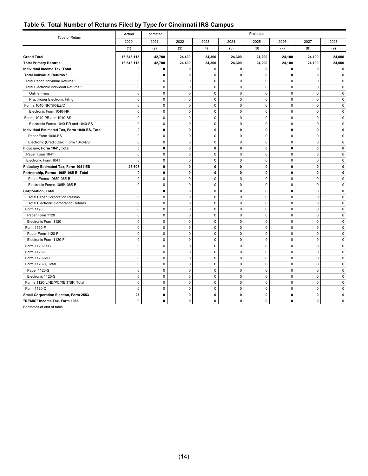<span id="page-18-0"></span>

|  |  |  |  |  |  |  | Table 5. Total Number of Returns Filed by Type for Cincinnati IRS Campus |
|--|--|--|--|--|--|--|--------------------------------------------------------------------------|
|--|--|--|--|--|--|--|--------------------------------------------------------------------------|

| 2022<br>2020<br>2021<br>2023<br>2024<br>2025<br>2026<br>2027<br>2028<br>(1)<br>(2)<br>(3)<br>(4)<br>(5)<br>(6)<br>(7)<br>(8)<br>(9)<br>16,648,115<br>42,700<br>24,400<br>24,300<br>24,300<br>24,200<br>24,100<br>24,100<br>24,000<br><b>Grand Total</b><br>42,700<br>24,400<br>24,300<br>24,300<br>24,200<br>24,100<br>24,100<br>24,000<br><b>Total Primary Returns</b><br>16,648,115<br>$\mathbf 0$<br>0<br>$\mathbf 0$<br>0<br>0<br>$\mathbf 0$<br>$\mathbf 0$<br>0<br>0<br>Individual Income Tax, Total<br>$\mathbf{0}$<br>Total Individual Returns *<br>0<br>$\mathbf{0}$<br>$\mathbf 0$<br>0<br>0<br>0<br>$\mathbf{0}$<br>$\mathbf{0}$<br>$\mathbf 0$<br>$\mathbf 0$<br>$\mathbf{0}$<br>Total Paper Individual Returns *<br>$\mathbf 0$<br>$\mathbf 0$<br>$\mathbf 0$<br>$\mathbf 0$<br>$\mathbf 0$<br>0<br>$\mathbf 0$<br>0<br>$\mathbf 0$<br>$\pmb{0}$<br>0<br>$\pmb{0}$<br>0<br>$\pmb{0}$<br>Total Electronic Individual Returns *<br>0<br>Online Filing<br>0<br>$\mathbf 0$<br>$\mathbf 0$<br>$\mathbf 0$<br>$\mathbf 0$<br>$\mathbf 0$<br>$\mathbf 0$<br>0<br>0<br>$\mathbf 0$<br>$\mathbf 0$<br>$\pmb{0}$<br>$\mathbf 0$<br>$\pmb{0}$<br>$\pmb{0}$<br>$\mathsf 0$<br>$\pmb{0}$<br>Practitioner Electronic Filing<br>$\Omega$<br>$\pmb{0}$<br>$\mathbf 0$<br>$\pmb{0}$<br>$\pmb{0}$<br>$\pmb{0}$<br>$\overline{0}$<br>$\pmb{0}$<br>Forms 1040-NR/NR-EZ/C<br>$\mathsf 0$<br>0<br>$\mathbf 0$<br>$\mathbf 0$<br>$\pmb{0}$<br>$\mathbf 0$<br>$\mathbf 0$<br>$\mathbf 0$<br>$\mathbf 0$<br>Electronic Form 1040-NR<br>$\mathbf 0$<br>0<br>Forms 1040-PR and 1040-SS<br>$\mathbf 0$<br>$\mathbf 0$<br>$\pmb{0}$<br>$\mathbf 0$<br>$\mathbf 0$<br>$\mathbf 0$<br>$\mathbf 0$<br>$\mathbf{0}$<br>0<br>Electronic Forms 1040-PR and 1040-SS<br>$\pmb{0}$<br>$\mathbf 0$<br>$\pmb{0}$<br>$\pmb{0}$<br>$\pmb{0}$<br>0<br>$\overline{0}$<br>$\pmb{0}$<br>0<br>Individual Estimated Tax, Form 1040-ES, Total<br>0<br>$\mathbf 0$<br>$\mathbf 0$<br>$\mathbf 0$<br>$\mathbf 0$<br>0<br>$\mathbf 0$<br>$\mathbf{0}$<br>0<br>$\mathbf 0$<br>$\mathbf 0$<br>$\mathbf 0$<br>$\mathbf{0}$<br>$\pmb{0}$<br>0<br>$\pmb{0}$<br>$\mathsf 0$<br>Paper Form 1040-ES<br>0<br>$\pmb{0}$<br>$\mathbf 0$<br>$\pmb{0}$<br>$\mathsf 0$<br>$\mathbf 0$<br>$\mathbf 0$<br>$\pmb{0}$<br>Electronic (Credit Card) Form 1040-ES<br>0<br>0<br>$\pmb{0}$<br>0<br>Fiduciary, Form 1041, Total<br>0<br>$\mathbf 0$<br>$\mathbf 0$<br>0<br>0<br>$\mathbf 0$<br>0<br>0<br>$\mathbf 0$<br>$\mathbf 0$<br>$\mathbf 0$<br>$\mathbf 0$<br>$\mathbf 0$<br>$\mathbf 0$<br>$\mathbf{0}$<br>Paper Form 1041<br>0<br>Electronic Form 1041<br>0<br>$\mathbf 0$<br>$\pmb{0}$<br>$\mathsf 0$<br>$\pmb{0}$<br>0<br>$\overline{0}$<br>$\pmb{0}$<br>0<br>Fiduciary Estimated Tax, Form 1041-ES<br>25,608<br>$\mathbf 0$<br>$\mathbf 0$<br>0<br>0<br>0<br>$\mathbf{0}$<br>$\mathbf 0$<br>0<br>Partnership, Forms 1065/1065-B, Total<br>$\pmb{0}$<br>$\pmb{0}$<br>$\pmb{0}$<br>$\pmb{0}$<br>0<br>$\mathbf{0}$<br>$\pmb{0}$<br>0<br>0<br>0<br>$\mathbf 0$<br>$\mathbf 0$<br>$\mathsf 0$<br>$\mathbf 0$<br>$\mathbf 0$<br>$\overline{0}$<br>$\mathbf 0$<br>Paper Forms 1065/1065-B<br>0<br>$\mathbf 0$<br>$\pmb{0}$<br>$\pmb{0}$<br>$\mathbf 0$<br>Electronic Forms 1065/1065-B<br>0<br>$\mathbf 0$<br>$\pmb{0}$<br>$\pmb{0}$<br>0<br>$\mathbf 0$<br>$\pmb{0}$<br>$\mathbf 0$<br>$\mathbf 0$<br>Corporation, Total<br>0<br>$\mathbf 0$<br>0<br>$\mathbf 0$<br>0<br>$\mathbf 0$<br><b>Total Paper Corporation Returns</b><br>0<br>$\mathbf 0$<br>$\pmb{0}$<br>$\mathsf 0$<br>$\mathbf 0$<br>$\mathbf 0$<br>$\mathbf 0$<br>0<br>$\mathbf 0$<br>$\mathbf 0$<br>$\pmb{0}$<br>0<br>$\pmb{0}$<br>$\mathbf 0$<br>$\mathbf 0$<br>$\mathbf{0}$<br><b>Total Electronic Corporation Returns</b><br>0<br>Form 1120<br>$\pmb{0}$<br>$\mathbf 0$<br>$\pmb{0}$<br>$\mathsf 0$<br>$\pmb{0}$<br>$\mathsf 0$<br>$\pmb{0}$<br>$\mathbf{0}$<br>0<br>$\mathbf 0$<br>0<br>$\mathbf 0$<br>$\mathbf 0$<br>$\mathsf 0$<br>$\mathbf 0$<br>$\mathbf 0$<br>$\mathbf 0$<br>Paper Form 1120<br>0<br>$\mathbf 0$<br>$\mathbf 0$<br>$\mathbf 0$<br>$\pmb{0}$<br>$\pmb{0}$<br>$\mathbf 0$<br>$\mathbf{0}$<br>Electronic Form 1120<br>$\pmb{0}$<br>0<br>$\mathbf 0$<br>$\pmb{0}$<br>$\mathbf 0$<br>$\mathbf 0$<br>$\mathbf 0$<br>$\mathbf{0}$<br>Form 1120-F<br>$\mathbf 0$<br>$\mathbf 0$<br>0<br>$\mathbf 0$<br>$\mathbf 0$<br>$\mathbf{0}$<br>Paper Form 1120-F<br>0<br>$\mathsf 0$<br>$\mathbf 0$<br>$\mathbf 0$<br>$\mathbf 0$<br>0<br>$\mathbf{0}$<br>$\mathbf 0$<br>$\mathbf 0$<br>$\pmb{0}$<br>0<br>$\mathbf 0$<br>$\mathbf 0$<br>$\mathbf 0$<br>Electronic Form 1120-F<br>0<br>Form 1120-FSC<br>0<br>$\mathbf 0$<br>$\pmb{0}$<br>$\mathbf 0$<br>$\mathbf 0$<br>$\mathbf 0$<br>$\mathbf 0$<br>$\mathbf 0$<br>0<br>$\mathbf{0}$<br>$\mathbf 0$<br>$\mathbf 0$<br>$\mathbf 0$<br>$\mathbf 0$<br>$\mathbf 0$<br>$\mathbf 0$<br>Form 1120-H<br>$\mathbf 0$<br>0<br>$\mathbf 0$<br>$\pmb{0}$<br>$\mathsf 0$<br>$\mathbf 0$<br>Form 1120-RIC<br>$\pmb{0}$<br>$\mathbf 0$<br>$\mathsf 0$<br>$\mathbf 0$<br>0<br>Form 1120-S, Total<br>0<br>$\mathbf 0$<br>$\mathbf 0$<br>$\mathbf 0$<br>$\mathbf 0$<br>$\Omega$<br>$\Omega$<br>$\Omega$<br>0<br>$\pmb{0}$<br>$\mathbf 0$<br>$\mathbf 0$<br>$\pmb{0}$<br>$\pmb{0}$<br>$\mathbf 0$<br>$\mathbf{0}$<br>Paper 1120-S<br>$\mathbf 0$<br>0<br>$\mathbf 0$<br>$\mathbf 0$<br>$\pmb{0}$<br>$\mathsf 0$<br>$\mathsf 0$<br>$\mathbf 0$<br>$\mathbf 0$<br>$\mathbf{0}$<br>Electronic 1120-S<br>0<br>Forms 1120-L/ND/PC/REIT/SF, Total<br>0<br>$\mathbf 0$<br>0<br>$\mathbf 0$<br>$\mathbf 0$<br>$\mathbf 0$<br>$\mathbf 0$<br>0<br>0<br>$\mathbf 0$<br>$\mathbf{0}$<br>$\mathbf 0$<br>$\mathbf 0$<br>$\mathbf 0$<br>$\mathbf 0$<br>$\mathbf 0$<br>$\mathbf 0$<br>Form 1120-C<br>0<br>27<br>Small Corporation Election, Form 2553<br>$\pmb{0}$<br>0<br>0<br>0<br>0<br>$\mathbf 0$<br>0<br>0 |                               | Actual | Projected<br>Estimated |              |   |              |   |              |   |   |
|----------------------------------------------------------------------------------------------------------------------------------------------------------------------------------------------------------------------------------------------------------------------------------------------------------------------------------------------------------------------------------------------------------------------------------------------------------------------------------------------------------------------------------------------------------------------------------------------------------------------------------------------------------------------------------------------------------------------------------------------------------------------------------------------------------------------------------------------------------------------------------------------------------------------------------------------------------------------------------------------------------------------------------------------------------------------------------------------------------------------------------------------------------------------------------------------------------------------------------------------------------------------------------------------------------------------------------------------------------------------------------------------------------------------------------------------------------------------------------------------------------------------------------------------------------------------------------------------------------------------------------------------------------------------------------------------------------------------------------------------------------------------------------------------------------------------------------------------------------------------------------------------------------------------------------------------------------------------------------------------------------------------------------------------------------------------------------------------------------------------------------------------------------------------------------------------------------------------------------------------------------------------------------------------------------------------------------------------------------------------------------------------------------------------------------------------------------------------------------------------------------------------------------------------------------------------------------------------------------------------------------------------------------------------------------------------------------------------------------------------------------------------------------------------------------------------------------------------------------------------------------------------------------------------------------------------------------------------------------------------------------------------------------------------------------------------------------------------------------------------------------------------------------------------------------------------------------------------------------------------------------------------------------------------------------------------------------------------------------------------------------------------------------------------------------------------------------------------------------------------------------------------------------------------------------------------------------------------------------------------------------------------------------------------------------------------------------------------------------------------------------------------------------------------------------------------------------------------------------------------------------------------------------------------------------------------------------------------------------------------------------------------------------------------------------------------------------------------------------------------------------------------------------------------------------------------------------------------------------------------------------------------------------------------------------------------------------------------------------------------------------------------------------------------------------------------------------------------------------------------------------------------------------------------------------------------------------------------------------------------------------------------------------------------------------------------------------------------------------------------------------------------------------------------------------------------------------------------------------------------------------------------------------------------------------------------------------------------------------------------------------------------------------------------------------------------------------------------------------------------------------------------------------------------------------------------------------------------------------------------------------------------------------------------------------------------------------------------------------------------------------------------------------------------------------------------------------------------------------------------------------------------------------------------------------------------------------------------------------------------------------------------------------------------------------------------------------------------------------------------------------------------------------------------------------------------------------------------|-------------------------------|--------|------------------------|--------------|---|--------------|---|--------------|---|---|
|                                                                                                                                                                                                                                                                                                                                                                                                                                                                                                                                                                                                                                                                                                                                                                                                                                                                                                                                                                                                                                                                                                                                                                                                                                                                                                                                                                                                                                                                                                                                                                                                                                                                                                                                                                                                                                                                                                                                                                                                                                                                                                                                                                                                                                                                                                                                                                                                                                                                                                                                                                                                                                                                                                                                                                                                                                                                                                                                                                                                                                                                                                                                                                                                                                                                                                                                                                                                                                                                                                                                                                                                                                                                                                                                                                                                                                                                                                                                                                                                                                                                                                                                                                                                                                                                                                                                                                                                                                                                                                                                                                                                                                                                                                                                                                                                                                                                                                                                                                                                                                                                                                                                                                                                                                                                                                                                                                                                                                                                                                                                                                                                                                                                                                                                                                                                                                              | Type of Return                |        |                        |              |   |              |   |              |   |   |
|                                                                                                                                                                                                                                                                                                                                                                                                                                                                                                                                                                                                                                                                                                                                                                                                                                                                                                                                                                                                                                                                                                                                                                                                                                                                                                                                                                                                                                                                                                                                                                                                                                                                                                                                                                                                                                                                                                                                                                                                                                                                                                                                                                                                                                                                                                                                                                                                                                                                                                                                                                                                                                                                                                                                                                                                                                                                                                                                                                                                                                                                                                                                                                                                                                                                                                                                                                                                                                                                                                                                                                                                                                                                                                                                                                                                                                                                                                                                                                                                                                                                                                                                                                                                                                                                                                                                                                                                                                                                                                                                                                                                                                                                                                                                                                                                                                                                                                                                                                                                                                                                                                                                                                                                                                                                                                                                                                                                                                                                                                                                                                                                                                                                                                                                                                                                                                              |                               |        |                        |              |   |              |   |              |   |   |
|                                                                                                                                                                                                                                                                                                                                                                                                                                                                                                                                                                                                                                                                                                                                                                                                                                                                                                                                                                                                                                                                                                                                                                                                                                                                                                                                                                                                                                                                                                                                                                                                                                                                                                                                                                                                                                                                                                                                                                                                                                                                                                                                                                                                                                                                                                                                                                                                                                                                                                                                                                                                                                                                                                                                                                                                                                                                                                                                                                                                                                                                                                                                                                                                                                                                                                                                                                                                                                                                                                                                                                                                                                                                                                                                                                                                                                                                                                                                                                                                                                                                                                                                                                                                                                                                                                                                                                                                                                                                                                                                                                                                                                                                                                                                                                                                                                                                                                                                                                                                                                                                                                                                                                                                                                                                                                                                                                                                                                                                                                                                                                                                                                                                                                                                                                                                                                              |                               |        |                        |              |   |              |   |              |   |   |
|                                                                                                                                                                                                                                                                                                                                                                                                                                                                                                                                                                                                                                                                                                                                                                                                                                                                                                                                                                                                                                                                                                                                                                                                                                                                                                                                                                                                                                                                                                                                                                                                                                                                                                                                                                                                                                                                                                                                                                                                                                                                                                                                                                                                                                                                                                                                                                                                                                                                                                                                                                                                                                                                                                                                                                                                                                                                                                                                                                                                                                                                                                                                                                                                                                                                                                                                                                                                                                                                                                                                                                                                                                                                                                                                                                                                                                                                                                                                                                                                                                                                                                                                                                                                                                                                                                                                                                                                                                                                                                                                                                                                                                                                                                                                                                                                                                                                                                                                                                                                                                                                                                                                                                                                                                                                                                                                                                                                                                                                                                                                                                                                                                                                                                                                                                                                                                              |                               |        |                        |              |   |              |   |              |   |   |
|                                                                                                                                                                                                                                                                                                                                                                                                                                                                                                                                                                                                                                                                                                                                                                                                                                                                                                                                                                                                                                                                                                                                                                                                                                                                                                                                                                                                                                                                                                                                                                                                                                                                                                                                                                                                                                                                                                                                                                                                                                                                                                                                                                                                                                                                                                                                                                                                                                                                                                                                                                                                                                                                                                                                                                                                                                                                                                                                                                                                                                                                                                                                                                                                                                                                                                                                                                                                                                                                                                                                                                                                                                                                                                                                                                                                                                                                                                                                                                                                                                                                                                                                                                                                                                                                                                                                                                                                                                                                                                                                                                                                                                                                                                                                                                                                                                                                                                                                                                                                                                                                                                                                                                                                                                                                                                                                                                                                                                                                                                                                                                                                                                                                                                                                                                                                                                              |                               |        |                        |              |   |              |   |              |   |   |
|                                                                                                                                                                                                                                                                                                                                                                                                                                                                                                                                                                                                                                                                                                                                                                                                                                                                                                                                                                                                                                                                                                                                                                                                                                                                                                                                                                                                                                                                                                                                                                                                                                                                                                                                                                                                                                                                                                                                                                                                                                                                                                                                                                                                                                                                                                                                                                                                                                                                                                                                                                                                                                                                                                                                                                                                                                                                                                                                                                                                                                                                                                                                                                                                                                                                                                                                                                                                                                                                                                                                                                                                                                                                                                                                                                                                                                                                                                                                                                                                                                                                                                                                                                                                                                                                                                                                                                                                                                                                                                                                                                                                                                                                                                                                                                                                                                                                                                                                                                                                                                                                                                                                                                                                                                                                                                                                                                                                                                                                                                                                                                                                                                                                                                                                                                                                                                              |                               |        |                        |              |   |              |   |              |   |   |
|                                                                                                                                                                                                                                                                                                                                                                                                                                                                                                                                                                                                                                                                                                                                                                                                                                                                                                                                                                                                                                                                                                                                                                                                                                                                                                                                                                                                                                                                                                                                                                                                                                                                                                                                                                                                                                                                                                                                                                                                                                                                                                                                                                                                                                                                                                                                                                                                                                                                                                                                                                                                                                                                                                                                                                                                                                                                                                                                                                                                                                                                                                                                                                                                                                                                                                                                                                                                                                                                                                                                                                                                                                                                                                                                                                                                                                                                                                                                                                                                                                                                                                                                                                                                                                                                                                                                                                                                                                                                                                                                                                                                                                                                                                                                                                                                                                                                                                                                                                                                                                                                                                                                                                                                                                                                                                                                                                                                                                                                                                                                                                                                                                                                                                                                                                                                                                              |                               |        |                        |              |   |              |   |              |   |   |
|                                                                                                                                                                                                                                                                                                                                                                                                                                                                                                                                                                                                                                                                                                                                                                                                                                                                                                                                                                                                                                                                                                                                                                                                                                                                                                                                                                                                                                                                                                                                                                                                                                                                                                                                                                                                                                                                                                                                                                                                                                                                                                                                                                                                                                                                                                                                                                                                                                                                                                                                                                                                                                                                                                                                                                                                                                                                                                                                                                                                                                                                                                                                                                                                                                                                                                                                                                                                                                                                                                                                                                                                                                                                                                                                                                                                                                                                                                                                                                                                                                                                                                                                                                                                                                                                                                                                                                                                                                                                                                                                                                                                                                                                                                                                                                                                                                                                                                                                                                                                                                                                                                                                                                                                                                                                                                                                                                                                                                                                                                                                                                                                                                                                                                                                                                                                                                              |                               |        |                        |              |   |              |   |              |   |   |
|                                                                                                                                                                                                                                                                                                                                                                                                                                                                                                                                                                                                                                                                                                                                                                                                                                                                                                                                                                                                                                                                                                                                                                                                                                                                                                                                                                                                                                                                                                                                                                                                                                                                                                                                                                                                                                                                                                                                                                                                                                                                                                                                                                                                                                                                                                                                                                                                                                                                                                                                                                                                                                                                                                                                                                                                                                                                                                                                                                                                                                                                                                                                                                                                                                                                                                                                                                                                                                                                                                                                                                                                                                                                                                                                                                                                                                                                                                                                                                                                                                                                                                                                                                                                                                                                                                                                                                                                                                                                                                                                                                                                                                                                                                                                                                                                                                                                                                                                                                                                                                                                                                                                                                                                                                                                                                                                                                                                                                                                                                                                                                                                                                                                                                                                                                                                                                              |                               |        |                        |              |   |              |   |              |   |   |
|                                                                                                                                                                                                                                                                                                                                                                                                                                                                                                                                                                                                                                                                                                                                                                                                                                                                                                                                                                                                                                                                                                                                                                                                                                                                                                                                                                                                                                                                                                                                                                                                                                                                                                                                                                                                                                                                                                                                                                                                                                                                                                                                                                                                                                                                                                                                                                                                                                                                                                                                                                                                                                                                                                                                                                                                                                                                                                                                                                                                                                                                                                                                                                                                                                                                                                                                                                                                                                                                                                                                                                                                                                                                                                                                                                                                                                                                                                                                                                                                                                                                                                                                                                                                                                                                                                                                                                                                                                                                                                                                                                                                                                                                                                                                                                                                                                                                                                                                                                                                                                                                                                                                                                                                                                                                                                                                                                                                                                                                                                                                                                                                                                                                                                                                                                                                                                              |                               |        |                        |              |   |              |   |              |   |   |
|                                                                                                                                                                                                                                                                                                                                                                                                                                                                                                                                                                                                                                                                                                                                                                                                                                                                                                                                                                                                                                                                                                                                                                                                                                                                                                                                                                                                                                                                                                                                                                                                                                                                                                                                                                                                                                                                                                                                                                                                                                                                                                                                                                                                                                                                                                                                                                                                                                                                                                                                                                                                                                                                                                                                                                                                                                                                                                                                                                                                                                                                                                                                                                                                                                                                                                                                                                                                                                                                                                                                                                                                                                                                                                                                                                                                                                                                                                                                                                                                                                                                                                                                                                                                                                                                                                                                                                                                                                                                                                                                                                                                                                                                                                                                                                                                                                                                                                                                                                                                                                                                                                                                                                                                                                                                                                                                                                                                                                                                                                                                                                                                                                                                                                                                                                                                                                              |                               |        |                        |              |   |              |   |              |   |   |
|                                                                                                                                                                                                                                                                                                                                                                                                                                                                                                                                                                                                                                                                                                                                                                                                                                                                                                                                                                                                                                                                                                                                                                                                                                                                                                                                                                                                                                                                                                                                                                                                                                                                                                                                                                                                                                                                                                                                                                                                                                                                                                                                                                                                                                                                                                                                                                                                                                                                                                                                                                                                                                                                                                                                                                                                                                                                                                                                                                                                                                                                                                                                                                                                                                                                                                                                                                                                                                                                                                                                                                                                                                                                                                                                                                                                                                                                                                                                                                                                                                                                                                                                                                                                                                                                                                                                                                                                                                                                                                                                                                                                                                                                                                                                                                                                                                                                                                                                                                                                                                                                                                                                                                                                                                                                                                                                                                                                                                                                                                                                                                                                                                                                                                                                                                                                                                              |                               |        |                        |              |   |              |   |              |   |   |
|                                                                                                                                                                                                                                                                                                                                                                                                                                                                                                                                                                                                                                                                                                                                                                                                                                                                                                                                                                                                                                                                                                                                                                                                                                                                                                                                                                                                                                                                                                                                                                                                                                                                                                                                                                                                                                                                                                                                                                                                                                                                                                                                                                                                                                                                                                                                                                                                                                                                                                                                                                                                                                                                                                                                                                                                                                                                                                                                                                                                                                                                                                                                                                                                                                                                                                                                                                                                                                                                                                                                                                                                                                                                                                                                                                                                                                                                                                                                                                                                                                                                                                                                                                                                                                                                                                                                                                                                                                                                                                                                                                                                                                                                                                                                                                                                                                                                                                                                                                                                                                                                                                                                                                                                                                                                                                                                                                                                                                                                                                                                                                                                                                                                                                                                                                                                                                              |                               |        |                        |              |   |              |   |              |   |   |
|                                                                                                                                                                                                                                                                                                                                                                                                                                                                                                                                                                                                                                                                                                                                                                                                                                                                                                                                                                                                                                                                                                                                                                                                                                                                                                                                                                                                                                                                                                                                                                                                                                                                                                                                                                                                                                                                                                                                                                                                                                                                                                                                                                                                                                                                                                                                                                                                                                                                                                                                                                                                                                                                                                                                                                                                                                                                                                                                                                                                                                                                                                                                                                                                                                                                                                                                                                                                                                                                                                                                                                                                                                                                                                                                                                                                                                                                                                                                                                                                                                                                                                                                                                                                                                                                                                                                                                                                                                                                                                                                                                                                                                                                                                                                                                                                                                                                                                                                                                                                                                                                                                                                                                                                                                                                                                                                                                                                                                                                                                                                                                                                                                                                                                                                                                                                                                              |                               |        |                        |              |   |              |   |              |   |   |
|                                                                                                                                                                                                                                                                                                                                                                                                                                                                                                                                                                                                                                                                                                                                                                                                                                                                                                                                                                                                                                                                                                                                                                                                                                                                                                                                                                                                                                                                                                                                                                                                                                                                                                                                                                                                                                                                                                                                                                                                                                                                                                                                                                                                                                                                                                                                                                                                                                                                                                                                                                                                                                                                                                                                                                                                                                                                                                                                                                                                                                                                                                                                                                                                                                                                                                                                                                                                                                                                                                                                                                                                                                                                                                                                                                                                                                                                                                                                                                                                                                                                                                                                                                                                                                                                                                                                                                                                                                                                                                                                                                                                                                                                                                                                                                                                                                                                                                                                                                                                                                                                                                                                                                                                                                                                                                                                                                                                                                                                                                                                                                                                                                                                                                                                                                                                                                              |                               |        |                        |              |   |              |   |              |   |   |
|                                                                                                                                                                                                                                                                                                                                                                                                                                                                                                                                                                                                                                                                                                                                                                                                                                                                                                                                                                                                                                                                                                                                                                                                                                                                                                                                                                                                                                                                                                                                                                                                                                                                                                                                                                                                                                                                                                                                                                                                                                                                                                                                                                                                                                                                                                                                                                                                                                                                                                                                                                                                                                                                                                                                                                                                                                                                                                                                                                                                                                                                                                                                                                                                                                                                                                                                                                                                                                                                                                                                                                                                                                                                                                                                                                                                                                                                                                                                                                                                                                                                                                                                                                                                                                                                                                                                                                                                                                                                                                                                                                                                                                                                                                                                                                                                                                                                                                                                                                                                                                                                                                                                                                                                                                                                                                                                                                                                                                                                                                                                                                                                                                                                                                                                                                                                                                              |                               |        |                        |              |   |              |   |              |   |   |
|                                                                                                                                                                                                                                                                                                                                                                                                                                                                                                                                                                                                                                                                                                                                                                                                                                                                                                                                                                                                                                                                                                                                                                                                                                                                                                                                                                                                                                                                                                                                                                                                                                                                                                                                                                                                                                                                                                                                                                                                                                                                                                                                                                                                                                                                                                                                                                                                                                                                                                                                                                                                                                                                                                                                                                                                                                                                                                                                                                                                                                                                                                                                                                                                                                                                                                                                                                                                                                                                                                                                                                                                                                                                                                                                                                                                                                                                                                                                                                                                                                                                                                                                                                                                                                                                                                                                                                                                                                                                                                                                                                                                                                                                                                                                                                                                                                                                                                                                                                                                                                                                                                                                                                                                                                                                                                                                                                                                                                                                                                                                                                                                                                                                                                                                                                                                                                              |                               |        |                        |              |   |              |   |              |   |   |
|                                                                                                                                                                                                                                                                                                                                                                                                                                                                                                                                                                                                                                                                                                                                                                                                                                                                                                                                                                                                                                                                                                                                                                                                                                                                                                                                                                                                                                                                                                                                                                                                                                                                                                                                                                                                                                                                                                                                                                                                                                                                                                                                                                                                                                                                                                                                                                                                                                                                                                                                                                                                                                                                                                                                                                                                                                                                                                                                                                                                                                                                                                                                                                                                                                                                                                                                                                                                                                                                                                                                                                                                                                                                                                                                                                                                                                                                                                                                                                                                                                                                                                                                                                                                                                                                                                                                                                                                                                                                                                                                                                                                                                                                                                                                                                                                                                                                                                                                                                                                                                                                                                                                                                                                                                                                                                                                                                                                                                                                                                                                                                                                                                                                                                                                                                                                                                              |                               |        |                        |              |   |              |   |              |   |   |
|                                                                                                                                                                                                                                                                                                                                                                                                                                                                                                                                                                                                                                                                                                                                                                                                                                                                                                                                                                                                                                                                                                                                                                                                                                                                                                                                                                                                                                                                                                                                                                                                                                                                                                                                                                                                                                                                                                                                                                                                                                                                                                                                                                                                                                                                                                                                                                                                                                                                                                                                                                                                                                                                                                                                                                                                                                                                                                                                                                                                                                                                                                                                                                                                                                                                                                                                                                                                                                                                                                                                                                                                                                                                                                                                                                                                                                                                                                                                                                                                                                                                                                                                                                                                                                                                                                                                                                                                                                                                                                                                                                                                                                                                                                                                                                                                                                                                                                                                                                                                                                                                                                                                                                                                                                                                                                                                                                                                                                                                                                                                                                                                                                                                                                                                                                                                                                              |                               |        |                        |              |   |              |   |              |   |   |
|                                                                                                                                                                                                                                                                                                                                                                                                                                                                                                                                                                                                                                                                                                                                                                                                                                                                                                                                                                                                                                                                                                                                                                                                                                                                                                                                                                                                                                                                                                                                                                                                                                                                                                                                                                                                                                                                                                                                                                                                                                                                                                                                                                                                                                                                                                                                                                                                                                                                                                                                                                                                                                                                                                                                                                                                                                                                                                                                                                                                                                                                                                                                                                                                                                                                                                                                                                                                                                                                                                                                                                                                                                                                                                                                                                                                                                                                                                                                                                                                                                                                                                                                                                                                                                                                                                                                                                                                                                                                                                                                                                                                                                                                                                                                                                                                                                                                                                                                                                                                                                                                                                                                                                                                                                                                                                                                                                                                                                                                                                                                                                                                                                                                                                                                                                                                                                              |                               |        |                        |              |   |              |   |              |   |   |
|                                                                                                                                                                                                                                                                                                                                                                                                                                                                                                                                                                                                                                                                                                                                                                                                                                                                                                                                                                                                                                                                                                                                                                                                                                                                                                                                                                                                                                                                                                                                                                                                                                                                                                                                                                                                                                                                                                                                                                                                                                                                                                                                                                                                                                                                                                                                                                                                                                                                                                                                                                                                                                                                                                                                                                                                                                                                                                                                                                                                                                                                                                                                                                                                                                                                                                                                                                                                                                                                                                                                                                                                                                                                                                                                                                                                                                                                                                                                                                                                                                                                                                                                                                                                                                                                                                                                                                                                                                                                                                                                                                                                                                                                                                                                                                                                                                                                                                                                                                                                                                                                                                                                                                                                                                                                                                                                                                                                                                                                                                                                                                                                                                                                                                                                                                                                                                              |                               |        |                        |              |   |              |   |              |   |   |
|                                                                                                                                                                                                                                                                                                                                                                                                                                                                                                                                                                                                                                                                                                                                                                                                                                                                                                                                                                                                                                                                                                                                                                                                                                                                                                                                                                                                                                                                                                                                                                                                                                                                                                                                                                                                                                                                                                                                                                                                                                                                                                                                                                                                                                                                                                                                                                                                                                                                                                                                                                                                                                                                                                                                                                                                                                                                                                                                                                                                                                                                                                                                                                                                                                                                                                                                                                                                                                                                                                                                                                                                                                                                                                                                                                                                                                                                                                                                                                                                                                                                                                                                                                                                                                                                                                                                                                                                                                                                                                                                                                                                                                                                                                                                                                                                                                                                                                                                                                                                                                                                                                                                                                                                                                                                                                                                                                                                                                                                                                                                                                                                                                                                                                                                                                                                                                              |                               |        |                        |              |   |              |   |              |   |   |
|                                                                                                                                                                                                                                                                                                                                                                                                                                                                                                                                                                                                                                                                                                                                                                                                                                                                                                                                                                                                                                                                                                                                                                                                                                                                                                                                                                                                                                                                                                                                                                                                                                                                                                                                                                                                                                                                                                                                                                                                                                                                                                                                                                                                                                                                                                                                                                                                                                                                                                                                                                                                                                                                                                                                                                                                                                                                                                                                                                                                                                                                                                                                                                                                                                                                                                                                                                                                                                                                                                                                                                                                                                                                                                                                                                                                                                                                                                                                                                                                                                                                                                                                                                                                                                                                                                                                                                                                                                                                                                                                                                                                                                                                                                                                                                                                                                                                                                                                                                                                                                                                                                                                                                                                                                                                                                                                                                                                                                                                                                                                                                                                                                                                                                                                                                                                                                              |                               |        |                        |              |   |              |   |              |   |   |
|                                                                                                                                                                                                                                                                                                                                                                                                                                                                                                                                                                                                                                                                                                                                                                                                                                                                                                                                                                                                                                                                                                                                                                                                                                                                                                                                                                                                                                                                                                                                                                                                                                                                                                                                                                                                                                                                                                                                                                                                                                                                                                                                                                                                                                                                                                                                                                                                                                                                                                                                                                                                                                                                                                                                                                                                                                                                                                                                                                                                                                                                                                                                                                                                                                                                                                                                                                                                                                                                                                                                                                                                                                                                                                                                                                                                                                                                                                                                                                                                                                                                                                                                                                                                                                                                                                                                                                                                                                                                                                                                                                                                                                                                                                                                                                                                                                                                                                                                                                                                                                                                                                                                                                                                                                                                                                                                                                                                                                                                                                                                                                                                                                                                                                                                                                                                                                              |                               |        |                        |              |   |              |   |              |   |   |
|                                                                                                                                                                                                                                                                                                                                                                                                                                                                                                                                                                                                                                                                                                                                                                                                                                                                                                                                                                                                                                                                                                                                                                                                                                                                                                                                                                                                                                                                                                                                                                                                                                                                                                                                                                                                                                                                                                                                                                                                                                                                                                                                                                                                                                                                                                                                                                                                                                                                                                                                                                                                                                                                                                                                                                                                                                                                                                                                                                                                                                                                                                                                                                                                                                                                                                                                                                                                                                                                                                                                                                                                                                                                                                                                                                                                                                                                                                                                                                                                                                                                                                                                                                                                                                                                                                                                                                                                                                                                                                                                                                                                                                                                                                                                                                                                                                                                                                                                                                                                                                                                                                                                                                                                                                                                                                                                                                                                                                                                                                                                                                                                                                                                                                                                                                                                                                              |                               |        |                        |              |   |              |   |              |   |   |
|                                                                                                                                                                                                                                                                                                                                                                                                                                                                                                                                                                                                                                                                                                                                                                                                                                                                                                                                                                                                                                                                                                                                                                                                                                                                                                                                                                                                                                                                                                                                                                                                                                                                                                                                                                                                                                                                                                                                                                                                                                                                                                                                                                                                                                                                                                                                                                                                                                                                                                                                                                                                                                                                                                                                                                                                                                                                                                                                                                                                                                                                                                                                                                                                                                                                                                                                                                                                                                                                                                                                                                                                                                                                                                                                                                                                                                                                                                                                                                                                                                                                                                                                                                                                                                                                                                                                                                                                                                                                                                                                                                                                                                                                                                                                                                                                                                                                                                                                                                                                                                                                                                                                                                                                                                                                                                                                                                                                                                                                                                                                                                                                                                                                                                                                                                                                                                              |                               |        |                        |              |   |              |   |              |   |   |
|                                                                                                                                                                                                                                                                                                                                                                                                                                                                                                                                                                                                                                                                                                                                                                                                                                                                                                                                                                                                                                                                                                                                                                                                                                                                                                                                                                                                                                                                                                                                                                                                                                                                                                                                                                                                                                                                                                                                                                                                                                                                                                                                                                                                                                                                                                                                                                                                                                                                                                                                                                                                                                                                                                                                                                                                                                                                                                                                                                                                                                                                                                                                                                                                                                                                                                                                                                                                                                                                                                                                                                                                                                                                                                                                                                                                                                                                                                                                                                                                                                                                                                                                                                                                                                                                                                                                                                                                                                                                                                                                                                                                                                                                                                                                                                                                                                                                                                                                                                                                                                                                                                                                                                                                                                                                                                                                                                                                                                                                                                                                                                                                                                                                                                                                                                                                                                              |                               |        |                        |              |   |              |   |              |   |   |
|                                                                                                                                                                                                                                                                                                                                                                                                                                                                                                                                                                                                                                                                                                                                                                                                                                                                                                                                                                                                                                                                                                                                                                                                                                                                                                                                                                                                                                                                                                                                                                                                                                                                                                                                                                                                                                                                                                                                                                                                                                                                                                                                                                                                                                                                                                                                                                                                                                                                                                                                                                                                                                                                                                                                                                                                                                                                                                                                                                                                                                                                                                                                                                                                                                                                                                                                                                                                                                                                                                                                                                                                                                                                                                                                                                                                                                                                                                                                                                                                                                                                                                                                                                                                                                                                                                                                                                                                                                                                                                                                                                                                                                                                                                                                                                                                                                                                                                                                                                                                                                                                                                                                                                                                                                                                                                                                                                                                                                                                                                                                                                                                                                                                                                                                                                                                                                              |                               |        |                        |              |   |              |   |              |   |   |
|                                                                                                                                                                                                                                                                                                                                                                                                                                                                                                                                                                                                                                                                                                                                                                                                                                                                                                                                                                                                                                                                                                                                                                                                                                                                                                                                                                                                                                                                                                                                                                                                                                                                                                                                                                                                                                                                                                                                                                                                                                                                                                                                                                                                                                                                                                                                                                                                                                                                                                                                                                                                                                                                                                                                                                                                                                                                                                                                                                                                                                                                                                                                                                                                                                                                                                                                                                                                                                                                                                                                                                                                                                                                                                                                                                                                                                                                                                                                                                                                                                                                                                                                                                                                                                                                                                                                                                                                                                                                                                                                                                                                                                                                                                                                                                                                                                                                                                                                                                                                                                                                                                                                                                                                                                                                                                                                                                                                                                                                                                                                                                                                                                                                                                                                                                                                                                              |                               |        |                        |              |   |              |   |              |   |   |
|                                                                                                                                                                                                                                                                                                                                                                                                                                                                                                                                                                                                                                                                                                                                                                                                                                                                                                                                                                                                                                                                                                                                                                                                                                                                                                                                                                                                                                                                                                                                                                                                                                                                                                                                                                                                                                                                                                                                                                                                                                                                                                                                                                                                                                                                                                                                                                                                                                                                                                                                                                                                                                                                                                                                                                                                                                                                                                                                                                                                                                                                                                                                                                                                                                                                                                                                                                                                                                                                                                                                                                                                                                                                                                                                                                                                                                                                                                                                                                                                                                                                                                                                                                                                                                                                                                                                                                                                                                                                                                                                                                                                                                                                                                                                                                                                                                                                                                                                                                                                                                                                                                                                                                                                                                                                                                                                                                                                                                                                                                                                                                                                                                                                                                                                                                                                                                              |                               |        |                        |              |   |              |   |              |   |   |
|                                                                                                                                                                                                                                                                                                                                                                                                                                                                                                                                                                                                                                                                                                                                                                                                                                                                                                                                                                                                                                                                                                                                                                                                                                                                                                                                                                                                                                                                                                                                                                                                                                                                                                                                                                                                                                                                                                                                                                                                                                                                                                                                                                                                                                                                                                                                                                                                                                                                                                                                                                                                                                                                                                                                                                                                                                                                                                                                                                                                                                                                                                                                                                                                                                                                                                                                                                                                                                                                                                                                                                                                                                                                                                                                                                                                                                                                                                                                                                                                                                                                                                                                                                                                                                                                                                                                                                                                                                                                                                                                                                                                                                                                                                                                                                                                                                                                                                                                                                                                                                                                                                                                                                                                                                                                                                                                                                                                                                                                                                                                                                                                                                                                                                                                                                                                                                              |                               |        |                        |              |   |              |   |              |   |   |
|                                                                                                                                                                                                                                                                                                                                                                                                                                                                                                                                                                                                                                                                                                                                                                                                                                                                                                                                                                                                                                                                                                                                                                                                                                                                                                                                                                                                                                                                                                                                                                                                                                                                                                                                                                                                                                                                                                                                                                                                                                                                                                                                                                                                                                                                                                                                                                                                                                                                                                                                                                                                                                                                                                                                                                                                                                                                                                                                                                                                                                                                                                                                                                                                                                                                                                                                                                                                                                                                                                                                                                                                                                                                                                                                                                                                                                                                                                                                                                                                                                                                                                                                                                                                                                                                                                                                                                                                                                                                                                                                                                                                                                                                                                                                                                                                                                                                                                                                                                                                                                                                                                                                                                                                                                                                                                                                                                                                                                                                                                                                                                                                                                                                                                                                                                                                                                              |                               |        |                        |              |   |              |   |              |   |   |
|                                                                                                                                                                                                                                                                                                                                                                                                                                                                                                                                                                                                                                                                                                                                                                                                                                                                                                                                                                                                                                                                                                                                                                                                                                                                                                                                                                                                                                                                                                                                                                                                                                                                                                                                                                                                                                                                                                                                                                                                                                                                                                                                                                                                                                                                                                                                                                                                                                                                                                                                                                                                                                                                                                                                                                                                                                                                                                                                                                                                                                                                                                                                                                                                                                                                                                                                                                                                                                                                                                                                                                                                                                                                                                                                                                                                                                                                                                                                                                                                                                                                                                                                                                                                                                                                                                                                                                                                                                                                                                                                                                                                                                                                                                                                                                                                                                                                                                                                                                                                                                                                                                                                                                                                                                                                                                                                                                                                                                                                                                                                                                                                                                                                                                                                                                                                                                              |                               |        |                        |              |   |              |   |              |   |   |
|                                                                                                                                                                                                                                                                                                                                                                                                                                                                                                                                                                                                                                                                                                                                                                                                                                                                                                                                                                                                                                                                                                                                                                                                                                                                                                                                                                                                                                                                                                                                                                                                                                                                                                                                                                                                                                                                                                                                                                                                                                                                                                                                                                                                                                                                                                                                                                                                                                                                                                                                                                                                                                                                                                                                                                                                                                                                                                                                                                                                                                                                                                                                                                                                                                                                                                                                                                                                                                                                                                                                                                                                                                                                                                                                                                                                                                                                                                                                                                                                                                                                                                                                                                                                                                                                                                                                                                                                                                                                                                                                                                                                                                                                                                                                                                                                                                                                                                                                                                                                                                                                                                                                                                                                                                                                                                                                                                                                                                                                                                                                                                                                                                                                                                                                                                                                                                              |                               |        |                        |              |   |              |   |              |   |   |
|                                                                                                                                                                                                                                                                                                                                                                                                                                                                                                                                                                                                                                                                                                                                                                                                                                                                                                                                                                                                                                                                                                                                                                                                                                                                                                                                                                                                                                                                                                                                                                                                                                                                                                                                                                                                                                                                                                                                                                                                                                                                                                                                                                                                                                                                                                                                                                                                                                                                                                                                                                                                                                                                                                                                                                                                                                                                                                                                                                                                                                                                                                                                                                                                                                                                                                                                                                                                                                                                                                                                                                                                                                                                                                                                                                                                                                                                                                                                                                                                                                                                                                                                                                                                                                                                                                                                                                                                                                                                                                                                                                                                                                                                                                                                                                                                                                                                                                                                                                                                                                                                                                                                                                                                                                                                                                                                                                                                                                                                                                                                                                                                                                                                                                                                                                                                                                              |                               |        |                        |              |   |              |   |              |   |   |
|                                                                                                                                                                                                                                                                                                                                                                                                                                                                                                                                                                                                                                                                                                                                                                                                                                                                                                                                                                                                                                                                                                                                                                                                                                                                                                                                                                                                                                                                                                                                                                                                                                                                                                                                                                                                                                                                                                                                                                                                                                                                                                                                                                                                                                                                                                                                                                                                                                                                                                                                                                                                                                                                                                                                                                                                                                                                                                                                                                                                                                                                                                                                                                                                                                                                                                                                                                                                                                                                                                                                                                                                                                                                                                                                                                                                                                                                                                                                                                                                                                                                                                                                                                                                                                                                                                                                                                                                                                                                                                                                                                                                                                                                                                                                                                                                                                                                                                                                                                                                                                                                                                                                                                                                                                                                                                                                                                                                                                                                                                                                                                                                                                                                                                                                                                                                                                              |                               |        |                        |              |   |              |   |              |   |   |
|                                                                                                                                                                                                                                                                                                                                                                                                                                                                                                                                                                                                                                                                                                                                                                                                                                                                                                                                                                                                                                                                                                                                                                                                                                                                                                                                                                                                                                                                                                                                                                                                                                                                                                                                                                                                                                                                                                                                                                                                                                                                                                                                                                                                                                                                                                                                                                                                                                                                                                                                                                                                                                                                                                                                                                                                                                                                                                                                                                                                                                                                                                                                                                                                                                                                                                                                                                                                                                                                                                                                                                                                                                                                                                                                                                                                                                                                                                                                                                                                                                                                                                                                                                                                                                                                                                                                                                                                                                                                                                                                                                                                                                                                                                                                                                                                                                                                                                                                                                                                                                                                                                                                                                                                                                                                                                                                                                                                                                                                                                                                                                                                                                                                                                                                                                                                                                              |                               |        |                        |              |   |              |   |              |   |   |
|                                                                                                                                                                                                                                                                                                                                                                                                                                                                                                                                                                                                                                                                                                                                                                                                                                                                                                                                                                                                                                                                                                                                                                                                                                                                                                                                                                                                                                                                                                                                                                                                                                                                                                                                                                                                                                                                                                                                                                                                                                                                                                                                                                                                                                                                                                                                                                                                                                                                                                                                                                                                                                                                                                                                                                                                                                                                                                                                                                                                                                                                                                                                                                                                                                                                                                                                                                                                                                                                                                                                                                                                                                                                                                                                                                                                                                                                                                                                                                                                                                                                                                                                                                                                                                                                                                                                                                                                                                                                                                                                                                                                                                                                                                                                                                                                                                                                                                                                                                                                                                                                                                                                                                                                                                                                                                                                                                                                                                                                                                                                                                                                                                                                                                                                                                                                                                              |                               |        |                        |              |   |              |   |              |   |   |
|                                                                                                                                                                                                                                                                                                                                                                                                                                                                                                                                                                                                                                                                                                                                                                                                                                                                                                                                                                                                                                                                                                                                                                                                                                                                                                                                                                                                                                                                                                                                                                                                                                                                                                                                                                                                                                                                                                                                                                                                                                                                                                                                                                                                                                                                                                                                                                                                                                                                                                                                                                                                                                                                                                                                                                                                                                                                                                                                                                                                                                                                                                                                                                                                                                                                                                                                                                                                                                                                                                                                                                                                                                                                                                                                                                                                                                                                                                                                                                                                                                                                                                                                                                                                                                                                                                                                                                                                                                                                                                                                                                                                                                                                                                                                                                                                                                                                                                                                                                                                                                                                                                                                                                                                                                                                                                                                                                                                                                                                                                                                                                                                                                                                                                                                                                                                                                              |                               |        |                        |              |   |              |   |              |   |   |
|                                                                                                                                                                                                                                                                                                                                                                                                                                                                                                                                                                                                                                                                                                                                                                                                                                                                                                                                                                                                                                                                                                                                                                                                                                                                                                                                                                                                                                                                                                                                                                                                                                                                                                                                                                                                                                                                                                                                                                                                                                                                                                                                                                                                                                                                                                                                                                                                                                                                                                                                                                                                                                                                                                                                                                                                                                                                                                                                                                                                                                                                                                                                                                                                                                                                                                                                                                                                                                                                                                                                                                                                                                                                                                                                                                                                                                                                                                                                                                                                                                                                                                                                                                                                                                                                                                                                                                                                                                                                                                                                                                                                                                                                                                                                                                                                                                                                                                                                                                                                                                                                                                                                                                                                                                                                                                                                                                                                                                                                                                                                                                                                                                                                                                                                                                                                                                              |                               |        |                        |              |   |              |   |              |   |   |
|                                                                                                                                                                                                                                                                                                                                                                                                                                                                                                                                                                                                                                                                                                                                                                                                                                                                                                                                                                                                                                                                                                                                                                                                                                                                                                                                                                                                                                                                                                                                                                                                                                                                                                                                                                                                                                                                                                                                                                                                                                                                                                                                                                                                                                                                                                                                                                                                                                                                                                                                                                                                                                                                                                                                                                                                                                                                                                                                                                                                                                                                                                                                                                                                                                                                                                                                                                                                                                                                                                                                                                                                                                                                                                                                                                                                                                                                                                                                                                                                                                                                                                                                                                                                                                                                                                                                                                                                                                                                                                                                                                                                                                                                                                                                                                                                                                                                                                                                                                                                                                                                                                                                                                                                                                                                                                                                                                                                                                                                                                                                                                                                                                                                                                                                                                                                                                              |                               |        |                        |              |   |              |   |              |   |   |
|                                                                                                                                                                                                                                                                                                                                                                                                                                                                                                                                                                                                                                                                                                                                                                                                                                                                                                                                                                                                                                                                                                                                                                                                                                                                                                                                                                                                                                                                                                                                                                                                                                                                                                                                                                                                                                                                                                                                                                                                                                                                                                                                                                                                                                                                                                                                                                                                                                                                                                                                                                                                                                                                                                                                                                                                                                                                                                                                                                                                                                                                                                                                                                                                                                                                                                                                                                                                                                                                                                                                                                                                                                                                                                                                                                                                                                                                                                                                                                                                                                                                                                                                                                                                                                                                                                                                                                                                                                                                                                                                                                                                                                                                                                                                                                                                                                                                                                                                                                                                                                                                                                                                                                                                                                                                                                                                                                                                                                                                                                                                                                                                                                                                                                                                                                                                                                              |                               |        |                        |              |   |              |   |              |   |   |
|                                                                                                                                                                                                                                                                                                                                                                                                                                                                                                                                                                                                                                                                                                                                                                                                                                                                                                                                                                                                                                                                                                                                                                                                                                                                                                                                                                                                                                                                                                                                                                                                                                                                                                                                                                                                                                                                                                                                                                                                                                                                                                                                                                                                                                                                                                                                                                                                                                                                                                                                                                                                                                                                                                                                                                                                                                                                                                                                                                                                                                                                                                                                                                                                                                                                                                                                                                                                                                                                                                                                                                                                                                                                                                                                                                                                                                                                                                                                                                                                                                                                                                                                                                                                                                                                                                                                                                                                                                                                                                                                                                                                                                                                                                                                                                                                                                                                                                                                                                                                                                                                                                                                                                                                                                                                                                                                                                                                                                                                                                                                                                                                                                                                                                                                                                                                                                              | "REMIC" Income Tax, Form 1066 | 0      | $\mathbf{0}$           | $\mathbf{0}$ | 0 | $\mathbf{0}$ | 0 | $\mathbf{0}$ | 0 | 0 |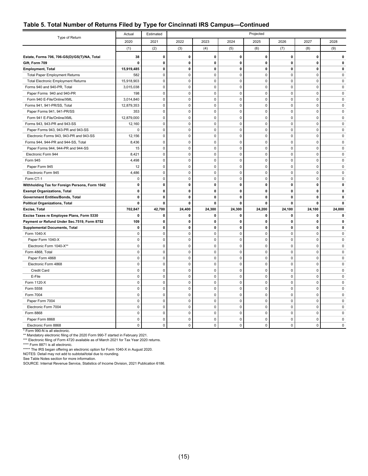#### **Table 5. Total Number of Returns Filed by Type for Cincinnati IRS Campus—Continued**

| Type of Return                                 | Actual       | Estimated    | Projected   |              |                     |             |              |              |             |
|------------------------------------------------|--------------|--------------|-------------|--------------|---------------------|-------------|--------------|--------------|-------------|
|                                                | 2020         | 2021         | 2022        | 2023         | 2024                | 2025        | 2026         | 2027         | 2028        |
|                                                | (1)          | (2)          | (3)         | (4)          | (5)                 | (6)         | (7)          | (8)          | (9)         |
| Estate, Forms 706, 706-GS(D)/GS(T)/NA, Total   | 38           | 0            | $\pmb{0}$   | 0            | 0                   | 0           | 0            | $\mathbf 0$  | 0           |
| Gift, Form 709                                 | 0            | 0            | 0           | 0            | 0                   | 0           | 0            | $\mathbf 0$  | 0           |
| <b>Employment, Total</b>                       | 15,919,485   | $\mathbf 0$  | $\mathbf 0$ | 0            | $\mathbf 0$         | $\mathbf 0$ | 0            | $\mathbf 0$  | 0           |
| <b>Total Paper Employment Returns</b>          | 582          | $\mathbf{0}$ | $\mathbf 0$ | 0            | $\mathbf 0$         | $\mathbf 0$ | $\mathbf 0$  | $\mathbf 0$  | $\mathbf 0$ |
| <b>Total Electronic Employment Returns</b>     | 15,918,903   | $\mathbf 0$  | $\mathbf 0$ | 0            | $\mathbf 0$         | $\mathbf 0$ | $\Omega$     | $\Omega$     | $\mathbf 0$ |
| Forms 940 and 940-PR, Total                    | 3,015,038    | $\mathbf 0$  | $\pmb{0}$   | $\pmb{0}$    | $\mathbf 0$         | $\mathbf 0$ | $\mathbf 0$  | $\mathbf 0$  | 0           |
| Paper Forms 940 and 940-PR                     | 198          | $\mathbf 0$  | $\pmb{0}$   | $\mathbf 0$  | $\mathbf 0$         | $\mathbf 0$ | $\mathbf 0$  | $\Omega$     | $\mathbf 0$ |
| Form 940 E-File/Online/XML                     | 3,014,840    | $\mathsf 0$  | $\pmb{0}$   | 0            | $\mathsf 0$         | $\mathbf 0$ | $\mathsf 0$  | $\mathbf 0$  | 0           |
| Forms 941, 941-PR/SS, Total                    | 12,879,353   | $\mathsf 0$  | $\pmb{0}$   | 0            | $\mathsf 0$         | $\mathbf 0$ | $\pmb{0}$    | $\pmb{0}$    | $\pmb{0}$   |
| Paper Forms 941, 941-PR/SS                     | 353          | $\mathbf 0$  | $\pmb{0}$   | $\mathbf{0}$ | $\mathbf 0$         | $\mathbf 0$ | $\mathbf 0$  | $\mathbf 0$  | $\mathbf 0$ |
| Form 941 E-File/Online/XML                     | 12,879,000   | $\mathbf 0$  | $\mathbf 0$ | 0            | $\mathsf 0$         | $\mathbf 0$ | $\mathbf 0$  | $\mathbf 0$  | $\mathbf 0$ |
| Forms 943, 943-PR and 943-SS                   | 12,160       | $\mathbf{0}$ | $\mathbf 0$ | $\mathbf{0}$ | $\mathbf 0$         | $\mathbf 0$ | $\mathbf 0$  | $\mathbf 0$  | $\mathbf 0$ |
| Paper Forms 943, 943-PR and 943-SS             | 0            | $\mathbf{0}$ | $\mathbf 0$ | 0            | $\mathbf 0$         | $\mathbf 0$ | $\mathbf 0$  | $\mathbf 0$  | $\mathbf 0$ |
| Electronic Forms 943, 943-PR and 943-SS        | 12,156       | $\pmb{0}$    | $\mathbf 0$ | 0            | $\mathsf 0$         | $\mathbf 0$ | $\mathsf 0$  | $\mathbf 0$  | $\pmb{0}$   |
| Forms 944, 944-PR and 944-SS, Total            | 8,436        | $\mathsf 0$  | $\mathbf 0$ | 0            | $\mathsf 0$         | $\mathbf 0$ | $\mathbf 0$  | $\mathbf 0$  | $\mathbf 0$ |
| Paper Forms 944, 944-PR and 944-SS             | 15           | $\mathbf 0$  | $\mathbf 0$ | 0            | $\ddot{\mathbf{0}}$ | $\mathbf 0$ | $\pmb{0}$    | $\mathbf 0$  | $\mathbf 0$ |
| Electronic Form 944                            | 8,421        | $\mathbf 0$  | $\mathbf 0$ | 0            | $\mathbf 0$         | $\mathbf 0$ | $\mathbf 0$  | $\mathbf 0$  | $\mathbf 0$ |
| Form 945                                       | 4,498        | $\mathbf 0$  | $\mathbf 0$ | 0            | 0                   | $\pmb{0}$   | $\mathbf 0$  | $\mathbf 0$  | $\mathbf 0$ |
| Paper Form 945                                 | 12           | $\mathbf 0$  | $\mathbf 0$ | 0            | $\mathsf 0$         | $\pmb{0}$   | 0            | $\mathbf 0$  | $\mathbf 0$ |
| Electronic Form 945                            | 4,486        | $\mathbf{0}$ | $\mathbf 0$ | $\mathbf 0$  | $\mathbf 0$         | $\mathbf 0$ | $\mathbf 0$  | $\mathbf 0$  | $\mathbf 0$ |
| Form CT-1                                      | 0            | $\mathbf 0$  | $\mathbf 0$ | 0            | $\mathbf 0$         | $\mathbf 0$ | $\mathbf 0$  | $\mathbf 0$  | $\mathbf 0$ |
| Withholding Tax for Foreign Persons, Form 1042 | 0            | $\mathbf 0$  | $\mathbf 0$ | 0            | $\mathbf{0}$        | $\mathbf 0$ | $\mathbf{0}$ | $\mathbf{0}$ | 0           |
| <b>Exempt Organizations, Total</b>             | 0            | $\mathbf 0$  | $\mathbf 0$ | 0            | $\mathbf 0$         | $\mathbf 0$ | 0            | $\mathbf 0$  | 0           |
| Government Entities/Bonds, Total               | 0            | $\mathbf 0$  | $\pmb{0}$   | 0            | $\pmb{0}$           | $\mathbf 0$ | 0            | $\mathbf 0$  | 0           |
| <b>Political Organizations, Total</b>          | 0            | 0            | 0           | 0            | 0                   | $\mathbf 0$ | 0            | 0            | 0           |
| Excise, Total                                  | 702,847      | 42,700       | 24,400      | 24,300       | 24,300              | 24,200      | 24,100       | 24,100       | 24,000      |
| Excise Taxes re Employee Plans, Form 5330      | 0            | 0            | $\mathbf 0$ | 0            | $\mathbf 0$         | $\mathbf 0$ | 0            | 0            | 0           |
| Payment or Refund Under Sec.7519, Form 8752    | 109          | $\mathbf{0}$ | $\mathbf 0$ | 0            | $\mathbf 0$         | $\mathbf 0$ | 0            | $\mathbf 0$  | 0           |
| <b>Supplemental Documents, Total</b>           | $\mathbf{0}$ | $\mathbf{0}$ | $\mathbf 0$ | 0            | $\mathbf{0}$        | $\mathbf 0$ | $\mathbf{0}$ | $\mathbf{0}$ | 0           |
| Form 1040-X                                    | $\mathbf 0$  | $\mathbf 0$  | $\mathbf 0$ | 0            | $\mathsf 0$         | $\mathbf 0$ | $\mathbf 0$  | $\mathbf 0$  | $\mathbf 0$ |
| Paper Form 1040-X                              | $\pmb{0}$    | $\mathsf 0$  | $\mathbf 0$ | 0            | $\mathsf 0$         | $\mathbf 0$ | $\mathsf 0$  | $\mathbf 0$  | $\pmb{0}$   |
| Electronic Form 1040-X**                       | $\mathbf 0$  | $\mathbf 0$  | $\mathbf 0$ | 0            | $\mathsf 0$         | $\mathbf 0$ | $\mathbf 0$  | $\mathbf 0$  | $\mathbf 0$ |
| Form 4868, Total                               | $\pmb{0}$    | $\mathbf 0$  | $\mathbf 0$ | 0            | $\mathsf 0$         | $\pmb{0}$   | $\pmb{0}$    | $\mathbf 0$  | $\mathbf 0$ |
| Paper Form 4868                                | $\mathbf 0$  | $\pmb{0}$    | $\pmb{0}$   | 0            | $\pmb{0}$           | $\pmb{0}$   | $\mathbf 0$  | $\mathbf 0$  | $\mathbf 0$ |
| Electronic Form 4868                           | 0            | $\mathbf 0$  | $\mathbf 0$ | 0            | $\pmb{0}$           | $\pmb{0}$   | $\mathbf 0$  | $\mathbf 0$  | $\mathbf 0$ |
| Credit Card                                    | 0            | $\mathbf 0$  | $\mathbf 0$ | 0            | $\pmb{0}$           | $\pmb{0}$   | 0            | $\mathbf 0$  | $\mathbf 0$ |
| E-File                                         | 0            | $\mathbf{0}$ | $\mathbf 0$ | $\mathbf 0$  | $\mathbf 0$         | $\mathbf 0$ | $\mathbf 0$  | $\mathbf 0$  | $\mathbf 0$ |
| Form 1120-X                                    | $\pmb{0}$    | $\mathsf 0$  | $\mathsf 0$ | $\pmb{0}$    | $\mathsf 0$         | $\mathbf 0$ | $\mathsf 0$  | $\mathbf 0$  | $\pmb{0}$   |
| Form 5558                                      | $\mathbf 0$  | $\mathbf 0$  | $\pmb{0}$   | $\mathbf 0$  | $\mathbf 0$         | $\mathbf 0$ | $\mathbf 0$  | $\Omega$     | $\mathbf 0$ |
| Form 7004                                      | $\pmb{0}$    | $\mathsf 0$  | $\pmb{0}$   | 0            | $\mathsf 0$         | $\mathbf 0$ | $\mathsf 0$  | $\mathbf 0$  | 0           |
| Paper Form 7004                                | $\pmb{0}$    | $\mathsf 0$  | $\pmb{0}$   | 0            | $\mathsf 0$         | $\mathbf 0$ | $\pmb{0}$    | $\pmb{0}$    | $\pmb{0}$   |
| Electronic Form 7004                           | $\pmb{0}$    | $\mathsf 0$  | $\pmb{0}$   | 0            | $\mathbf 0$         | $\mathbf 0$ | $\mathbf 0$  | $\mathbf 0$  | $\mathbf 0$ |
| Form 8868                                      | 0            | $\mathbf 0$  | $\mathbf 0$ | 0            | $\pmb{0}$           | $\pmb{0}$   | $\mathbf 0$  | $\mathbf{0}$ | $\mathbf 0$ |
| Paper Form 8868                                | $\mathbf 0$  | $\mathbf{0}$ | $\mathbf 0$ | $\mathbf{0}$ | $\mathbf 0$         | $\mathbf 0$ | $\mathbf 0$  | $\mathbf 0$  | $\mathbf 0$ |
| Electronic Form 8868                           | 0            | $\mathbf 0$  | $\mathbf 0$ | $\mathbf 0$  | $\mathbf 0$         | $\mathbf 0$ | $\mathbf 0$  | $\mathbf 0$  | $\mathbf 0$ |

\* Form 990-N is all electronic. \*\* Mandatory electronic filing of the 2020 Form 990-T started in February 2021. \*\*\* Electronic filing of Form 4720 available as of March 2021 for Tax Year 2020 returns.

\*\*\*\* Form 8871 is all electronic. \*\*\*\*\* The IRS began offering an electronic option for Form 1040-X in August 2020.

NOTES: Detail may not add to subtotal/total due to rounding.

See Table Notes section for more information.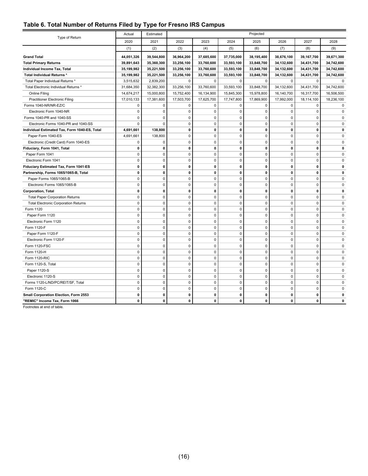#### <span id="page-20-0"></span>**Table 6. Total Number of Returns Filed by Type for Fresno IRS Campus**

|                                               | Actual       | Estimated   |              |             |              | Projected    |              |              |            |
|-----------------------------------------------|--------------|-------------|--------------|-------------|--------------|--------------|--------------|--------------|------------|
| Type of Return                                | 2020         | 2021        | 2022         | 2023        | 2024         | 2025         | 2026         | 2027         | 2028       |
|                                               | (1)          | (2)         | (3)          | (4)         | (5)          | (6)          | (7)          | (8)          | (9)        |
| <b>Grand Total</b>                            | 44,051,326   | 39,544,800  | 36,964,200   | 37,685,600  | 37,735,000   | 38,195,400   | 38,676,100   | 39,167,700   | 39,671,300 |
| <b>Total Primary Returns</b>                  | 39,891,643   | 35,360,300  | 33,256,100   | 33,760,600  | 33,593,100   | 33,848,700   | 34,132,600   | 34,431,700   | 34,742,600 |
| Individual Income Tax, Total                  | 35,199,982   | 35,221,500  | 33,256,100   | 33,760,600  | 33,593,100   | 33,848,700   | 34,132,600   | 34,431,700   | 34,742,600 |
| Total Individual Returns *                    | 35,199,982   | 35,221,500  | 33,256,100   | 33,760,600  | 33,593,100   | 33,848,700   | 34,132,600   | 34,431,700   | 34,742,600 |
| Total Paper Individual Returns *              | 3,515,632    | 2,839,200   | 0            | $\mathbf 0$ | $\mathbf 0$  | 0            | $\mathbf 0$  | 0            | $\Omega$   |
| Total Electronic Individual Returns *         | 31,684,350   | 32,382,300  | 33,256,100   | 33,760,600  | 33,593,100   | 33,848,700   | 34,132,600   | 34,431,700   | 34,742,600 |
| Online Filing                                 | 14,674,217   | 15,000,800  | 15,752,400   | 16,134,900  | 15,845,300   | 15,978,800   | 16,140,700   | 16,317,700   | 16,506,500 |
| <b>Practitioner Electronic Filing</b>         | 17,010,133   | 17,381,600  | 17,503,700   | 17,625,700  | 17,747,800   | 17,869,900   | 17,992,000   | 18,114,100   | 18,236,100 |
| Forms 1040-NR/NR-EZ/C                         | $\pmb{0}$    | 0           | $\mathbf 0$  | 0           | $\pmb{0}$    | $\pmb{0}$    | $\pmb{0}$    | $\mathbf 0$  | 0          |
| Electronic Form 1040-NR                       | $\Omega$     | $\Omega$    | $\mathbf 0$  | $\mathbf 0$ | $\Omega$     | $\mathbf 0$  | 0            | $\Omega$     | $\Omega$   |
| Forms 1040-PR and 1040-SS                     | $\mathbf 0$  | $\mathbf 0$ | $\mathbf 0$  | $\mathbf 0$ | $\pmb{0}$    | $\pmb{0}$    | $\mathbf 0$  | $\mathbf 0$  | $\Omega$   |
| Electronic Forms 1040-PR and 1040-SS          | $\mathbf 0$  | 0           | $\mathbf 0$  | $\pmb{0}$   | $\pmb{0}$    | $\mathbf 0$  | $\mathbf 0$  | $\mathbf 0$  | $\Omega$   |
| Individual Estimated Tax, Form 1040-ES, Total | 4,691,661    | 138,800     | $\mathbf 0$  | $\pmb{0}$   | $\mathbf 0$  | $\mathbf 0$  | $\mathbf 0$  | $\mathbf 0$  | O          |
| Paper Form 1040-ES                            | 4,691,661    | 138,800     | $\mathbf 0$  | $\mathbf 0$ | $\mathbf 0$  | $\mathbf 0$  | $\mathbf 0$  | $\mathbf 0$  | $\Omega$   |
| Electronic (Credit Card) Form 1040-ES         | $\pmb{0}$    | 0           | $\mathbf 0$  | $\pmb{0}$   | $\pmb{0}$    | $\pmb{0}$    | $\pmb{0}$    | $\mathbf 0$  | $\Omega$   |
| Fiduciary, Form 1041, Total                   | $\mathbf 0$  | 0           | $\mathbf{0}$ | $\mathbf 0$ | $\mathbf{0}$ | $\mathbf 0$  | $\mathbf{0}$ | $\mathbf{0}$ | $\Omega$   |
| Paper Form 1041                               | $\mathbf 0$  | $\mathbf 0$ | $\mathbf 0$  | $\mathbf 0$ | $\mathbf 0$  | $\mathbf 0$  | $\mathbf 0$  | $\mathbf 0$  | $\Omega$   |
| Electronic Form 1041                          | 0            | $\mathbf 0$ | $\mathbf 0$  | 0           | $\mathbf 0$  | $\pmb{0}$    | $\mathbf 0$  | $\mathbf 0$  | $\Omega$   |
| Fiduciary Estimated Tax, Form 1041-ES         | $\mathbf 0$  | 0           | $\mathbf 0$  | $\mathbf 0$ | 0            | $\mathbf 0$  | 0            | $\mathbf 0$  | 0          |
| Partnership, Forms 1065/1065-B, Total         | $\mathbf 0$  | 0           | $\mathbf 0$  | $\mathbf 0$ | $\mathbf 0$  | $\mathbf 0$  | $\mathbf 0$  | $\mathbf 0$  | O          |
| Paper Forms 1065/1065-B                       | $\pmb{0}$    | 0           | $\mathbf 0$  | $\pmb{0}$   | $\mathsf 0$  | $\pmb{0}$    | $\pmb{0}$    | $\mathbf 0$  | $\Omega$   |
| Electronic Forms 1065/1065-B                  | $\mathbf 0$  | 0           | $\mathbf 0$  | $\mathbf 0$ | $\mathbf 0$  | $\mathbf 0$  | 0            | $\mathbf 0$  | $\Omega$   |
| <b>Corporation, Total</b>                     | $\pmb{0}$    | 0           | $\mathbf 0$  | $\pmb{0}$   | $\mathbf 0$  | $\pmb{0}$    | $\mathbf 0$  | $\mathbf 0$  | $\Omega$   |
| <b>Total Paper Corporation Returns</b>        | $\pmb{0}$    | 0           | $\mathbf 0$  | 0           | $\mathbf 0$  | $\mathbf 0$  | 0            | $\mathbf 0$  | 0          |
| <b>Total Electronic Corporation Returns</b>   | $\pmb{0}$    | 0           | $\mathbf 0$  | $\pmb{0}$   | 0            | $\pmb{0}$    | 0            | $\mathbf 0$  | $\Omega$   |
| Form 1120                                     | $\mathbf 0$  | $\mathbf 0$ | $\mathbf 0$  | $\mathbf 0$ | $\mathbf 0$  | $\mathbf 0$  | $\mathbf 0$  | $\mathbf 0$  | $\Omega$   |
| Paper Form 1120                               | $\pmb{0}$    | $\pmb{0}$   | $\mathbf 0$  | $\pmb{0}$   | $\mathsf 0$  | $\pmb{0}$    | $\mathsf 0$  | $\mathbf 0$  | 0          |
| Electronic Form 1120                          | $\mathbf 0$  | $\mathbf 0$ | $\mathbf 0$  | $\mathbf 0$ | $\mathbf 0$  | $\mathbf 0$  | 0            | $\mathbf 0$  | $\Omega$   |
| Form 1120-F                                   | $\pmb{0}$    | $\pmb{0}$   | $\mathbf 0$  | $\pmb{0}$   | $\mathsf 0$  | $\pmb{0}$    | $\mathsf 0$  | $\mathbf 0$  | $\Omega$   |
| Paper Form 1120-F                             | $\mathbf 0$  | 0           | $\mathbf 0$  | $\pmb{0}$   | $\mathbf 0$  | $\mathbf 0$  | $\mathbf 0$  | $\mathbf 0$  | 0          |
| Electronic Form 1120-F                        | $\mathbf 0$  | $\mathbf 0$ | $\mathbf 0$  | $\mathbf 0$ | $\mathbf 0$  | $\mathbf 0$  | $\mathbf 0$  | $\mathbf 0$  | $\Omega$   |
| Form 1120-FSC                                 | $\pmb{0}$    | $\mathsf 0$ | $\mathbf 0$  | 0           | $\mathbf 0$  | $\pmb{0}$    | $\mathbf 0$  | $\mathbf 0$  | $\Omega$   |
| Form 1120-H                                   | $\mathbf 0$  | $\Omega$    | $\mathbf 0$  | $\mathbf 0$ | $\mathbf 0$  | $\mathbf 0$  | $\Omega$     | $\Omega$     | 0          |
| Form 1120-RIC                                 | $\mathbf 0$  | $\mathbf 0$ | $\pmb{0}$    | $\pmb{0}$   | $\mathsf 0$  | $\pmb{0}$    | $\mathbf 0$  | $\mathbf 0$  | $\Omega$   |
| Form 1120-S, Total                            | $\mathbf 0$  | $\mathbf 0$ | $\mathbf 0$  | $\mathbf 0$ | $\mathbf 0$  | $\mathbf 0$  | $\mathbf 0$  | $\Omega$     | $\Omega$   |
| Paper 1120-S                                  | $\mathbf 0$  | 0           | $\mathbf 0$  | $\mathbf 0$ | $\mathbf 0$  | $\mathbf 0$  | 0            | $\mathbf 0$  | 0          |
| Electronic 1120-S                             | $\mathbf 0$  | $\mathbf 0$ | $\mathbf 0$  | $\mathbf 0$ | $\mathbf 0$  | $\mathbf 0$  | $\mathbf 0$  | $\mathbf 0$  | 0          |
| Forms 1120-L/ND/PC/REIT/SF, Total             | $\pmb{0}$    | $\mathsf 0$ | $\mathbf 0$  | 0           | $\mathbf 0$  | 0            | $\mathbf 0$  | $\mathbf 0$  | $\Omega$   |
| Form 1120-C                                   | $\mathbf 0$  | $\Omega$    | $\mathbf 0$  | $\mathbf 0$ | $\mathbf 0$  | $\mathbf 0$  | $\Omega$     | $\Omega$     | $\Omega$   |
| Small Corporation Election, Form 2553         | $\mathbf 0$  | 0           | $\mathbf 0$  | 0           | 0            | $\mathbf 0$  | $\mathbf 0$  | $\mathbf 0$  | 0          |
| "REMIC" Income Tax, Form 1066                 | $\mathbf{0}$ | 0           | $\mathbf{0}$ | 0           | 0            | $\mathbf{0}$ | 0            | $\mathbf{0}$ | 0          |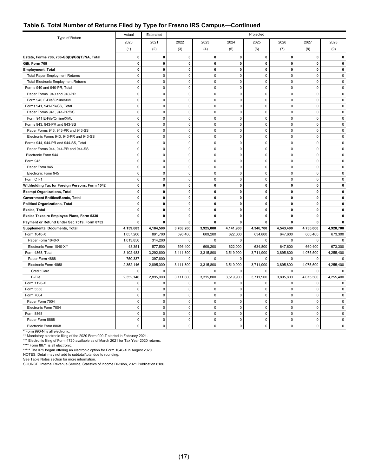#### **Table 6. Total Number of Returns Filed by Type for Fresno IRS Campus—Continued**

|                                                | Actual      | Estimated   | Projected   |              |             |              |             |              |              |
|------------------------------------------------|-------------|-------------|-------------|--------------|-------------|--------------|-------------|--------------|--------------|
| Type of Return                                 | 2020        | 2021        | 2022        | 2023         | 2024        | 2025         | 2026        | 2027         | 2028         |
|                                                | (1)         | (2)         | (3)         | (4)          | (5)         | (6)          | (7)         | (8)          | (9)          |
| Estate, Forms 706, 706-GS(D)/GS(T)/NA, Total   | 0           | 0           | $\mathbf 0$ | $\mathbf 0$  | 0           | $\mathbf{0}$ | 0           | $\mathbf{0}$ | 0            |
| Gift, Form 709                                 | 0           | $\mathbf 0$ | $\mathbf 0$ | $\pmb{0}$    | $\pmb{0}$   | $\mathbf 0$  | 0           | $\mathbf{0}$ | $\mathbf{0}$ |
| <b>Employment, Total</b>                       | 0           | 0           | $\mathbf 0$ | 0            | 0           | $\mathbf 0$  | 0           | $\mathbf 0$  | $\Omega$     |
| <b>Total Paper Employment Returns</b>          | 0           | $\pmb{0}$   | $\mathbf 0$ | $\pmb{0}$    | 0           | $\pmb{0}$    | $\pmb{0}$   | $\mathbf 0$  | $\mathbf 0$  |
| <b>Total Electronic Employment Returns</b>     | 0           | 0           | 0           | $\pmb{0}$    | 0           | $\mathbf 0$  | $\mathbf 0$ | $\Omega$     | $\mathbf 0$  |
| Forms 940 and 940-PR, Total                    | 0           | 0           | $\pmb{0}$   | 0            | 0           | $\pmb{0}$    | 0           | $\mathbf 0$  | $\mathbf 0$  |
| Paper Forms 940 and 940-PR                     | 0           | $\mathbf 0$ | $\mathbf 0$ | $\mathbf 0$  | $\mathbf 0$ | $\Omega$     | $\Omega$    | $\Omega$     | $\Omega$     |
| Form 940 E-File/Online/XML                     | $\mathbf 0$ | $\mathsf 0$ | $\mathbf 0$ | $\pmb{0}$    | $\mathbf 0$ | $\mathbf 0$  | $\mathbf 0$ | $\mathbf 0$  | $\mathbf 0$  |
| Forms 941, 941-PR/SS, Total                    | 0           | $\mathbf 0$ | $\mathbf 0$ | $\pmb{0}$    | $\mathbf 0$ | $\mathbf 0$  | $\mathbf 0$ | $\mathbf 0$  | $\mathbf 0$  |
| Paper Forms 941, 941-PR/SS                     | $\pmb{0}$   | $\pmb{0}$   | $\pmb{0}$   | $\mathbf 0$  | $\pmb{0}$   | $\pmb{0}$    | $\pmb{0}$   | $\pmb{0}$    | 0            |
| Form 941 E-File/Online/XML                     | $\mathbf 0$ | $\mathbf 0$ | $\mathbf 0$ | $\pmb{0}$    | $\mathbf 0$ | $\mathbf 0$  | $\mathbf 0$ | $\mathbf 0$  | $\mathbf 0$  |
| Forms 943, 943-PR and 943-SS                   | $\pmb{0}$   | $\pmb{0}$   | $\pmb{0}$   | $\mathbf 0$  | $\pmb{0}$   | $\pmb{0}$    | $\mathbf 0$ | $\mathbf 0$  | $\pmb{0}$    |
| Paper Forms 943, 943-PR and 943-SS             | $\mathbf 0$ | $\mathbf 0$ | $\mathbf 0$ | $\mathbf 0$  | $\mathbf 0$ | $\mathbf 0$  | $\mathbf 0$ | $\mathbf 0$  | $\mathbf 0$  |
| Electronic Forms 943, 943-PR and 943-SS        | 0           | $\mathbf 0$ | $\mathbf 0$ | $\mathbf 0$  | $\mathbf 0$ | $\mathbf 0$  | $\mathbf 0$ | $\mathbf 0$  | $\mathbf 0$  |
| Forms 944, 944-PR and 944-SS, Total            | $\mathbf 0$ | $\mathbf 0$ | $\mathbf 0$ | $\mathbf 0$  | $\mathbf 0$ | $\mathbf 0$  | $\Omega$    | $\mathbf 0$  | $\mathbf 0$  |
| Paper Forms 944, 944-PR and 944-SS             | $\pmb{0}$   | $\pmb{0}$   | $\mathbf 0$ | $\pmb{0}$    | $\pmb{0}$   | $\mathbf 0$  | $\pmb{0}$   | $\mathbf 0$  | $\mathbf 0$  |
| Electronic Form 944                            | 0           | 0           | $\mathbf 0$ | $\pmb{0}$    | $\pmb{0}$   | $\pmb{0}$    | $\mathbf 0$ | $\mathbf 0$  | $\mathbf 0$  |
| Form 945                                       | $\mathbf 0$ | 0           | $\mathbf 0$ | $\pmb{0}$    | 0           | $\mathbf 0$  | $\mathbf 0$ | $\mathbf 0$  | $\mathbf 0$  |
| Paper Form 945                                 | 0           | 0           | $\mathbf 0$ | $\mathbf 0$  | 0           | $\mathbf 0$  | $\mathbf 0$ | $\mathbf 0$  | $\mathbf 0$  |
| Electronic Form 945                            | $\mathbf 0$ | $\mathbf 0$ | $\mathbf 0$ | $\mathbf 0$  | $\mathbf 0$ | $\mathbf 0$  | $\mathbf 0$ | $\mathbf 0$  | $\mathbf 0$  |
| Form CT-1                                      | 0           | $\mathbf 0$ | $\mathbf 0$ | $\mathbf 0$  | $\mathbf 0$ | $\mathbf 0$  | $\Omega$    | $\mathbf 0$  | $\mathbf 0$  |
| Withholding Tax for Foreign Persons, Form 1042 | 0           | $\mathbf 0$ | $\mathbf 0$ | $\pmb{0}$    | $\mathbf 0$ | $\mathbf 0$  | 0           | $\mathbf 0$  | $\mathbf{0}$ |
| <b>Exempt Organizations, Total</b>             | $\mathbf 0$ | $\mathbf 0$ | $\mathbf 0$ | $\mathbf{0}$ | $\mathbf 0$ | $\mathbf 0$  | 0           | $\mathbf{0}$ | $\mathbf{0}$ |
| Government Entities/Bonds, Total               | $\pmb{0}$   | 0           | $\pmb{0}$   | $\pmb{0}$    | $\pmb{0}$   | $\pmb{0}$    | 0           | $\mathbf{0}$ | n            |
| <b>Political Organizations, Total</b>          | $\mathbf 0$ | 0           | $\mathbf 0$ | $\mathbf{0}$ | 0           | $\mathbf 0$  | 0           | $\mathbf 0$  | 0            |
| Excise, Total                                  | 0           | 0           | $\mathbf 0$ | 0            | $\mathbf 0$ | $\mathbf 0$  | 0           | $\mathbf 0$  | 0            |
| Excise Taxes re Employee Plans, Form 5330      | 0           | 0           | $\mathbf 0$ | 0            | 0           | $\mathbf 0$  | 0           | $\mathbf{0}$ | 0            |
| Payment or Refund Under Sec.7519, Form 8752    | $\mathbf 0$ | 0           | $\mathbf 0$ | 0            | 0           | $\mathbf 0$  | 0           | $\mathbf 0$  | $\mathbf{0}$ |
| <b>Supplemental Documents, Total</b>           | 4,159,683   | 4,184,500   | 3,708,200   | 3,925,000    | 4,141,900   | 4,346,700    | 4,543,400   | 4,736,000    | 4,928,700    |
| Form 1040-X                                    | 1,057,200   | 891,700     | 596,400     | 609,200      | 622,000     | 634,800      | 647,600     | 660,400      | 673,300      |
| Paper Form 1040-X                              | 1,013,850   | 314,200     | $\mathbf 0$ | $\Omega$     | 0           | $\mathbf 0$  | $\Omega$    | $\mathbf 0$  | $\mathbf 0$  |
| Electronic Form 1040-X**                       | 43,351      | 577,500     | 596,400     | 609,200      | 622,000     | 634,800      | 647,600     | 660,400      | 673,300      |
| Form 4868, Total                               | 3,102,483   | 3,292,800   | 3,111,800   | 3,315,800    | 3,519,900   | 3,711,900    | 3,895,800   | 4,075,500    | 4,255,400    |
| Paper Form 4868                                | 750,337     | 397,800     | 0           | 0            | $\Omega$    | $\Omega$     | $\Omega$    | $\Omega$     | 0            |
| Electronic Form 4868                           | 2,352,146   | 2,895,000   | 3,111,800   | 3,315,800    | 3,519,900   | 3,711,900    | 3,895,800   | 4,075,500    | 4,255,400    |
| Credit Card                                    | 0           | 0           | 0           | $\pmb{0}$    | 0           | 0            | $\mathbf 0$ | $\mathbf 0$  | 0            |
| E-File                                         | 2,352,146   | 2,895,000   | 3,111,800   | 3,315,800    | 3,519,900   | 3,711,900    | 3,895,800   | 4,075,500    | 4,255,400    |
| Form 1120-X                                    | 0           | 0           | $\pmb{0}$   | $\pmb{0}$    | 0           | $\pmb{0}$    | $\pmb{0}$   | $\mathbf 0$  | 0            |
| Form 5558                                      | $\mathbf 0$ | $\mathbf 0$ | $\mathbf 0$ | $\mathbf 0$  | $\mathbf 0$ | $\mathbf 0$  | $\mathbf 0$ | $\mathbf 0$  | $\mathbf 0$  |
| Form 7004                                      | 0           | 0           | $\pmb{0}$   | $\pmb{0}$    | $\pmb{0}$   | $\pmb{0}$    | $\mathbf 0$ | $\mathbf 0$  | $\mathbf 0$  |
| Paper Form 7004                                | $\mathbf 0$ | $\mathbf 0$ | $\mathbf 0$ | $\mathbf 0$  | $\mathbf 0$ | $\mathbf 0$  | $\Omega$    | $\mathbf 0$  | $\mathbf 0$  |
| Electronic Form 7004                           | $\mathsf 0$ | $\pmb{0}$   | $\mathbf 0$ | $\mathbf 0$  | $\pmb{0}$   | $\pmb{0}$    | $\mathbf 0$ | $\pmb{0}$    | $\mathbf 0$  |
| Form 8868                                      | 0           | $\pmb{0}$   | $\mathbf 0$ | $\pmb{0}$    | $\pmb{0}$   | $\pmb{0}$    | $\mathbf 0$ | $\mathbf 0$  | $\mathbf 0$  |
| Paper Form 8868                                | 0           | 0           | $\mathbf 0$ | 0            | 0           | $\mathbf 0$  | $\pmb{0}$   | 0            | 0            |
| Electronic Form 8868                           | $\mathbf 0$ | 0           | $\mathbf 0$ | $\mathbf 0$  | 0           | $\mathbf 0$  | $\Omega$    | $\Omega$     | $\mathbf 0$  |

\* Form 990-N is all electronic. \*\* Mandatory electronic filing of the 2020 Form 990-T started in February 2021.

\*\*\* Electronic filing of Form 4720 available as of March 2021 for Tax Year 2020 returns.<br>\*\*\*\* Form 8871 is all electronic.<br>\*\*\*\*\* The IRS began offering an electronic option for Form 1040-X in August 2020.

NOTES: Detail may not add to subtotal/total due to rounding. See Table Notes section for more information.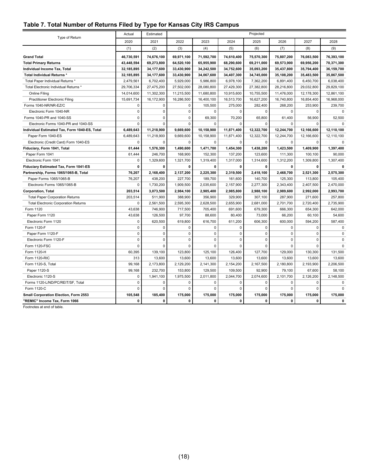## <span id="page-22-0"></span>**Table 7. Total Number of Returns Filed by Type for Kansas City IRS Campus**

| Type of Return                                | Actual      | Estimated   |              |             |             | Projected   |             |             |             |
|-----------------------------------------------|-------------|-------------|--------------|-------------|-------------|-------------|-------------|-------------|-------------|
|                                               | 2020        | 2021        | 2022         | 2023        | 2024        | 2025        | 2026        | 2027        | 2028        |
|                                               | (1)         | (2)         | (3)          | (4)         | (5)         | (6)         | (7)         | (8)         | (9)         |
| <b>Grand Total</b>                            | 46,730,591  | 74,676,100  | 69,971,100   | 71,592,700  | 74,610,400  | 75,570,300  | 75,807,200  | 76,083,500  | 76,393,100  |
| <b>Total Primary Returns</b>                  | 43,448,594  | 69,273,800  | 64,520,100   | 65,955,900  | 68,290,600  | 69,211,000  | 69,573,900  | 69,956,200  | 70,371,300  |
| Individual Income Tax, Total                  | 32,185,895  | 34,177,600  | 33,430,900   | 34,242,500  | 34,752,600  | 35,093,200  | 35,437,800  | 35,794,400  | 36,159,700  |
| Total Individual Returns *                    | 32,185,895  | 34,177,600  | 33,430,900   | 34,067,600  | 34,407,300  | 34,745,000  | 35,108,200  | 35,483,500  | 35,867,500  |
| Total Paper Individual Returns *              | 2,479,561   | 6,702,400   | 5,929,000    | 5,986,800   | 6,978,100   | 7,362,200   | 6,891,400   | 6,450,700   | 6,038,400   |
| Total Electronic Individual Returns *         | 29,706,334  | 27,475,200  | 27,502,000   | 28,080,800  | 27,429,300  | 27,382,800  | 28,216,800  | 29,032,800  | 29,829,100  |
| <b>Online Filing</b>                          | 14,014,600  | 11,302,300  | 11,215,500   | 11,680,800  | 10,915,600  | 10,755,500  | 11,476,000  | 12,178,300  | 12,861,100  |
| Practitioner Electronic Filing                | 15,691,734  | 16,172,900  | 16,286,500   | 16,400,100  | 16,513,700  | 16,627,200  | 16,740,800  | 16,854,400  | 16,968,000  |
| Forms 1040-NR/NR-EZ/C                         | 0           | 0           | $\pmb{0}$    | 105,500     | 275,000     | 282,400     | 268,200     | 253,900     | 239,700     |
| Electronic Form 1040-NR                       | 0           | $\mathbf 0$ | $\mathbf 0$  | $\mathbf 0$ | 0           | $\mathbf 0$ | $\mathbf 0$ | $\mathbf 0$ | $\mathbf 0$ |
| Forms 1040-PR and 1040-SS                     | 0           | 0           | $\mathbf 0$  | 69,300      | 70,200      | 65,800      | 61,400      | 56,900      | 52,500      |
| Electronic Forms 1040-PR and 1040-SS          | 0           | 0           | $\mathbf 0$  | 0           | $\Omega$    | $\Omega$    | $\Omega$    | $\Omega$    | $\Omega$    |
| Individual Estimated Tax, Form 1040-ES, Total | 6,489,643   | 11,218,900  | 9,669,600    | 10,158,900  | 11,871,400  | 12,322,700  | 12,244,700  | 12,166,600  | 12,110,100  |
| Paper Form 1040-ES                            | 6,489,643   | 11,218,900  | 9,669,600    | 10,158,900  | 11,871,400  | 12,322,700  | 12,244,700  | 12,166,600  | 12,110,100  |
| Electronic (Credit Card) Form 1040-ES         | 0           | 0           | 0            | $\mathbf 0$ | 0           | 0           | $\mathbf 0$ | $\mathbf 0$ | 0           |
| Fiduciary, Form 1041, Total                   | 61,444      | 1,576,300   | 1,490,600    | 1,471,700   | 1,454,300   | 1,438,200   | 1,423,500   | 1,409,900   | 1,397,400   |
| Paper Form 1041                               | 61,444      | 246,700     | 168,900      | 152,300     | 137,200     | 123,600     | 111,300     | 100,100     | 90,000      |
| Electronic Form 1041                          | 0           | 1,329,600   | 1,321,700    | 1,319,400   | 1,317,000   | 1,314,600   | 1,312,200   | 1,309,800   | 1,307,400   |
| Fiduciary Estimated Tax, Form 1041-ES         | 0           | 0           | $\mathbf{0}$ | 0           | 0           | 0           | 0           | $\mathbf 0$ | 0           |
| Partnership, Forms 1065/1065-B, Total         | 76,207      | 2,168,400   | 2,137,200    | 2,225,300   | 2,319,500   | 2,418,100   | 2,468,700   | 2,521,300   | 2,575,300   |
| Paper Forms 1065/1065-B                       | 76,207      | 438,200     | 227,700      | 189,700     | 161,600     | 140,700     | 125,300     | 113,800     | 105,400     |
| Electronic Forms 1065/1065-B                  | 0           | 1,730,200   | 1,909,500    | 2,035,600   | 2,157,900   | 2,277,300   | 2,343,400   | 2,407,500   | 2,470,000   |
| <b>Corporation, Total</b>                     | 203,514     | 3,073,500   | 2,984,100    | 2,985,400   | 2,985,800   | 2,988,100   | 2,989,600   | 2,992,000   | 2,993,700   |
| <b>Total Paper Corporation Returns</b>        | 203,514     | 511,900     | 388,900      | 356,900     | 329,900     | 307,100     | 287,900     | 271,600     | 257,800     |
| <b>Total Electronic Corporation Returns</b>   | 0           | 2,561,500   | 2,595,300    | 2,628,500   | 2,655,900   | 2,681,000   | 2,701,700   | 2,720,400   | 2,735,900   |
| Form 1120                                     | 43,638      | 746,900     | 717,500      | 705,400     | 691,600     | 679,300     | 666,300     | 654,300     | 642,000     |
| Paper Form 1120                               | 43,638      | 126,500     | 97,700       | 88,600      | 80,400      | 73,000      | 66,200      | 60,100      | 54,600      |
| Electronic Form 1120                          | 0           | 620,500     | 619,800      | 616,700     | 611,200     | 606,300     | 600,000     | 594,200     | 587,400     |
| Form 1120-F                                   | 0           | 0           | 0            | 0           | 0           | $\mathbf 0$ | $\mathbf 0$ | $\mathbf 0$ | $\pmb{0}$   |
| Paper Form 1120-F                             | 0           | 0           | $\mathbf 0$  | $\mathbf 0$ | $\mathbf 0$ | $\mathbf 0$ | 0           | $\mathbf 0$ | $\mathbf 0$ |
| Electronic Form 1120-F                        | $\mathbf 0$ | $\mathbf 0$ | $\mathbf 0$  | 0           | 0           | $\mathbf 0$ | $\mathbf 0$ | $\mathbf 0$ | $\mathbf 0$ |
| Form 1120-FSC                                 | 0           | 0           | $\mathbf 0$  | 0           | 0           | $\mathbf 0$ | $\mathbf 0$ | $\Omega$    | $\mathbf 0$ |
| Form 1120-H                                   | 60,395      | 139,100     | 123,800      | 125,100     | 126,400     | 127,700     | 129,000     | 130,300     | 131,500     |
| Form 1120-RIC                                 | 313         | 13,600      | 13,600       | 13,600      | 13,600      | 13,600      | 13,600      | 13,600      | 13,600      |
| Form 1120-S, Total                            | 99,168      | 2,173,800   | 2,129,200    | 2,141,300   | 2,154,200   | 2,167,500   | 2,180,800   | 2,193,900   | 2,206,500   |
| Paper 1120-S                                  | 99,168      | 232,700     | 153,800      | 129,500     | 109,500     | 92,900      | 79,100      | 67,600      | 58,100      |
| Electronic 1120-S                             | 0           | 1,941,100   | 1,975,500    | 2,011,800   | 2,044,700   | 2,074,600   | 2,101,700   | 2,126,200   | 2,148,500   |
| Forms 1120-L/ND/PC/REIT/SF, Total             | 0           | 0           | 0            | 0           | 0           | $\mathbf 0$ | $\mathbf 0$ | $\mathbf 0$ | 0           |
| Form 1120-C                                   | 0           | 0           | $\mathbf 0$  | $\Omega$    | 0           | 0           | $\mathbf 0$ | 0           | 0           |
| Small Corporation Election, Form 2553         | 105,548     | 185,400     | 175,000      | 175,000     | 175,000     | 175,000     | 175,000     | 175,000     | 175,000     |
| "REMIC" Income Tax, Form 1066                 | 0           | 0           | 0            | 0           | 0           | 0           | 0           | 0           | 0           |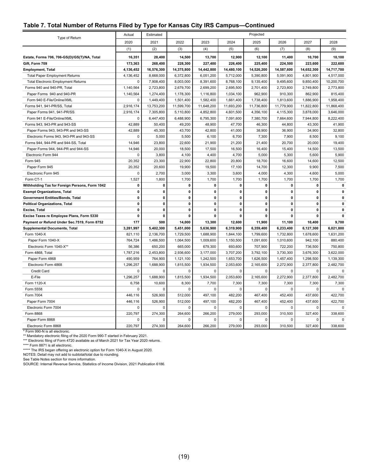#### **Table 7. Total Number of Returns Filed by Type for Kansas City IRS Campus—Continued**

|                                                | Actual       | Estimated    |              |                |              | Projected    |              |              |              |
|------------------------------------------------|--------------|--------------|--------------|----------------|--------------|--------------|--------------|--------------|--------------|
| Type of Return                                 | 2020         | 2021         | 2022         | 2023           | 2024         | 2025         | 2026         | 2027         | 2028         |
|                                                | (1)          | (2)          | (3)          | (4)            | (5)          | (6)          | (7)          | (8)          | (9)          |
| Estate, Forms 706, 706-GS(D)/GS(T)/NA, Total   | 16,351       | 28,400       | 14,500       | 13,700         | 12,900       | 12,100       | 11,400       | 10,700       | 10,100       |
| Gift. Form 709                                 | 173,363      | 268,400      | 228,300      | 227,400        | 226,400      | 225,400      | 224,500      | 223,600      | 222,600      |
| <b>Employment, Total</b>                       | 4,136,452    | 16,576,300   | 14,375,800   | 14,442,800     | 14,480,100   | 14,526,200   | 14,587,600   | 14,652,300   | 14,717,700   |
| <b>Total Paper Employment Returns</b>          | 4,136,452    | 8,668,000    | 6,372,800    | 6,051,200      | 5,712,000    | 5,390,800    | 5,091,900    | 4,801,900    | 4,517,000    |
| <b>Total Electronic Employment Returns</b>     | 0            | 7,908,400    | 8,003,000    | 8,391,600      | 8,768,100    | 9,135,400    | 9,495,600    | 9,850,400    | 10,200,700   |
| Forms 940 and 940-PR, Total                    | 1,140,564    | 2,723,800    | 2,679,700    | 2,699,200      | 2,695,500    | 2,701,400    | 2,723,800    | 2,749,800    | 2,773,800    |
| Paper Forms 940 and 940-PR                     | 1,140,564    | 1,274,400    | 1,178,300    | 1,116,800      | 1,034,100    | 962,900      | 910,300      | 862,900      | 815,400      |
| Form 940 E-File/Online/XML                     | 0            | 1,449,400    | 1,501,400    | 1,582,400      | 1,661,400    | 1,738,400    | 1,813,600    | 1,886,900    | 1,958,400    |
| Forms 941, 941-PR/SS, Total                    | 2,916,174    | 13,753,200   | 11,599,700   | 11,648,200     | 11,693,200   | 11,736,800   | 11,779,900   | 11,822,800   | 11,868,400   |
| Paper Forms 941, 941-PR/SS                     | 2,916,174    | 7,305,800    | 5,110,800    | 4,852,800      | 4,601,500    | 4,356,100    | 4,115,300    | 3,878,000    | 3,646,000    |
| Form 941 E-File/Online/XML                     | 0            | 6,447,400    | 6,488,900    | 6,795,300      | 7,091,600    | 7,380,700    | 7,664,600    | 7,944,800    | 8,222,400    |
| Forms 943, 943-PR and 943-SS                   | 42,889       | 50,400       | 49,200       | 48,900         | 47,700       | 46,300       | 44,800       | 43,300       | 41,900       |
| Paper Forms 943, 943-PR and 943-SS             | 42,889       | 45,300       | 43,700       | 42,800         | 41,000       | 38,900       | 36,900       | 34,900       | 32,800       |
| Electronic Forms 943, 943-PR and 943-SS        | 0            | 5,000        | 5,500        | 6,100          | 6,700        | 7,300        | 7,900        | 8,500        | 9,100        |
| Forms 944, 944-PR and 944-SS, Total            | 14,946       | 23,800       | 22,600       | 21,900         | 21,200       | 21,400       | 20,700       | 20,000       | 19,400       |
| Paper Forms 944, 944-PR and 944-SS             | 14,946       | 20,000       | 18,500       | 17,500         | 16,500       | 16,400       | 15,400       | 14,500       | 13,500       |
| Electronic Form 944                            | 0            | 3,800        | 4,100        | 4,400          | 4,700        | 5,000        | 5,300        | 5,600        | 5,900        |
| Form 945                                       | 20,352       | 23,300       | 22,900       | 22,800         | 20,800       | 18,700       | 16,600       | 14,600       | 12,500       |
| Paper Form 945                                 | 20,352       | 20,600       | 19,900       | 19,500         | 17,100       | 14,700       | 12,300       | 9,900        | 7,500        |
| Electronic Form 945                            | 0            | 2,700        | 3,000        | 3,300          | 3,600        | 4,000        | 4,300        | 4,600        | 5,000        |
| Form CT-1                                      | 1,527        | 1,800        | 1,700        | 1,700          | 1,700        | 1,700        | 1,700        | 1,700        | 1,700        |
| Withholding Tax for Foreign Persons, Form 1042 | 0            | 0            | $\mathbf 0$  | 0              | 0            | $\mathbf 0$  | 0            | 0            | 0            |
| <b>Exempt Organizations, Total</b>             | $\mathbf{0}$ | 0            | $\mathbf 0$  | 0              | 0            | 0            | $\mathbf{0}$ | $\mathbf 0$  | $\mathbf{0}$ |
| <b>Government Entities/Bonds, Total</b>        | 0            | $\mathbf 0$  | 0            | 0              | 0            | 0            | 0            | 0            | 0            |
| <b>Political Organizations, Total</b>          | $\mathbf{0}$ | $\mathbf{0}$ | $\mathbf{0}$ | $\mathbf{0}$   | $\mathbf{0}$ | $\mathbf{0}$ | 0            | $\mathbf{0}$ | $\mathbf 0$  |
| Excise, Total                                  | 0            | 0            | $\mathbf 0$  | 0              | $\mathbf 0$  | $\mathbf{0}$ | 0            | $\mathbf{0}$ | 0            |
| Excise Taxes re Employee Plans, Form 5330      | 0            | $\mathbf{0}$ | $\mathbf{0}$ | 0              | 0            | $\mathbf{0}$ | $\Omega$     | $\Omega$     | $\mathbf{0}$ |
| Payment or Refund Under Sec.7519, Form 8752    | 177          | 500          | 14,000       | 13,300         | 12,600       | 11,900       | 11,100       | 10,400       | 9,700        |
| <b>Supplemental Documents, Total</b>           | 3,281,997    | 5,402,300    | 5,451,000    | 5,636,900      | 6,319,900    | 6,359,400    | 6,233,400    | 6,127,300    | 6,021,800    |
| Form 1040-X                                    | 821,110      | 2,136,700    | 1,729,500    | 1,688,900      | 1,844,100    | 1,799,600    | 1,732,800    | 1,678,600    | 1,631,200    |
| Paper Form 1040-X                              | 764,724      | 1,486,500    | 1,064,500    | 1,009,600      | 1,150,500    | 1,091,600    | 1,010,600    | 942,100      | 880,400      |
| Electronic Form 1040-X**                       | 56,386       | 650,200      | 665,000      | 679,300        | 693,600      | 707,900      | 722,200      | 736,500      | 750,800      |
| Form 4868, Total                               | 1,787,216    | 2,453,800    | 2,936,600    | 3,177,000      | 3,707,200    | 3,792,100    | 3,730,300    | 3,676,300    | 3,622,000    |
| Paper Form 4868                                | 490,959      | 764,900      | 1,121,100    | 1,242,500      | 1,653,700    | 1,626,500    | 1,457,400    | 1,298,500    | 1,139,300    |
| Electronic Form 4868                           | 1,296,257    | 1,688,900    | 1,815,500    | 1,934,500      | 2,053,600    | 2,165,600    | 2,272,900    | 2,377,800    | 2,482,700    |
| Credit Card                                    | 0            | 0            | 0            | 0              | 0            | 0            | $\mathbf 0$  | $\mathbf 0$  | $\mathbf 0$  |
| E-File                                         | 1,296,257    | 1,688,900    | 1,815,500    | 1,934,500      | 2,053,600    | 2,165,600    | 2,272,900    | 2,377,800    | 2,482,700    |
| Form 1120-X                                    | 6,758        | 10,600       | 8,300        | 7,700          | 7,300        | 7,300        | 7,300        | 7,300        | 7,300        |
| Form 5558                                      | 0            | $\mathbf 0$  | $\mathbf 0$  | 0              | $\mathbf 0$  | $\Omega$     | $\Omega$     | $\Omega$     | $\mathbf 0$  |
| Form 7004                                      | 446,116      | 526,900      | 512,000      | 497,100        | 482,200      | 467,400      | 452,400      | 437,600      | 422,700      |
| Paper Form 7004                                | 446,116      | 526,900      | 512,000      | 497,100        | 482,200      | 467,400      | 452,400      | 437,600      | 422,700      |
| Electronic Form 7004                           | 0            | 0            | 0            | $\overline{0}$ | 0            | $\mathbf 0$  | $\mathbf 0$  | $\mathbf 0$  | $\mathbf 0$  |
| Form 8868                                      | 220,797      | 274,300      | 264,600      | 266,200        | 279,000      | 293,000      | 310,500      | 327,400      | 338,600      |
| Paper Form 8868                                | $\Omega$     | $\Omega$     | $\Omega$     | $\Omega$       | $\Omega$     | $\Omega$     | $\Omega$     | $\Omega$     | $\mathbf 0$  |
| Electronic Form 8868                           | 220.797      | 274,300      | 264,600      | 266,200        | 279,000      | 293,000      | 310,500      | 327.400      | 338,600      |

\* Form 990-N is all electronic. \*\* Mandatory electronic filing of the 2020 Form 990-T started in February 2021.

\*\*\* Electronic filing of Form 4720 available as of March 2021 for Tax Year 2020 returns.<br>\*\*\*\* Form 8871 is all electronic.<br>\*\*\*\*\* The IRS began offering an electronic option for Form 1040-X in August 2020.

NOTES: Detail may not add to subtotal/total due to rounding. See Table Notes section for more information.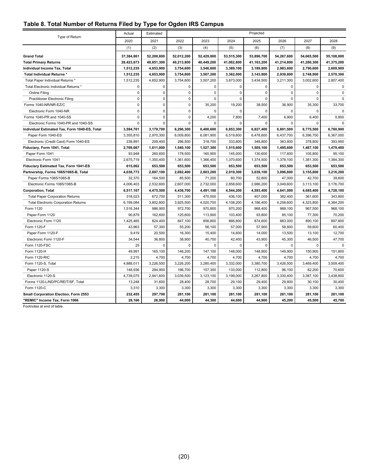#### <span id="page-24-0"></span>**Table 8. Total Number of Returns Filed by Type for Ogden IRS Campus**

| Type of Return                                | Actual      | Estimated   |             |             |             | Projected   |             |             |             |
|-----------------------------------------------|-------------|-------------|-------------|-------------|-------------|-------------|-------------|-------------|-------------|
|                                               | 2020        | 2021        | 2022        | 2023        | 2024        | 2025        | 2026        | 2027        | 2028        |
|                                               | (1)         | (2)         | (3)         | (4)         | (5)         | (6)         | (7)         | (8)         | (9)         |
| <b>Grand Total</b>                            | 37,384,861  | 52,200,800  | 52,012,200  | 52,429,800  | 53,515,300  | 53,896,700  | 54,267,600  | 54,665,500  | 55,108,800  |
| <b>Total Primary Returns</b>                  | 28,423,673  | 40,851,300  | 40,213,800  | 40,449,200  | 41,062,800  | 41,163,200  | 41,214,800  | 41,280,300  | 41,375,200  |
| Individual Income Tax, Total                  | 1,512,235   | 4,653,900   | 3,754,600   | 3,546,600   | 3,389,100   | 3,189,800   | 2,983,600   | 2,790,600   | 2,609,900   |
| Total Individual Returns *                    | 1,512,235   | 4,653,900   | 3,754,600   | 3,507,200   | 3,362,000   | 3,143,900   | 2,939,800   | 2,748,900   | 2,570,300   |
| Total Paper Individual Returns *              | 1,512,235   | 4,652,900   | 3,754,600   | 3,507,200   | 3,673,000   | 3,434,500   | 3,211,300   | 3,002,600   | 2,807,400   |
| Total Electronic Individual Returns *         | $\pmb{0}$   | $\mathbf 0$ | $\mathbf 0$ | 0           | 0           | $\mathbf 0$ | $\mathbf 0$ | $\mathbf 0$ | $\mathbf 0$ |
| <b>Online Filing</b>                          | $\mathbf 0$ | $\mathbf 0$ | $\mathbf 0$ | $\mathbf 0$ | $\mathbf 0$ | $\mathbf 0$ | $\mathbf 0$ | $\mathbf 0$ | $\mathbf 0$ |
| <b>Practitioner Electronic Filing</b>         | $\mathbf 0$ | $\mathbf 0$ | $\mathbf 0$ | $\mathbf 0$ | $\mathbf 0$ | $\mathbf 0$ | 0           | $\mathbf 0$ | $\mathbf 0$ |
| Forms 1040-NR/NR-EZ/C                         | $\mathbf 0$ | $\mathbf 0$ | $\mathbf 0$ | 35,200      | 19,200      | 38,500      | 36,900      | 35,300      | 33,700      |
| Electronic Form 1040-NR                       | $\mathbf 0$ | $\Omega$    | $\mathbf 0$ | $\Omega$    | 0           | 0           | $\mathbf 0$ | 0           | $\mathbf 0$ |
| Forms 1040-PR and 1040-SS                     | $\mathbf 0$ | $\mathbf 0$ | $\mathbf 0$ | 4,200       | 7,800       | 7,400       | 6,900       | 6,400       | 5,900       |
| Electronic Forms 1040-PR and 1040-SS          | $\mathbf 0$ | $\Omega$    | $\mathbf 0$ | $\Omega$    | 0           | $\Omega$    | $\Omega$    | $\Omega$    | $\Omega$    |
| Individual Estimated Tax, Form 1040-ES, Total | 3,594,701   | 3,179,700   | 6,296,300   | 6,400,600   | 6,853,300   | 6,827,400   | 6,801,500   | 6,775,500   | 6,760,900   |
| Paper Form 1040-ES                            | 3,355,810   | 2,970,300   | 6,009,800   | 6,081,900   | 6,519,600   | 6,478,600   | 6,437,700   | 6,396,700   | 6,367,000   |
| Electronic (Credit Card) Form 1040-ES         | 238,891     | 209,400     | 286,500     | 318,700     | 333,800     | 348,800     | 363,800     | 378,800     | 393,900     |
| Fiduciary, Form 1041, Total                   | 2,769,667   | 1,611,000   | 1,540,100   | 1,527,300   | 1,515,600   | 1,505,100   | 1,495,600   | 1,487,100   | 1,479,400   |
| Paper Form 1041                               | 93,948      | 260,600     | 178,500     | 160,900     | 145,000     | 130,600     | 117,600     | 105,800     | 95,100      |
| Electronic Form 1041                          | 2,675,719   | 1,350,400   | 1,361,600   | 1,366,400   | 1,370,600   | 1,374,500   | 1,378,100   | 1,381,300   | 1,384,300   |
| Fiduciary Estimated Tax, Form 1041-ES         | 615,062     | 653,500     | 653,500     | 653,500     | 653,500     | 653,500     | 653,500     | 653,500     | 653,500     |
| Partnership, Forms 1065/1065-B, Total         | 4,038,773   | 2,697,100   | 2,692,400   | 2,803,200   | 2,919,300   | 3,039,100   | 3,096,600   | 3,155,800   | 3,216,200   |
| Paper Forms 1065/1065-B                       | 32,370      | 164,500     | 85,500      | 71,200      | 60,700      | 52,800      | 47,000      | 42,700      | 39,600      |
| Electronic Forms 1065/1065-B                  | 4,006,403   | 2,532,600   | 2,607,000   | 2,732,000   | 2,858,600   | 2,986,200   | 3,049,600   | 3,113,100   | 3,176,700   |
| <b>Corporation, Total</b>                     | 6,517,107   | 4,475,500   | 4,436,700   | 4,491,100   | 4,544,200   | 4,593,400   | 4,641,000   | 4,685,400   | 4,728,100   |
| <b>Total Paper Corporation Returns</b>        | 318,023     | 672,700     | 511,300     | 470,500     | 436,100     | 407,000     | 382,400     | 361,600     | 343,800     |
| <b>Total Electronic Corporation Returns</b>   | 6,199,084   | 3,802,800   | 3,925,500   | 4,020,700   | 4,108,200   | 4,186,400   | 4,258,600   | 4,323,800   | 4,384,200   |
| Form 1120                                     | 1,516,344   | 986,900     | 972,700     | 970,800     | 970,200     | 968,400     | 968,100     | 967,500     | 968,100     |
| Paper Form 1120                               | 90,879      | 162,600     | 125,600     | 113,900     | 103,400     | 93,800      | 85,100      | 77,300      | 70,200      |
| Electronic Form 1120                          | 1,425,465   | 824,400     | 847,100     | 856,800     | 866,800     | 874,600     | 883,000     | 890,100     | 897,800     |
| Form 1120-F                                   | 43,963      | 57,300      | 55,200      | 56,100      | 57,000      | 57,900      | 58,800      | 59,600      | 60,400      |
| Paper Form 1120-F                             | 9,419       | 20,500      | 16,300      | 15,400      | 14,600      | 14,000      | 13,500      | 13,100      | 12,700      |
| Electronic Form 1120-F                        | 34,544      | 36,800      | 38,900      | 40,700      | 42,400      | 43,900      | 45,300      | 46,500      | 47,700      |
| Form 1120-FSC                                 | 25          | $\mathbf 0$ | $\Omega$    | $\Omega$    | 0           | $\mathbf 0$ | $\mathbf 0$ | $\mathbf 0$ | $\mathbf 0$ |
| Form 1120-H                                   | 49,991      | 165,100     | 146,200     | 147,100     | 148,000     | 148,900     | 149,900     | 150,900     | 151,800     |
| Form 1120-RIC                                 | 2,215       | 4,700       | 4,700       | 4,700       | 4,700       | 4,700       | 4,700       | 4,700       | 4,700       |
| Form 1120-S, Total                            | 4,888,011   | 3,226,500   | 3,226,200   | 3,280,400   | 3,332,000   | 3,380,700   | 3,426,500   | 3,469,400   | 3,509,400   |
| Paper 1120-S                                  | 148,936     | 284,900     | 186,700     | 157,300     | 133,000     | 112,800     | 96,100      | 82,200      | 70,600      |
| Electronic 1120-S                             | 4,739,075   | 2,941,600   | 3,039,500   | 3,123,100   | 3,199,000   | 3,267,800   | 3,330,400   | 3,387,100   | 3,438,800   |
| Forms 1120-L/ND/PC/REIT/SF, Total             | 13,248      | 31,600      | 28,400      | 28,700      | 29,100      | 29,400      | 29,800      | 30,100      | 30,400      |
| Form 1120-C                                   | 3,310       | 3,300       | 3,300       | 3,300       | 3,300       | 3,300       | 3,300       | 3,300       | 3,300       |
| Small Corporation Election, Form 2553         | 232,455     | 297,700     | 281,100     | 281,100     | 281,100     | 281,100     | 281,100     | 281,100     | 281,100     |
| "REMIC" Income Tax, Form 1066                 | 28,166      | 26,900      | 44,000      | 44,300      | 44,600      | 44,900      | 45,200      | 45,500      | 45,700      |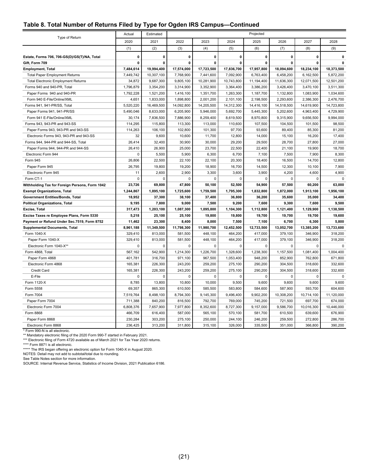| Table 8. Total Number of Returns Filed by Type for Ogden IRS Campus-Continued |  |  |
|-------------------------------------------------------------------------------|--|--|
|-------------------------------------------------------------------------------|--|--|

| Type of Return                                 | Actual       | Estimated    |              |             |             | Projected    |             |             |              |
|------------------------------------------------|--------------|--------------|--------------|-------------|-------------|--------------|-------------|-------------|--------------|
|                                                | 2020         | 2021         | 2022         | 2023        | 2024        | 2025         | 2026        | 2027        | 2028         |
|                                                | (1)          | (2)          | (3)          | (4)         | (5)         | (6)          | (7)         | (8)         | (9)          |
| Estate, Forms 706, 706-GS(D)/GS(T)/NA, Total   | 0            | $\mathbf 0$  | $\mathbf{0}$ | 0           | 0           | $\mathbf 0$  | 0           | $\mathbf 0$ | $\mathbf{0}$ |
| Gift, Form 709                                 | $\mathbf{0}$ | $\mathbf{0}$ | $\mathbf 0$  | 0           | $\mathbf 0$ | $\mathbf{0}$ | 0           | $\mathbf 0$ | $\mathbf{0}$ |
| <b>Employment, Total</b>                       | 7,484,614    | 19,994,400   | 17,574,000   | 17,723,500  | 17,836,700  | 17,957,800   | 18,094,600  | 18,234,100  | 18,373,500   |
| <b>Total Paper Employment Returns</b>          | 7,449,742    | 10,307,100   | 7,768,900    | 7,441,600   | 7,092,900   | 6,763,400    | 6,458,200   | 6,162,500   | 5,872,200    |
| <b>Total Electronic Employment Returns</b>     | 34,872       | 9,687,300    | 9,805,100    | 10,281,900  | 10,743,800  | 11,194,400   | 11,636,300  | 12,071,500  | 12,501,200   |
| Forms 940 and 940-PR, Total                    | 1,796,879    | 3,354,200    | 3,314,900    | 3,352,900   | 3,364,400   | 3,386,200    | 3,426,400   | 3,470,100   | 3,511,300    |
| Paper Forms 940 and 940-PR                     | 1,792,228    | 1,521,200    | 1,416,100    | 1,351,700   | 1,263,300   | 1,187,700    | 1,132,800   | 1,083,900   | 1,034,600    |
| Form 940 E-File/Online/XML                     | 4,651        | 1,833,000    | 1,898,800    | 2,001,200   | 2,101,100   | 2,198,500    | 2,293,600   | 2,386,300   | 2,476,700    |
| Forms 941, 941-PR/SS, Total                    | 5,520,220    | 16,469,500   | 14,092,800   | 14,205,500  | 14,312,300  | 14,416,100   | 14,518,500  | 14,619,900  | 14,723,800   |
| Paper Forms 941, 941-PR/SS                     | 5,490,046    | 8,633,000    | 6,205,900    | 5,946,000   | 5,692,700   | 5,445,300    | 5,202,600   | 4,963,400   | 4,729,900    |
| Form 941 E-File/Online/XML                     | 30,174       | 7,836,500    | 7,886,900    | 8,259,400   | 8,619,500   | 8,970,800    | 9,315,900   | 9,656,500   | 9,994,000    |
| Forms 943, 943-PR and 943-SS                   | 114,295      | 115,800      | 113,300      | 113,000     | 110,600     | 107,500      | 104,500     | 101,500     | 98,500       |
| Paper Forms 943, 943-PR and 943-SS             | 114,263      | 106,100      | 102,800      | 101,300     | 97,700      | 93,600       | 89,400      | 85,300      | 81,200       |
| Electronic Forms 943, 943-PR and 943-SS        | 32           | 9,600        | 10,600       | 11,700      | 12,800      | 14,000       | 15,100      | 16,200      | 17,400       |
| Forms 944, 944-PR and 944-SS, Total            | 26,414       | 32,400       | 30,900       | 30,000      | 29,200      | 29,500       | 28,700      | 27,800      | 27,000       |
| Paper Forms 944, 944-PR and 944-SS             | 26,410       | 26,900       | 25,000       | 23,700      | 22,500      | 22,400       | 21,100      | 19,900      | 18,700       |
| Electronic Form 944                            | $\mathbf 0$  | 5,500        | 5,900        | 6,300       | 6,700       | 7,100        | 7,500       | 7,900       | 8,300        |
| Form 945                                       | 26,806       | 22,500       | 22,100       | 22,100      | 20,300      | 18,400       | 16,500      | 14,700      | 12,800       |
| Paper Form 945                                 | 26,795       | 19,800       | 19,200       | 18,900      | 16,700      | 14,500       | 12,300      | 10,100      | 7,900        |
| Electronic Form 945                            | 11           | 2,600        | 2,900        | 3,300       | 3,600       | 3,900        | 4,200       | 4,600       | 4,900        |
| Form CT-1                                      | $\Omega$     | $\Omega$     | $\mathbf 0$  | $\mathbf 0$ | $\Omega$    | $\mathbf 0$  | $\mathbf 0$ | $\mathbf 0$ | $\mathbf 0$  |
| Withholding Tax for Foreign Persons, Form 1042 | 23,726       | 69,800       | 47,800       | 50,100      | 52,500      | 54,900       | 57,500      | 60,200      | 63,000       |
| <b>Exempt Organizations, Total</b>             | 1,244,867    | 1,895,100    | 1,725,600    | 1,759,500   | 1,795,300   | 1,832,800    | 1,872,000   | 1,913,100   | 1,956,100    |
| Government Entities/Bonds, Total               | 18,952       | 37,300       | 38,100       | 37,400      | 36,800      | 36,200       | 35,600      | 35,000      | 34,400       |
| <b>Political Organizations, Total</b>          | 9,195        | 7,800        | 9,000        | 7,500       | 9,200       | 7,600        | 9,300       | 7,600       | 9,500        |
| Excise, Total                                  | 317,473      | 1,203,100    | 1,087,300    | 1,095,800   | 1,104,300   | 1,112,800    | 1,121,400   | 1,129,900   | 1,138,500    |
| Excise Taxes re Employee Plans, Form 5330      | 5,218        | 25,100       | 25,100       | 19,800      | 19,800      | 19,700       | 19,700      | 19,700      | 19,600       |
| Payment or Refund Under Sec.7519, Form 8752    | 11,462       | 23,300       | 8,400        | 8,000       | 7,500       | 7,100        | 6,700       | 6,300       | 5,800        |
| <b>Supplemental Documents, Total</b>           | 8,961,188    | 11,349,500   | 11,798,300   | 11,980,700  | 12,452,500  | 12,733,500   | 13,052,700  | 13,385,200  | 13,733,600   |
| Form 1040-X                                    | 329,410      | 813,000      | 581,500      | 448,100     | 464,200     | 417,000      | 379,100     | 346,900     | 318,200      |
| Paper Form 1040-X                              | 329,410      | 813,000      | 581,500      | 448,100     | 464,200     | 417,000      | 379,100     | 346,900     | 318,200      |
| Electronic Form 1040-X**                       | $\mathbf 0$  | $\mathbf 0$  | $\mathbf 0$  | $\mathbf 0$ | $\mathbf 0$ | $\mathbf 0$  | $\Omega$    | $\mathbf 0$ | $\mathbf 0$  |
| Form 4868, Total                               | 567,162      | 542,900      | 1,214,300    | 1,226,700   | 1,328,600   | 1,238,300    | 1,157,500   | 1,081,400   | 1,004,400    |
| Paper Form 4868                                | 401,781      | 316,700      | 971,100      | 967,500     | 1,053,400   | 948,200      | 852,900     | 762,800     | 671,800      |
| Electronic Form 4868                           | 165,381      | 226,300      | 243,200      | 259,200     | 275,100     | 290,200      | 304,500     | 318,600     | 332,600      |
| <b>Credit Card</b>                             | 165,381      | 226,300      | 243,200      | 259,200     | 275,100     | 290,200      | 304,500     | 318,600     | 332,600      |
| E-File                                         | $\Omega$     | $\Omega$     | $\Omega$     | $\Omega$    | $\Omega$    | $\mathbf 0$  | $\mathbf 0$ | $\Omega$    | $\mathbf 0$  |
| Form 1120-X                                    | 8,785        | 13,800       | 10,800       | 10,000      | 9,500       | 9,600        | 9,600       | 9,600       | 9,600        |
| Form 5558                                      | 69,357       | 865,300      | 610,500      | 585,500     | 583,800     | 584,600      | 587,900     | 593,700     | 604,600      |
| Form 7004                                      | 7,519,764    | 8,498,100    | 8,794,300    | 9,145,300   | 9,496,400   | 9,902,200    | 10,308,200  | 10,714,100  | 11,120,000   |
| Paper Form 7004                                | 711,388      | 840,200      | 816,500      | 792,700     | 769,000     | 745,200      | 721,500     | 697,700     | 674,000      |
| Electronic Form 7004                           | 6,808,376    | 7,657,900    | 7,977,800    | 8,352,600   | 8,727,300   | 9,157,000    | 9,586,700   | 10,016,300  | 10,446,000   |
| Form 8868                                      | 466,709      | 616,400      | 587,000      | 565,100     | 570,100     | 581,700      | 610,500     | 639,600     | 676,900      |
| Paper Form 8868                                | 230,284      | 303,200      | 275,100      | 250,000     | 244,100     | 246,200      | 259,500     | 272,800     | 286,700      |
| Electronic Form 8868                           | 236,425      | 313,200      | 311,800      | 315,100     | 326,000     | 335,500      | 351,000     | 366,800     | 390,200      |

\* Form 990-N is all electronic.<br>\*\* Mandatory electronic filing of the 2020 Form 990-T started in February 2021.<br>\*\*\* Electronic filing of Form 4720 available as of March 2021 for Tax Year 2020 returns.<br>\*\*\*\* Form 8871 is all

See Table Notes section for more information. SOURCE: Internal Revenue Service, Statistics of Income Division, 2021 Publication 6186.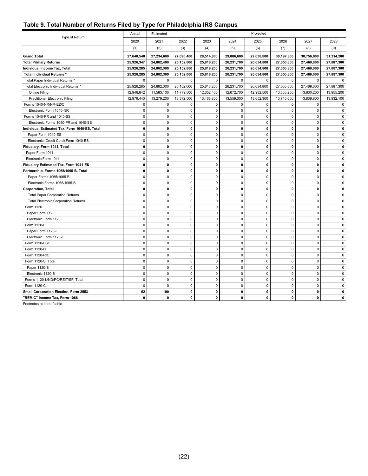#### <span id="page-26-0"></span>**Table 9. Total Number of Returns Filed by Type for Philadelphia IRS Campus**

| Type of Return                                | Actual       | Estimated    | Projected   |              |              |              |              |              |              |
|-----------------------------------------------|--------------|--------------|-------------|--------------|--------------|--------------|--------------|--------------|--------------|
|                                               | 2020         | 2021         | 2022        | 2023         | 2024         | 2025         | 2026         | 2027         | 2028         |
|                                               | (1)          | (2)          | (3)         | (4)          | (5)          | (6)          | (7)          | (8)          | (9)          |
| <b>Grand Total</b>                            | 27,640,548   | 27,234,600   | 27,690,400  | 28,514,800   | 29,086,600   | 29,638,800   | 30,197,800   | 30,756,000   | 31,314,200   |
| <b>Total Primary Returns</b>                  | 25,926,347   | 24,862,400   | 25,152,000  | 25,818,200   | 26,231,700   | 26,634,800   | 27,050,800   | 27,469,000   | 27,887,300   |
| Individual Income Tax, Total                  | 25,926,285   | 24,862,300   | 25,152,000  | 25,818,200   | 26,231,700   | 26,634,800   | 27,050,800   | 27,469,000   | 27,887,300   |
| <b>Total Individual Returns *</b>             | 25,926,285   | 24,862,300   | 25,152,000  | 25,818,200   | 26,231,700   | 26,634,800   | 27,050,800   | 27,469,000   | 27,887,300   |
| Total Paper Individual Returns *              | $\mathbf{0}$ | $\Omega$     | $\Omega$    | $\Omega$     | $\Omega$     | $\Omega$     | $\Omega$     | $\mathbf 0$  | $\Omega$     |
| Total Electronic Individual Returns *         | 25,926,285   | 24,862,300   | 25,152,000  | 25,818,200   | 26,231,700   | 26,634,800   | 27,050,800   | 27,469,000   | 27,887,300   |
| Online Filing                                 | 12,946,842   | 11,583,100   | 11,779,500  | 12,352,400   | 12,672,700   | 12,982,500   | 13,305,200   | 13,630,200   | 13,955,200   |
| <b>Practitioner Electronic Filing</b>         | 12,979,443   | 13,279,200   | 13,372,500  | 13,465,800   | 13,559,000   | 13,652,300   | 13,745,600   | 13,838,800   | 13,932,100   |
| Forms 1040-NR/NR-EZ/C                         | 0            | 0            | 0           | $\mathbf 0$  | $\mathbf 0$  | $\pmb{0}$    | $\mathbf 0$  | $\mathbf 0$  | 0            |
| Electronic Form 1040-NR                       | $\Omega$     | $\Omega$     | 0           | $\mathbf 0$  | $\mathbf 0$  | $\mathbf 0$  | $\mathbf 0$  | $\mathbf 0$  | 0            |
| Forms 1040-PR and 1040-SS                     | 0            | $\mathbf 0$  | 0           | $\mathbf{0}$ | $\mathbf 0$  | $\mathbf 0$  | $\mathbf 0$  | $\mathbf 0$  | 0            |
| Electronic Forms 1040-PR and 1040-SS          | 0            | $\mathbf 0$  | 0           | $\mathbf{0}$ | $\mathbf 0$  | $\pmb{0}$    | $\mathbf 0$  | $\Omega$     | 0            |
| Individual Estimated Tax, Form 1040-ES, Total | $\Omega$     | 0            | 0           | 0            | $\mathbf{0}$ | 0            | $\mathbf{0}$ | $\mathbf{0}$ | $\mathbf{0}$ |
| Paper Form 1040-ES                            | $\mathbf 0$  | $\mathbf 0$  | $\mathbf 0$ | $\Omega$     | $\mathbf 0$  | $\mathbf 0$  | $\Omega$     | $\mathbf 0$  | $\Omega$     |
| Electronic (Credit Card) Form 1040-ES         | 0            | 0            | 0           | $\mathbf 0$  | $\mathbf 0$  | 0            | 0            | $\Omega$     | 0            |
| Fiduciary, Form 1041, Total                   | 0            | 0            | 0           | 0            | $\mathbf 0$  | 0            | 0            | 0            | 0            |
| Paper Form 1041                               | 0            | $\mathbf 0$  | 0           | $\mathbf{0}$ | $\mathbf 0$  | $\mathbf 0$  | $\mathbf 0$  | $\mathbf 0$  | 0            |
| Electronic Form 1041                          | 0            | 0            | 0           | $\mathbf 0$  | $\mathbf 0$  | 0            | 0            | $\mathbf 0$  | 0            |
| Fiduciary Estimated Tax, Form 1041-ES         | 0            | 0            | 0           | 0            | $\mathbf 0$  | 0            | $\mathbf{0}$ | $\mathbf{0}$ | 0            |
| Partnership, Forms 1065/1065-B, Total         | 0            | 0            | 0           | 0            | $\mathbf 0$  | 0            | $\mathbf{0}$ | $\mathbf{0}$ | 0            |
| Paper Forms 1065/1065-B                       | 0            | $\pmb{0}$    | 0           | $\mathbf 0$  | $\mathbf 0$  | $\pmb{0}$    | $\mathbf 0$  | $\Omega$     | 0            |
| Electronic Forms 1065/1065-B                  | $\Omega$     | $\Omega$     | 0           | $\Omega$     | $\mathbf 0$  | $\mathbf 0$  | $\Omega$     | $\Omega$     | $\Omega$     |
| <b>Corporation, Total</b>                     | 0            | 0            | 0           | 0            | $\mathbf{0}$ | 0            | $\mathbf{0}$ | $\mathbf{0}$ | O            |
| <b>Total Paper Corporation Returns</b>        | 0            | $\mathbf 0$  | 0           | $\mathbf 0$  | $\mathbf 0$  | 0            | 0            | $\Omega$     | 0            |
| <b>Total Electronic Corporation Returns</b>   | $\Omega$     | $\Omega$     | 0           | 0            | $\mathbf 0$  | $\mathbf 0$  | $\mathbf 0$  | $\Omega$     | 0            |
| Form 1120                                     | 0            | $\mathbf 0$  | 0           | $\mathbf 0$  | $\mathbf 0$  | $\pmb{0}$    | $\mathbf 0$  | $\mathbf 0$  | 0            |
| Paper Form 1120                               | 0            | 0            | 0           | $\mathbf 0$  | $\mathbf 0$  | $\pmb{0}$    | 0            | $\Omega$     | 0            |
| Electronic Form 1120                          | $\Omega$     | $\Omega$     | 0           | $\mathbf 0$  | $\mathbf 0$  | $\mathbf 0$  | $\mathbf 0$  | $\Omega$     | 0            |
| Form 1120-F                                   | 0            | $\mathbf 0$  | 0           | $\mathbf{0}$ | $\mathbf 0$  | $\mathbf 0$  | $\mathbf 0$  | $\mathbf 0$  | 0            |
| Paper Form 1120-F                             | 0            | $\pmb{0}$    | 0           | $\mathbf{0}$ | $\mathbf 0$  | $\pmb{0}$    | $\mathbf 0$  | $\Omega$     | 0            |
| Electronic Form 1120-F                        | $\Omega$     | $\Omega$     | 0           | $\Omega$     | $\mathbf 0$  | $\mathbf 0$  | $\Omega$     | $\Omega$     | $\Omega$     |
| Form 1120-FSC                                 | $\mathbf 0$  | $\mathbf 0$  | 0           | $\mathbf{0}$ | $\mathbf 0$  | $\mathbf 0$  | $\mathbf 0$  | $\mathbf 0$  | $\Omega$     |
| Form 1120-H                                   | 0            | 0            | 0           | $\mathbf 0$  | $\mathbf 0$  | 0            | 0            | $\Omega$     | 0            |
| Form 1120-RIC                                 | $\Omega$     | $\Omega$     | 0           | 0            | $\mathbf 0$  | $\mathbf 0$  | $\mathbf 0$  | $\Omega$     | 0            |
| Form 1120-S, Total                            | $\mathbf 0$  | $\mathbf 0$  | 0           | $\mathbf{0}$ | $\mathbf 0$  | $\mathbf 0$  | $\mathbf 0$  | $\mathbf 0$  | 0            |
| Paper 1120-S                                  | 0            | 0            | 0           | $\mathbf 0$  | $\mathbf 0$  | 0            | 0            | $\Omega$     | 0            |
| Electronic 1120-S                             | $\Omega$     | $\Omega$     | 0           | $\mathbf 0$  | $\mathbf 0$  | $\mathbf 0$  | $\mathbf 0$  | $\Omega$     | 0            |
| Forms 1120-L/ND/PC/REIT/SF, Total             | 0            | $\mathbf 0$  | 0           | $\mathbf{0}$ | $\mathbf 0$  | $\mathbf 0$  | $\mathbf 0$  | $\mathbf 0$  | 0            |
| Form 1120-C                                   | $\mathbf 0$  | $\Omega$     | 0           | $\mathbf 0$  | $\mathbf 0$  | $\pmb{0}$    | $\mathbf 0$  | $\Omega$     | 0            |
| Small Corporation Election, Form 2553         | 62           | 100          | 0           | 0            | $\mathbf{0}$ | $\mathbf{0}$ | $\mathbf{0}$ | 0            | O            |
| "REMIC" Income Tax. Form 1066                 | 0            | $\mathbf{0}$ | 0           | 0            | $\mathbf{0}$ | $\mathbf{0}$ | $\mathbf{0}$ | $\mathbf{0}$ | O            |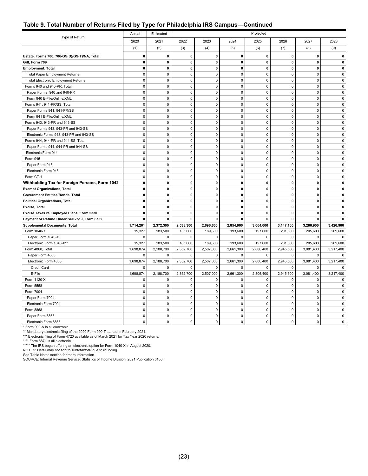#### **Table 9. Total Number of Returns Filed by Type for Philadelphia IRS Campus—Continued**

| Type of Return                                                                      | Actual       | Estimated    |             |              |                     | Projected   |              |              |                  |
|-------------------------------------------------------------------------------------|--------------|--------------|-------------|--------------|---------------------|-------------|--------------|--------------|------------------|
|                                                                                     | 2020         | 2021         | 2022        | 2023         | 2024                | 2025        | 2026         | 2027         | 2028             |
|                                                                                     | (1)          | (2)          | (3)         | (4)          | (5)                 | (6)         | (7)          | (8)          | (9)              |
| Estate, Forms 706, 706-GS(D)/GS(T)/NA, Total                                        | 0            | $\pmb{0}$    | 0           | $\mathbf 0$  | $\mathbf 0$         | 0           | $\mathbf 0$  | 0            | $\mathbf 0$      |
| Gift, Form 709                                                                      | $\mathbf 0$  | $\pmb{0}$    | 0           | $\mathbf 0$  | $\mathbf 0$         | $\pmb{0}$   | $\mathbf 0$  | 0            | $\mathbf{0}$     |
| <b>Employment, Total</b>                                                            | $\pmb{0}$    | $\pmb{0}$    | 0           | $\pmb{0}$    | 0                   | $\pmb{0}$   | 0            | 0            | $\mathbf 0$      |
| <b>Total Paper Employment Returns</b>                                               | $\pmb{0}$    | $\mathbf 0$  | 0           | $\mathbf 0$  | 0                   | $\pmb{0}$   | $\pmb{0}$    | 0            | 0                |
| <b>Total Electronic Employment Returns</b>                                          | $\mathbf 0$  | $\mathbf 0$  | $\mathbf 0$ | $\mathbf 0$  | $\mathbf 0$         | $\mathbf 0$ | $\mathbf 0$  | 0            | $\mathbf 0$      |
| Forms 940 and 940-PR, Total                                                         | 0            | $\mathbf 0$  | $\mathbf 0$ | $\mathbf 0$  | $\mathbf 0$         | $\mathbf 0$ | $\mathbf 0$  | 0            | $\mathbf 0$      |
| Paper Forms 940 and 940-PR                                                          | $\mathbf 0$  | $\mathbf 0$  | $\pmb{0}$   | $\mathbf 0$  | $\mathbf 0$         | $\pmb{0}$   | $\mathbf 0$  | 0            | $\mathbf 0$      |
| Form 940 E-File/Online/XML                                                          | $\mathbf 0$  | $\mathbf 0$  | $\pmb{0}$   | $\mathbf 0$  | $\mathbf 0$         | $\pmb{0}$   | $\mathbf 0$  | 0            | 0                |
| Forms 941, 941-PR/SS, Total                                                         | $\pmb{0}$    | $\mathbf 0$  | $\pmb{0}$   | $\pmb{0}$    | $\mathbf 0$         | $\pmb{0}$   | $\mathbf 0$  | $\mathbf 0$  | $\mathbf 0$      |
| Paper Forms 941, 941-PR/SS                                                          | $\mathbf 0$  | $\mathbf 0$  | $\mathbf 0$ | $\mathbf 0$  | $\mathbf 0$         | $\pmb{0}$   | $\mathbf 0$  | $\mathbf 0$  | $\mathbf 0$      |
| Form 941 E-File/Online/XML                                                          | $\mathbf 0$  | $\mathbf 0$  | $\pmb{0}$   | $\pmb{0}$    | $\pmb{0}$           | $\pmb{0}$   | $\pmb{0}$    | $\pmb{0}$    | $\pmb{0}$        |
| Forms 943, 943-PR and 943-SS                                                        | $\pmb{0}$    | $\mathbf 0$  | $\pmb{0}$   | 0            | $\mathbf 0$         | $\pmb{0}$   | $\mathbf 0$  | 0            | $\pmb{0}$        |
| Paper Forms 943, 943-PR and 943-SS                                                  | $\mathbf 0$  | $\mathbf 0$  | $\mathbf 0$ | $\mathbf 0$  | $\mathbf 0$         | $\mathbf 0$ | $\mathbf 0$  | $\mathbf 0$  | $\mathbf 0$      |
| Electronic Forms 943, 943-PR and 943-SS                                             | $\mathbf 0$  | $\mathbf 0$  | $\mathbf 0$ | $\mathbf 0$  | $\mathbf 0$         | $\mathbf 0$ | $\Omega$     | $\Omega$     | $\mathbf 0$      |
| Forms 944, 944-PR and 944-SS, Total                                                 | $\pmb{0}$    | $\mathbf 0$  | $\pmb{0}$   | $\Omega$     | $\Omega$            | $\pmb{0}$   | $\Omega$     | $\Omega$     | $\pmb{0}$        |
| Paper Forms 944, 944-PR and 944-SS                                                  | $\pmb{0}$    | $\mathbf 0$  | $\pmb{0}$   | $\pmb{0}$    | $\mathbf 0$         | $\pmb{0}$   | $\mathbf 0$  | $\mathbf 0$  | $\pmb{0}$        |
| Electronic Form 944                                                                 | $\pmb{0}$    | $\mathbf 0$  | $\pmb{0}$   | $\pmb{0}$    | $\ddot{\mathbf{0}}$ | $\pmb{0}$   | $\pmb{0}$    | $\pmb{0}$    | $\mathbf 0$      |
| Form 945                                                                            | $\mathbf 0$  | $\Omega$     | $\mathbf 0$ | $\mathbf 0$  | $\mathbf 0$         | $\mathbf 0$ | $\mathbf 0$  | $\mathbf 0$  | $\mathbf 0$      |
| Paper Form 945                                                                      | $\pmb{0}$    | $\Omega$     | $\pmb{0}$   | $\pmb{0}$    | $\mathsf 0$         | $\pmb{0}$   | $\pmb{0}$    | $\pmb{0}$    | $\pmb{0}$        |
| Electronic Form 945                                                                 | $\pmb{0}$    | $\mathbf 0$  | $\pmb{0}$   | $\mathbf 0$  | 0                   | $\pmb{0}$   | $\pmb{0}$    | 0            | $\mathbf 0$      |
| Form CT-1                                                                           | $\mathbf 0$  | $\mathbf 0$  | $\mathbf 0$ | $\mathbf 0$  | $\mathbf 0$         | $\mathbf 0$ | $\mathbf 0$  | 0            | $\mathbf 0$      |
|                                                                                     | $\mathbf 0$  | $\mathbf{0}$ | 0           | $\mathbf{0}$ | $\mathbf{0}$        | $\mathbf 0$ | $\mathbf{0}$ | 0            | $\mathbf{0}$     |
| Withholding Tax for Foreign Persons, Form 1042                                      | $\pmb{0}$    | $\pmb{0}$    | 0           | $\mathbf 0$  | $\mathbf 0$         | $\pmb{0}$   | $\mathbf 0$  | 0            |                  |
| <b>Exempt Organizations, Total</b>                                                  | $\mathbf 0$  | 0            | 0           | $\mathbf 0$  | $\mathbf 0$         | $\mathbf 0$ | $\mathbf 0$  | 0            | 0<br>$\mathbf 0$ |
| Government Entities/Bonds, Total                                                    | $\mathbf 0$  | $\pmb{0}$    | 0           | $\mathbf 0$  | $\mathbf 0$         | $\pmb{0}$   | $\mathbf 0$  | 0            | 0                |
| <b>Political Organizations, Total</b>                                               | $\mathbf 0$  | $\mathbf{0}$ | 0           | 0            | $\mathbf 0$         | $\mathbf 0$ | $\mathbf 0$  | 0            | $\mathbf 0$      |
| Excise, Total                                                                       | 0            |              | 0           | $\pmb{0}$    | 0                   | 0           | 0            | 0            | $\mathbf 0$      |
| Excise Taxes re Employee Plans, Form 5330                                           | 0            | 0<br>0       | 0           | 0            | $\mathbf 0$         | 0           | $\mathbf 0$  | 0            | $\mathbf 0$      |
| Payment or Refund Under Sec.7519, Form 8752<br><b>Supplemental Documents, Total</b> | 1,714,201    | 2,372,300    | 2,538,300   | 2,696,600    | 2,854,900           | 3,004,000   | 3,147,100    | 3,286,900    | 3,426,900        |
| Form 1040-X                                                                         | 15,327       | 183,500      | 185,600     | 189,600      | 193,600             | 197,600     | 201,600      | 205,600      | 209,600          |
| Paper Form 1040-X                                                                   | $\pmb{0}$    | $\mathbf 0$  | $\pmb{0}$   | $\mathbf 0$  | $\pmb{0}$           | $\mathbf 0$ | $\mathbf 0$  | $\mathbf{0}$ | $\pmb{0}$        |
| Electronic Form 1040-X**                                                            | 15,327       | 183,500      | 185,600     | 189,600      | 193,600             | 197,600     | 201,600      | 205,600      | 209,600          |
| Form 4868, Total                                                                    | 1,698,874    | 2,188,700    | 2,352,700   | 2,507,000    | 2,661,300           | 2,806,400   | 2,945,500    | 3,081,400    | 3,217,400        |
| Paper Form 4868                                                                     | 0            | $\Omega$     | 0           | $\mathbf 0$  | $\mathbf 0$         | $\Omega$    | $\mathbf 0$  | 0            | $\mathbf 0$      |
| Electronic Form 4868                                                                | 1,698,874    | 2,188,700    | 2,352,700   | 2,507,000    | 2,661,300           | 2,806,400   | 2,945,500    | 3,081,400    | 3,217,400        |
| Credit Card                                                                         | 0            | $\mathbf 0$  | 0           | $\mathbf 0$  | $\mathbf 0$         | $\mathbf 0$ | $\mathbf 0$  | 0            | 0                |
| E-File                                                                              | 1,698,874    | 2,188,700    | 2,352,700   | 2,507,000    | 2,661,300           | 2,806,400   | 2,945,500    | 3,081,400    | 3,217,400        |
| Form 1120-X                                                                         | $\mathbf 0$  | $\mathbf 0$  | $\mathbf 0$ | $\mathbf 0$  | $\mathbf 0$         | $\mathbf 0$ | $\mathbf 0$  | $\mathbf 0$  | $\mathbf 0$      |
| Form 5558                                                                           | $\pmb{0}$    | $\mathbf 0$  | $\pmb{0}$   | $\pmb{0}$    | $\mathbf 0$         | $\pmb{0}$   | $\Omega$     | $\pmb{0}$    | $\pmb{0}$        |
| Form 7004                                                                           | $\pmb{0}$    | $\mathbf 0$  | $\pmb{0}$   | 0            | $\mathbf 0$         | $\pmb{0}$   | $\pmb{0}$    | $\mathsf 0$  | 0                |
| Paper Form 7004                                                                     | $\mathbf 0$  | $\mathbf 0$  | $\pmb{0}$   | $\pmb{0}$    | $\mathbf 0$         | $\pmb{0}$   | $\mathbf 0$  | $\mathbf 0$  | $\mathbf 0$      |
| Electronic Form 7004                                                                | $\mathbf 0$  | $\mathbf 0$  | $\mathbf 0$ | $\mathbf 0$  | $\mathbf 0$         | $\mathbf 0$ | $\mathbf 0$  | 0            | $\mathbf 0$      |
| Form 8868                                                                           | $\pmb{0}$    | 0            | $\pmb{0}$   | 0            | $\mathsf 0$         | $\pmb{0}$   | $\pmb{0}$    | 0            | $\pmb{0}$        |
| Paper Form 8868                                                                     | 0            | $\mathbf 0$  | $\mathbf 0$ | $\mathbf 0$  | $\mathbf 0$         | $\mathbf 0$ | $\mathbf 0$  | 0            | $\pmb{0}$        |
| Electronic Form 8868                                                                | $\mathbf{0}$ | $\Omega$     | $\mathbf 0$ | $\Omega$     | $\Omega$            | $\mathbf 0$ | $\Omega$     | $\Omega$     | $\mathbf 0$      |
|                                                                                     |              |              |             |              |                     |             |              |              |                  |

\* Form 990-N is all electronic.<br>\*\* Nandatory electronic filing of the 2020 Form 990-T started in February 2021.<br>\*\*\* Electronic filing of Form 4720 available as of March 2021 for Tax Year 2020 returns.<br>\*\*\*\* Form 8871 is all

NOTES: Detail may not add to subtotal/total due to rounding.

See Table Notes section for more information. SOURCE: Internal Revenue Service, Statistics of Income Division, 2021 Publication 6186.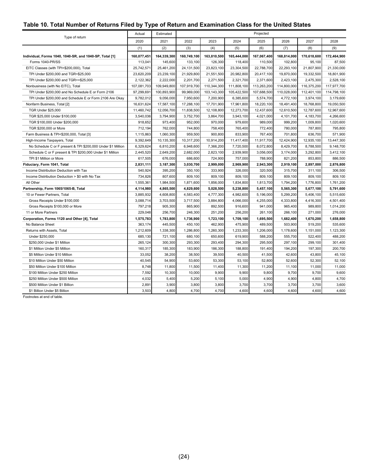### <span id="page-28-0"></span>**Table 10. Total Number of Returns Filed by Type of Return and Examination Class for the United States**

|                                                              | Actual      | Estimated   |             | Projected   |             |             |             |             |             |
|--------------------------------------------------------------|-------------|-------------|-------------|-------------|-------------|-------------|-------------|-------------|-------------|
| Type of return                                               | 2020        | 2021        | 2022        | 2023        | 2024        | 2025        | 2026        | 2027        | 2028        |
|                                                              | (1)         | (2)         | (3)         | (4)         | (5)         | (6)         | (7)         | (8)         | (9)         |
| Individual, Forms 1040, 1040-SR, and 1040-SP, Total [1]      | 160,077,451 | 164,339,300 | 160,749,100 | 163,810,500 | 165,444,000 | 167,067,400 | 168,814,000 | 170,618,600 | 172,464,900 |
| Forms 1040-PR/SS                                             | 113,041     | 145,600     | 133,100     | 126,300     | 118,400     | 110,500     | 102,800     | 95,100      | 87,500      |
| EITC Classes (with TPI<\$200,000), Total                     | 25,742,571  | 25,461,200  | 24,131,500  | 23,823,100  | 23,304,500  | 22,788,700  | 22,293,100  | 21,807,900  | 21,330,000  |
| TPI Under \$200,000 and TGR<\$25,000                         | 23,620,209  | 23,239,100  | 21,929,800  | 21,551,500  | 20,982,800  | 20,417,100  | 19,870,000  | 19,332,500  | 18,801,900  |
| TPI Under \$200,000 and TGR>=\$25,000                        | 2,122,362   | 2,222,000   | 2,201,700   | 2,271,500   | 2,321,700   | 2,371,600   | 2,423,100   | 2,475,300   | 2,528,100   |
| Nonbusiness (with No EITC), Total                            | 107,081,703 | 109,949,800 | 107,919,700 | 110,344,300 | 111,808,100 | 113,263,200 | 114,800,000 | 116,375,200 | 117,977,700 |
| TPI Under \$200,000 and No Schedule E or Form 2106           | 97,299,691  | 100,893,900 | 99,969,000  | 103,143,300 | 105,422,500 | 107,688,500 | 110,028,000 | 112,401,100 | 114,798,100 |
| TPI Under \$200,000 and Schedule E or Form 2106 Are Okay     | 9,782,012   | 9,056,000   | 7,950,600   | 7,200,900   | 6,385,600   | 5,574,700   | 4,772,100   | 3,974,100   | 3,179,600   |
| Nonfarm Business, Total [2]                                  | 16,631,624  | 17,587,100  | 17,288,100  | 17,701,900  | 17,961,800  | 18,220,100  | 18,491,400  | 18,768,800  | 19,050,500  |
| TGR Under \$25,000                                           | 11,460,742  | 12,056,700  | 11,838,500  | 12,108,800  | 12,273,700  | 12,437,600  | 12,610,500  | 12,787,600  | 12,967,600  |
| TGR \$25,000 Under \$100,000                                 | 3,540,036   | 3,794,900   | 3,752,700   | 3,864,700   | 3,943,100   | 4,021,000   | 4,101,700   | 4,183,700   | 4,266,600   |
| TGR \$100,000 Under \$200,000                                | 918,652     | 973,400     | 952,000     | 970,000     | 979,600     | 989,000     | 999,200     | 1,009,800   | 1,020,600   |
| TGR \$200,000 or More                                        | 712,194     | 762,000     | 744,800     | 758,400     | 765,400     | 772,400     | 780,000     | 787,800     | 795,800     |
| Farm Business & TPI<\$200,000, Total [3]                     | 1,115,863   | 1,060,300   | 959,500     | 900,800     | 833,900     | 767,400     | 701,800     | 636,700     | 571,900     |
| High-Income Taxpayers, Total                                 | 9,392,649   | 10,135,300  | 10,317,200  | 10,914,200  | 11,417,400  | 11,917,700  | 12,424,900  | 12,935,100  | 13,447,300  |
| No Schedule C or F present & TPI \$200,000 Under \$1 Million | 6,329,624   | 6,810,200   | 6,948,600   | 7,366,200   | 7,720,500   | 8,072,800   | 8,429,700   | 8,788,500   | 9,148,700   |
| Schedule C or F present & TPI \$200,000 Under \$1 Million    | 2,445,520   | 2,649,200   | 2,682,000   | 2,823,100   | 2,939,900   | 3,056,000   | 3,174,000   | 3,292,800   | 3,412,100   |
| TPI \$1 Million or More                                      | 617,505     | 676,000     | 686,600     | 724,900     | 757,000     | 788,900     | 821,200     | 853,800     | 886,500     |
| Fiduciary, Form 1041, Total                                  | 2,831,111   | 3,187,300   | 3,030,700   | 2,999,000   | 2,969,900   | 2,943,300   | 2,919,100   | 2,897,000   | 2,876,800   |
| Income Distribution Deduction with Tax                       | 540,924     | 395,200     | 350,100     | 333,900     | 326,000     | 320,500     | 315,700     | 311,100     | 306,500     |
| Income Distribution Deduction > \$0 with No Tax              | 734,826     | 807,600     | 809,100     | 809,100     | 809,100     | 809,100     | 809,100     | 809,100     | 809,100     |
| All Other                                                    | 1,555,361   | 1,984,500   | 1,871,600   | 1,856,000   | 1,834,800   | 1,813,700   | 1,794,200   | 1,776,800   | 1,761,200   |
| Partnership, Form 1065/1065-B, Total                         | 4,114,980   | 4,865,500   | 4,829,600   | 5,028,500   | 5,238,800   | 5,457,100   | 5,565,300   | 5,677,100   | 5,791,600   |
| 10 or Fewer Partners, Total                                  | 3,885,932   | 4,608,800   | 4,583,400   | 4,777,300   | 4,982,600   | 5,196,000   | 5,299,200   | 5,406,100   | 5,515,600   |
| Gross Receipts Under \$100,000                               | 3,088,714   | 3,703,500   | 3,717,500   | 3,884,800   | 4,066,000   | 4,255,000   | 4,333,800   | 4,416,300   | 4,501,400   |
| Gross Receipts \$100,000 or More                             | 797,218     | 905,300     | 865,900     | 892,500     | 916,600     | 941,000     | 965,400     | 989,800     | 1,014,200   |
| 11 or More Partners                                          | 229,048     | 256,700     | 246,300     | 251,200     | 256,200     | 261,100     | 266,100     | 271,000     | 276,000     |
| Corporation, Forms 1120 and Other [4], Total                 | 1,575,783   | 1,783,800   | 1,736,900   | 1,723,100   | 1,709,100   | 1,695,500   | 1,682,400   | 1,670,200   | 1,658,800   |
| No Balance Sheet                                             | 363,174     | 445,500     | 450,100     | 462,900     | 475,900     | 489,500     | 503,900     | 519,200     | 535,600     |
| Returns with Assets, Total                                   | 1,212,609   | 1,338,300   | 1,286,800   | 1,260,300   | 1,233,300   | 1,206,000   | 1,178,600   | 1,151,000   | 1,123,300   |
| Under \$250,000                                              | 685,130     | 721,100     | 680,100     | 650,600     | 619,900     | 588,200     | 555,700     | 522,400     | 488,200     |
| \$250,000 Under \$1 Million                                  | 265,124     | 300,300     | 293,300     | 293,400     | 294,300     | 295,500     | 297,100     | 299,100     | 301,400     |
| \$1 Million Under \$5 Million                                | 160,317     | 185,300     | 183,900     | 186,300     | 188,800     | 191,400     | 194,200     | 197,300     | 200,700     |
| \$5 Million Under \$10 Million                               | 33,052      | 38,200      | 38,500      | 39,500      | 40,500      | 41,500      | 42,600      | 43,800      | 45,100      |
| \$10 Million Under \$50 Million                              | 40,545      | 54,900      | 53,600      | 53,300      | 53,100      | 52,800      | 52,600      | 52,300      | 52,100      |
| \$50 Million Under \$100 Million                             | 8,748       | 11,800      | 11,500      | 11,400      | 11,300      | 11,200      | 11,100      | 11,000      | 11,000      |
| \$100 Million Under \$250 Million                            | 7,592       | 10,300      | 10,000      | 9,900       | 9,900       | 9,800       | 9,700       | 9,700       | 9,600       |
| \$250 Million Under \$500 Million                            | 4,032       | 5,400       | 5,200       | 5,100       | 5,000       | 4,900       | 4,900       | 4,800       | 4,700       |
| \$500 Million Under \$1 Billion                              | 2,891       | 3,900       | 3,800       | 3,800       | 3,700       | 3,700       | 3,700       | 3,700       | 3,600       |
| \$1 Billion Under \$5 Billion                                | 3,503       | 4,800       | 4,700       | 4,700       | 4,600       | 4,600       | 4,600       | 4,600       | 4,600       |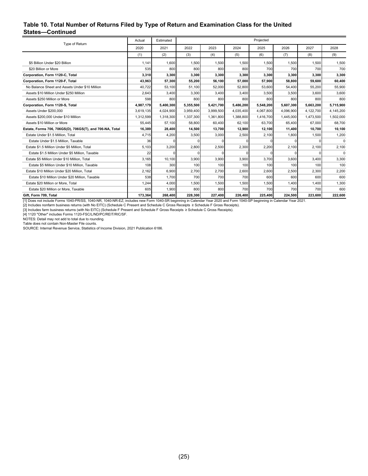#### **Table 10. Total Number of Returns Filed by Type of Return and Examination Class for the United States—Continued**

| Type of Return                                           | Actual    | Estimated                  |           | Projected                                            |                    |           |                                                |           |             |
|----------------------------------------------------------|-----------|----------------------------|-----------|------------------------------------------------------|--------------------|-----------|------------------------------------------------|-----------|-------------|
|                                                          | 2020      | 2021                       | 2022      | 2023                                                 | 2024               | 2025      | 2026                                           | 2027      | 2028        |
|                                                          | (1)       | (2)                        | (3)       | (4)                                                  | (5)                | (6)       | (7)                                            | (8)       | (9)         |
| \$5 Billion Under \$20 Billion                           | 1,141     | 1,600                      | 1.500     | 1,500                                                | 1,500              | 1,500     | 1,500                                          | 1.500     | 1,500       |
| \$20 Billion or More                                     | 535       | 800                        | 800       | 800                                                  | 800                | 700       | 700                                            | 700       | 700         |
| Corporation, Form 1120-C, Total                          | 3,310     | 3,300                      | 3,300     | 3,300                                                | 3,300              | 3,300     | 3,300                                          | 3,300     | 3,300       |
| Corporation, Form 1120-F, Total                          | 43.963    | 57,300                     | 55,200    | 56,100                                               | 57,000             | 57,900    | 58,800                                         | 59.600    | 60,400      |
| No Balance Sheet and Assets Under \$10 Million           | 40.722    | 53.100                     | 51.100    | 52,000                                               | 52.800             | 53.600    | 54,400                                         | 55.200    | 55.900      |
| Assets \$10 Million Under \$250 Million                  | 2,643     | 3,400                      | 3,300     | 3,400                                                | 3,400              | 3,500     | 3,500                                          | 3.600     | 3,600       |
| Assets \$250 Million or More                             | 598       | 800                        | 800       | 800                                                  | 800                | 800       | 800                                            | 800       | 800         |
| Corporation, Form 1120-S, Total                          | 4,987,179 | 5,400,300                  | 5,355,500 | 5,421,700                                            | 5,486,200          | 5,548,200 | 5,607,300                                      | 5,663,200 | 5,715,900   |
| Assets Under \$200,000                                   | 3,619,135 | 4,024,900                  | 3,959,400 | 3,999,500                                            | 4,035,400          | 4,067,800 | 4,096,900                                      | 4,122,700 | 4,145,200   |
| Assets \$200,000 Under \$10 Million                      | 1,312,599 | 1,318,300                  | 1,337,300 | 1,361,800                                            | 1,388,800          | 1,416,700 | 1,445,000                                      | 1,473,500 | 1,502,000   |
| Assets \$10 Million or More                              | 55,445    | 57,100                     | 58,800    | 60,400                                               | 62,100             | 63,700    | 65,400                                         | 67,000    | 68,700      |
| Estate, Forms 706, 706GS(D), 706GS(T), and 706-NA, Total | 16.389    | 28,400                     | 14.500    | 13,700                                               | 12,900             | 12,100    | 11,400                                         | 10.700    | 10,100      |
| Estate Under \$1.5 Million. Total                        | 4,715     | 4,200                      | 3,500     | 3,000                                                | 2,500              | 2,100     | 1,800                                          | 1.500     | 1,200       |
| Estate Under \$1.5 Million, Taxable                      | 36        | $\Omega$                   | 0         | 0                                                    |                    |           | 0                                              |           | $\mathbf 0$ |
| Estate \$1.5 Million Under \$5 Million. Total            | 5,103     | 3,200                      | 2,800     | 2,500                                                | 2,300              | 2,200     | 2,100                                          | 2,100     | 2,100       |
| Estate \$1.5 Million Under \$5 Million, Taxable          | 22        |                            |           |                                                      |                    |           |                                                |           | $\Omega$    |
| Estate \$5 Million Under \$10 Million. Total             | 3,165     | 10,100                     | 3,900     | 3,900                                                | 3,900              | 3,700     | 3,600                                          | 3,400     | 3,300       |
| Estate \$5 Million Under \$10 Million, Taxable           | 108       | 300                        | 100       | 100                                                  | 100                | 100       | 100                                            | 100       | 100         |
| Estate \$10 Million Under \$20 Million, Total            | 2,162     | 6,900                      | 2,700     | 2,700                                                | 2,600              | 2,600     | 2,500                                          | 2,300     | 2,200       |
| Estate \$10 Million Under \$20 Million, Taxable          | 538       | 1,700                      | 700       | 700                                                  | 700                | 600       | 600                                            | 600       | 600         |
| Estate \$20 Million or More. Total                       | 1,244     | 4,000                      | 1,500     | 1,500                                                | 1,500              | 1,500     | 1,400                                          | 1.400     | 1,300       |
| Estate \$20 Million or More, Taxable                     | 605       | 1,900                      | 800       | 800                                                  | 700                | 700       | 700                                            | 700       | 600         |
| Gift, Form 709, Total                                    | 173,364   | 268,400<br>$4040.00 k + 1$ | 228,300   | 227,400<br>$1.001$ $1.001$ $1.001$ $1.0000$ $1.0000$ | 226,400<br>101000L | 225,400   | 224,500<br>$1.5001$ $1.5011$ $1.5011$ $1.5001$ | 223,600   | 222,600     |

[1] Does not include Forms 1040-PR/SS, 1040-NR, 1040-NR-EZ; includes new Form 1040-SR beginning in Calendar Year 2020 and Form 1040-SP beginning in Calendar Year 2021.<br>[2] Includes nonfarm business returns (with No EITC)

[4] 1120 "Other" includes Forms 1120-FSC/L/ND/PC/REIT/RIC/SF.

NOTES: Detail may not add to total due to rounding.

Table does not contain Non-Master File counts.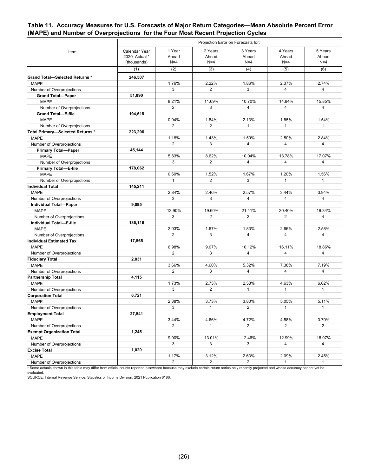#### <span id="page-30-0"></span>**Table 11. Accuracy Measures for U.S. Forecasts of Major Return Categories—Mean Absolute Percent Error (MAPE) and Number of Overprojections for the Four Most Recent Projection Cycles**

|                                  | Projection Error on Forecasts for:            |                          |                           |                           |                           |                           |
|----------------------------------|-----------------------------------------------|--------------------------|---------------------------|---------------------------|---------------------------|---------------------------|
| Item                             | Calendar Year<br>2020 Actual *<br>(thousands) | 1 Year<br>Ahead<br>$N=4$ | 2 Years<br>Ahead<br>$N=4$ | 3 Years<br>Ahead<br>$N=4$ | 4 Years<br>Ahead<br>$N=4$ | 5 Years<br>Ahead<br>$N=4$ |
|                                  | (1)                                           | (2)                      | (3)                       | (4)                       | (5)                       | (6)                       |
| Grand Total-Selected Returns *   | 246,507                                       |                          |                           |                           |                           |                           |
| <b>MAPE</b>                      |                                               | 1.76%                    | 2.22%                     | 1.86%                     | 2.37%                     | 2.74%                     |
| Number of Overprojections        |                                               | 3                        | 2                         | 3                         | $\overline{4}$            | 4                         |
| <b>Grand Total-Paper</b>         | 51,890                                        |                          |                           |                           |                           |                           |
| <b>MAPE</b>                      |                                               | 8.21%                    | 11.69%                    | 10.70%                    | 14.84%                    | 15.85%                    |
| Number of Overprojections        |                                               | $\overline{2}$           | 3                         | 4                         | $\overline{4}$            | 4                         |
| <b>Grand Total-E-file</b>        | 194,618                                       |                          |                           |                           |                           |                           |
| <b>MAPE</b>                      |                                               | 0.94%                    | 1.84%                     | 2.13%                     | 1.85%                     | 1.54%                     |
| Number of Overprojections        |                                               | $\overline{2}$           | $\overline{2}$            | $\mathbf{1}$              | $\mathbf{1}$              | $\mathbf{1}$              |
| Total Primary-Selected Returns * | 223,206                                       |                          |                           |                           |                           |                           |
| <b>MAPE</b>                      |                                               | 1.18%                    | 1.43%                     | 1.50%                     | 2.50%                     | 2.84%                     |
| Number of Overprojections        |                                               | 2                        | 3                         | 4                         | $\overline{4}$            | 4                         |
| <b>Primary Total-Paper</b>       | 45,144                                        |                          |                           |                           |                           |                           |
| <b>MAPE</b>                      |                                               | 5.83%                    | 8.62%                     | 10.04%                    | 13.78%                    | 17.07%                    |
| Number of Overprojections        |                                               | 3                        | $\overline{2}$            | $\overline{4}$            | $\overline{4}$            | 4                         |
| <b>Primary Total-E-file</b>      | 178,062                                       |                          |                           |                           |                           |                           |
| <b>MAPE</b>                      |                                               | 0.69%                    | 1.52%                     | 1.67%                     | 1.20%                     | 1.56%                     |
| Number of Overprojections        |                                               | $\mathbf{1}$             | $\overline{2}$            | 3                         | $\mathbf{1}$              | $\mathbf{1}$              |
| <b>Individual Total</b>          | 145,211                                       |                          |                           |                           |                           |                           |
| <b>MAPE</b>                      |                                               | 2.84%                    | 2.46%                     | 2.57%                     | 3.44%                     | 3.94%                     |
| Number of Overprojections        |                                               | 3                        | 3                         | $\overline{4}$            | $\overline{4}$            | 4                         |
| <b>Individual Total-Paper</b>    | 9,095                                         |                          |                           |                           |                           |                           |
| <b>MAPE</b>                      |                                               | 12.90%                   | 19.60%                    | 21.41%                    | 20.40%                    | 19.34%                    |
| Number of Overprojections        |                                               | 3                        | 2                         | $\overline{2}$            | 2                         | 4                         |
| Individual Total-E-file          | 136,116                                       |                          |                           |                           |                           |                           |
| <b>MAPE</b>                      |                                               | 2.03%                    | 1.67%                     | 1.83%                     | 2.66%                     | 2.58%                     |
| Number of Overprojections        |                                               | $\overline{2}$           | 3                         | $\overline{4}$            | $\overline{4}$            | 4                         |
| <b>Individual Estimated Tax</b>  | 17,565                                        |                          |                           |                           |                           |                           |
| <b>MAPE</b>                      |                                               | 6.98%                    | 9.07%                     | 10.12%                    | 16.11%                    | 18.86%                    |
| Number of Overprojections        |                                               | 2                        | 3                         | 4                         | $\overline{4}$            | 4                         |
| <b>Fiduciary Total</b>           | 2,831                                         |                          |                           |                           |                           |                           |
| <b>MAPE</b>                      |                                               | 3.66%                    | 4.60%                     | 5.32%                     | 7.38%                     | 7.19%                     |
| Number of Overprojections        |                                               | 2                        | 3                         | 4                         | $\overline{4}$            | 4                         |
| Partnership Total                | 4,115                                         |                          |                           |                           |                           |                           |
| <b>MAPE</b>                      |                                               | 1.73%                    | 2.73%                     | 2.58%                     | 4.63%                     | 6.62%                     |
| Number of Overprojections        |                                               | 3                        | $\overline{2}$            | $\mathbf{1}$              | $\mathbf{1}$              | $\mathbf{1}$              |
| <b>Corporation Total</b>         | 6,721                                         |                          |                           |                           |                           |                           |
| <b>MAPE</b>                      |                                               | 2.38%                    | 3.73%                     | 3.80%                     | 5.05%                     | 5.11%                     |
| Number of Overprojections        |                                               | 3                        | $\mathbf{1}$              | 2                         | $\mathbf{1}$              | 1                         |
| <b>Employment Total</b>          | 27,541                                        |                          |                           |                           |                           |                           |
| <b>MAPE</b>                      |                                               | 3.44%                    | 4.66%                     | 4.72%                     | 4.58%                     | 3.70%                     |
| Number of Overprojections        |                                               | $\overline{2}$           | 1                         | $\overline{2}$            | $\overline{2}$            | $\overline{2}$            |
| <b>Exempt Organization Total</b> | 1,245                                         |                          |                           |                           |                           |                           |
| <b>MAPE</b>                      |                                               | 9.00%                    | 13.01%                    | 12.46%                    | 12.99%                    | 16.97%                    |
| Number of Overprojections        |                                               | 3                        | 3                         | 3                         | $\overline{4}$            | $\overline{4}$            |
| <b>Excise Total</b>              | 1,020                                         |                          |                           |                           |                           |                           |
| <b>MAPE</b>                      |                                               | 1.17%                    | 3.12%                     | 2.63%                     | 2.09%                     | 2.45%                     |
| Number of Overprojections        |                                               | $\overline{2}$           | $2^{\circ}$               | $\overline{2}$            | $\mathbf{1}$              | $\mathbf{1}$              |

\* Some actuals shown in this table may differ from official counts reported elsewhere because they exclude certain return series only recently projected and whose accuracy cannot yet be evaluated.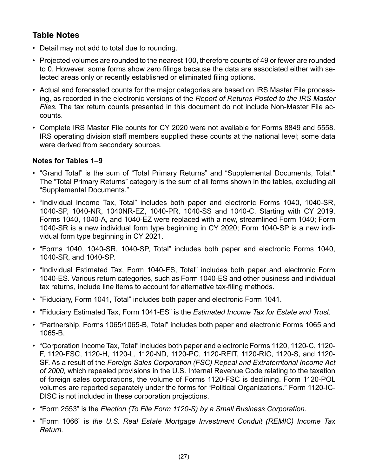## <span id="page-31-0"></span>**Table Notes**

- Detail may not add to total due to rounding.
- Projected volumes are rounded to the nearest 100, therefore counts of 49 or fewer are rounded to 0. However, some forms show zero filings because the data are associated either with selected areas only or recently established or eliminated filing options.
- Actual and forecasted counts for the major categories are based on IRS Master File processing, as recorded in the electronic versions of the *Report of Returns Posted to the IRS Master Files.* The tax return counts presented in this document do not include Non-Master File accounts.
- Complete IRS Master File counts for CY 2020 were not available for Forms 8849 and 5558. IRS operating division staff members supplied these counts at the national level; some data were derived from secondary sources.

#### **Notes for Tables 1–9**

- "Grand Total" is the sum of "Total Primary Returns" and "Supplemental Documents, Total." The "Total Primary Returns" category is the sum of all forms shown in the tables, excluding all "Supplemental Documents."
- "Individual Income Tax, Total" includes both paper and electronic Forms 1040, 1040-SR, 1040-SP, 1040-NR, 1040NR-EZ, 1040-PR, 1040-SS and 1040-C. Starting with CY 2019, Forms 1040, 1040-A, and 1040-EZ were replaced with a new, streamlined Form 1040; Form 1040-SR is a new individual form type beginning in CY 2020; Form 1040-SP is a new individual form type beginning in CY 2021.
- "Forms 1040, 1040-SR, 1040-SP, Total" includes both paper and electronic Forms 1040, 1040-SR, and 1040-SP.
- "Individual Estimated Tax, Form 1040-ES, Total" includes both paper and electronic Form 1040-ES. Various return categories, such as Form 1040-ES and other business and individual tax returns, include line items to account for alternative tax-filing methods.
- "Fiduciary, Form 1041, Total" includes both paper and electronic Form 1041.
- "Fiduciary Estimated Tax, Form 1041-ES" is the *Estimated Income Tax for Estate and Trust.*
- "Partnership, Forms 1065/1065-B, Total" includes both paper and electronic Forms 1065 and 1065-B.
- "Corporation Income Tax, Total" includes both paper and electronic Forms 1120, 1120-C, 1120- F, 1120-FSC, 1120-H, 1120-L, 1120-ND, 1120-PC, 1120-REIT, 1120-RIC, 1120-S, and 1120- SF. As a result of the *Foreign Sales Corporation (FSC) Repeal and Extraterritorial Income Act of 2000,* which repealed provisions in the U.S. Internal Revenue Code relating to the taxation of foreign sales corporations, the volume of Forms 1120-FSC is declining. Form 1120-POL volumes are reported separately under the forms for "Political Organizations." Form 1120-IC-DISC is not included in these corporation projections.
- "Form 2553" is the *Election (To File Form 1120-S) by a Small Business Corporation.*
- "Form 1066" is *the U.S. Real Estate Mortgage Investment Conduit (REMIC) Income Tax Return.*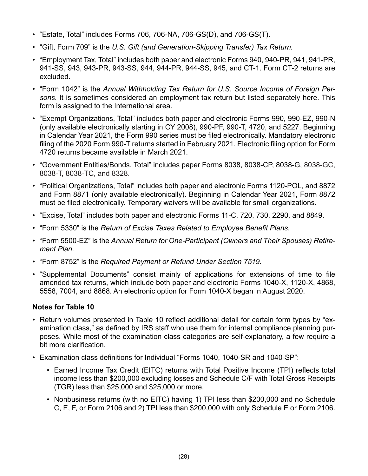- "Estate, Total" includes Forms 706, 706-NA, 706-GS(D), and 706-GS(T).
- "Gift, Form 709" is the *U.S. Gift (and Generation-Skipping Transfer) Tax Return.*
- "Employment Tax, Total" includes both paper and electronic Forms 940, 940-PR, 941, 941-PR, 941-SS, 943, 943-PR, 943-SS, 944, 944-PR, 944-SS, 945, and CT-1. Form CT-2 returns are excluded.
- "Form 1042" is the *Annual Withholding Tax Return for U.S. Source Income of Foreign Persons.* It is sometimes considered an employment tax return but listed separately here. This form is assigned to the International area.
- "Exempt Organizations, Total" includes both paper and electronic Forms 990, 990-EZ, 990-N (only available electronically starting in CY 2008), 990-PF, 990-T, 4720, and 5227. Beginning in Calendar Year 2021, the Form 990 series must be filed electronically. Mandatory electronic filing of the 2020 Form 990-T returns started in February 2021. Electronic filing option for Form 4720 returns became available in March 2021.
- "Government Entities/Bonds, Total" includes paper Forms 8038, 8038-CP, 8038-G, 8038-GC, 8038-T, 8038-TC, and 8328.
- "Political Organizations, Total" includes both paper and electronic Forms 1120-POL, and 8872 and Form 8871 (only available electronically). Beginning in Calendar Year 2021, Form 8872 must be filed electronically. Temporary waivers will be available for small organizations.
- "Excise, Total" includes both paper and electronic Forms 11-C, 720, 730, 2290, and 8849.
- "Form 5330" is the *Return of Excise Taxes Related to Employee Benefit Plans.*
- "Form 5500-EZ" is the *Annual Return for One-Participant (Owners and Their Spouses) Retirement Plan.*
- "Form 8752" is the *Required Payment or Refund Under Section 7519.*
- "Supplemental Documents" consist mainly of applications for extensions of time to file amended tax returns, which include both paper and electronic Forms 1040-X, 1120-X, 4868, 5558, 7004, and 8868. An electronic option for Form 1040-X began in August 2020.

#### **Notes for Table 10**

- Return volumes presented in Table 10 reflect additional detail for certain form types by "examination class," as defined by IRS staff who use them for internal compliance planning purposes. While most of the examination class categories are self-explanatory, a few require a bit more clarification.
- Examination class definitions for Individual "Forms 1040, 1040-SR and 1040-SP":
	- Earned Income Tax Credit (EITC) returns with Total Positive Income (TPI) reflects total income less than \$200,000 excluding losses and Schedule C/F with Total Gross Receipts (TGR) less than \$25,000 and \$25,000 or more.
	- Nonbusiness returns (with no EITC) having 1) TPI less than \$200,000 and no Schedule C, E, F, or Form 2106 and 2) TPI less than \$200,000 with only Schedule E or Form 2106.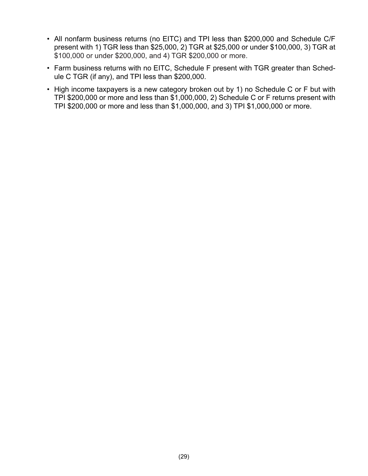- All nonfarm business returns (no EITC) and TPI less than \$200,000 and Schedule C/F present with 1) TGR less than \$25,000, 2) TGR at \$25,000 or under \$100,000, 3) TGR at \$100,000 or under \$200,000, and 4) TGR \$200,000 or more.
- Farm business returns with no EITC, Schedule F present with TGR greater than Schedule C TGR (if any), and TPI less than \$200,000.
- High income taxpayers is a new category broken out by 1) no Schedule C or F but with TPI \$200,000 or more and less than \$1,000,000, 2) Schedule C or F returns present with TPI \$200,000 or more and less than \$1,000,000, and 3) TPI \$1,000,000 or more.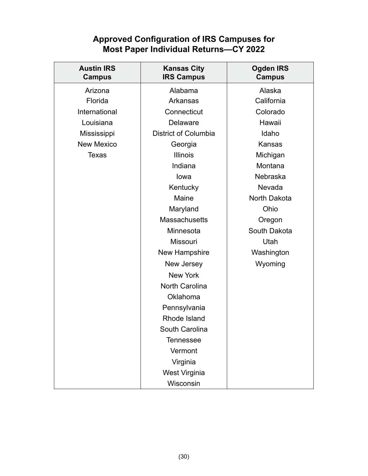## **Approved Configuration of IRS Campuses for Most Paper Individual Returns—CY 2022**

<span id="page-34-0"></span>

| <b>Austin IRS</b><br><b>Campus</b> | <b>Kansas City</b><br><b>IRS Campus</b> | <b>Ogden IRS</b><br>Campus |
|------------------------------------|-----------------------------------------|----------------------------|
| Arizona                            | Alabama                                 | Alaska                     |
| Florida                            | Arkansas                                | California                 |
| International                      | Connecticut                             | Colorado                   |
| Louisiana                          | <b>Delaware</b>                         | Hawaii                     |
| Mississippi                        | <b>District of Columbia</b>             | Idaho                      |
| <b>New Mexico</b>                  | Georgia                                 | Kansas                     |
| <b>Texas</b>                       | <b>Illinois</b>                         | Michigan                   |
|                                    | Indiana                                 | Montana                    |
|                                    | lowa                                    | Nebraska                   |
|                                    | Kentucky                                | Nevada                     |
|                                    | Maine                                   | North Dakota               |
|                                    | Maryland                                | Ohio                       |
|                                    | <b>Massachusetts</b>                    | Oregon                     |
|                                    | Minnesota                               | South Dakota               |
|                                    | <b>Missouri</b>                         | Utah                       |
|                                    | New Hampshire                           | Washington                 |
|                                    | New Jersey                              | Wyoming                    |
|                                    | <b>New York</b>                         |                            |
|                                    | <b>North Carolina</b>                   |                            |
|                                    | <b>Oklahoma</b>                         |                            |
|                                    | Pennsylvania                            |                            |
|                                    | Rhode Island                            |                            |
|                                    | South Carolina                          |                            |
|                                    | <b>Tennessee</b>                        |                            |
|                                    | Vermont                                 |                            |
|                                    | Virginia                                |                            |
|                                    | West Virginia                           |                            |
|                                    | Wisconsin                               |                            |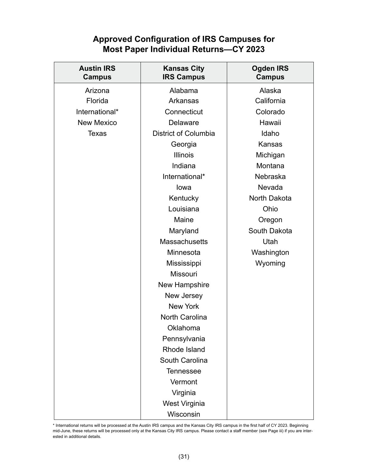## **Approved Configuration of IRS Campuses for Most Paper Individual Returns—CY 2023**

| <b>Austin IRS</b><br><b>Campus</b> | <b>Kansas City</b><br><b>IRS Campus</b> | <b>Ogden IRS</b><br><b>Campus</b> |
|------------------------------------|-----------------------------------------|-----------------------------------|
| Arizona                            | Alabama                                 | Alaska                            |
| Florida                            | Arkansas                                | California                        |
| International*                     | Connecticut                             | Colorado                          |
| <b>New Mexico</b>                  | <b>Delaware</b>                         | Hawaii                            |
| <b>Texas</b>                       | <b>District of Columbia</b>             | Idaho                             |
|                                    | Georgia                                 | Kansas                            |
|                                    | <b>Illinois</b>                         | Michigan                          |
|                                    | Indiana                                 | Montana                           |
|                                    | International*                          | <b>Nebraska</b>                   |
|                                    | lowa                                    | Nevada                            |
|                                    | Kentucky                                | North Dakota                      |
|                                    | Louisiana                               | Ohio                              |
|                                    | Maine                                   | Oregon                            |
|                                    | Maryland                                | South Dakota                      |
|                                    | <b>Massachusetts</b>                    | Utah                              |
|                                    | Minnesota                               | Washington                        |
|                                    | Mississippi                             | Wyoming                           |
|                                    | <b>Missouri</b>                         |                                   |
|                                    | New Hampshire                           |                                   |
|                                    | New Jersey                              |                                   |
|                                    | <b>New York</b>                         |                                   |
|                                    | <b>North Carolina</b>                   |                                   |
|                                    | Oklahoma                                |                                   |
|                                    | Pennsylvania                            |                                   |
|                                    | Rhode Island                            |                                   |
|                                    | South Carolina                          |                                   |
|                                    | <b>Tennessee</b>                        |                                   |
|                                    | Vermont                                 |                                   |
|                                    | Virginia                                |                                   |
|                                    | West Virginia                           |                                   |
|                                    | Wisconsin                               |                                   |

\* International returns will be processed at the Austin IRS campus and the Kansas City IRS campus in the first half of CY 2023. Beginning mid-June, these returns will be processed only at the Kansas City IRS campus. Please contact a staff member (see Page iii) if you are interested in additional details.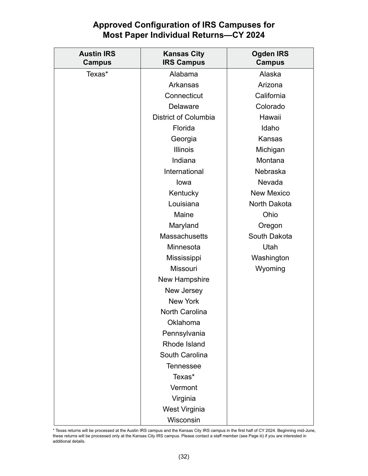## **Approved Configuration of IRS Campuses for Most Paper Individual Returns—CY 2024**

| <b>Austin IRS</b><br><b>Campus</b> | <b>Kansas City</b><br><b>IRS Campus</b> | <b>Ogden IRS</b><br><b>Campus</b> |
|------------------------------------|-----------------------------------------|-----------------------------------|
| Texas*                             | Alabama                                 | Alaska                            |
|                                    | Arkansas                                | Arizona                           |
|                                    | Connecticut                             | California                        |
|                                    | <b>Delaware</b>                         | Colorado                          |
|                                    | <b>District of Columbia</b>             | Hawaii                            |
|                                    | Florida                                 | Idaho                             |
|                                    | Georgia                                 | Kansas                            |
|                                    | <b>Illinois</b>                         | Michigan                          |
|                                    | Indiana                                 | Montana                           |
|                                    | International                           | Nebraska                          |
|                                    | lowa                                    | Nevada                            |
|                                    | Kentucky                                | <b>New Mexico</b>                 |
|                                    | Louisiana                               | North Dakota                      |
|                                    | Maine                                   | Ohio                              |
|                                    | Maryland                                | Oregon                            |
|                                    | <b>Massachusetts</b>                    | South Dakota                      |
|                                    | Minnesota                               | Utah                              |
|                                    | Mississippi                             | Washington                        |
|                                    | <b>Missouri</b>                         | Wyoming                           |
|                                    | New Hampshire                           |                                   |
|                                    | New Jersey                              |                                   |
|                                    | <b>New York</b>                         |                                   |
|                                    | <b>North Carolina</b>                   |                                   |
|                                    | Oklahoma                                |                                   |
|                                    | Pennsylvania                            |                                   |
|                                    | <b>Rhode Island</b>                     |                                   |
|                                    | South Carolina                          |                                   |
|                                    | <b>Tennessee</b>                        |                                   |
|                                    | Texas*                                  |                                   |
|                                    | Vermont                                 |                                   |
|                                    | Virginia                                |                                   |
|                                    | West Virginia                           |                                   |
|                                    | Wisconsin                               |                                   |

<sup>\*</sup> Texas returns will be processed at the Austin IRS campus and the Kansas City IRS campus in the first half of CY 2024. Beginning mid-June, these returns will be processed only at the Kansas City IRS campus. Please contact a staff member (see Page iii) if you are interested in additional details.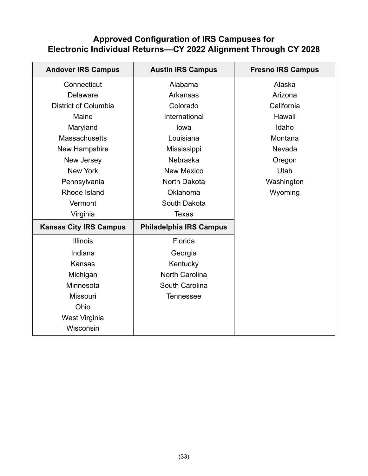## <span id="page-37-0"></span>**Approved Configuration of IRS Campuses for Electronic Individual Returns—CY 2022 Alignment Through CY 2028**

| <b>Andover IRS Campus</b>     | <b>Austin IRS Campus</b>       | <b>Fresno IRS Campus</b> |
|-------------------------------|--------------------------------|--------------------------|
| Connecticut                   | Alabama                        | Alaska                   |
| <b>Delaware</b>               | <b>Arkansas</b>                | Arizona                  |
| <b>District of Columbia</b>   | Colorado                       | California               |
| Maine                         | International                  | Hawaii                   |
| Maryland                      | lowa                           | Idaho                    |
| <b>Massachusetts</b>          | Louisiana                      | Montana                  |
| New Hampshire                 | Mississippi                    | Nevada                   |
| New Jersey                    | Nebraska                       | Oregon                   |
| <b>New York</b>               | <b>New Mexico</b>              | Utah                     |
| Pennsylvania                  | North Dakota                   | Washington               |
| Rhode Island                  | Oklahoma                       | Wyoming                  |
| Vermont                       | South Dakota                   |                          |
| Virginia                      | <b>Texas</b>                   |                          |
| <b>Kansas City IRS Campus</b> | <b>Philadelphia IRS Campus</b> |                          |
| <b>Illinois</b>               | Florida                        |                          |
| Indiana                       | Georgia                        |                          |
| <b>Kansas</b>                 | Kentucky                       |                          |
| Michigan                      | <b>North Carolina</b>          |                          |
| Minnesota                     | South Carolina                 |                          |
| <b>Missouri</b>               | <b>Tennessee</b>               |                          |
| Ohio                          |                                |                          |
| West Virginia                 |                                |                          |
| Wisconsin                     |                                |                          |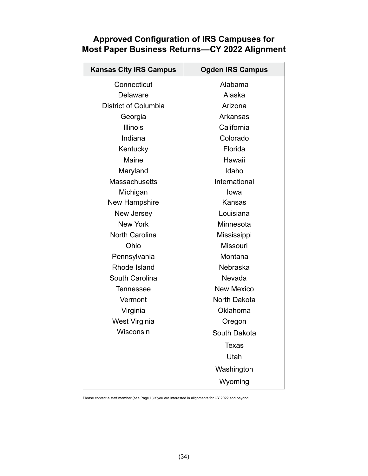| <b>Kansas City IRS Campus</b> | <b>Ogden IRS Campus</b> |  |
|-------------------------------|-------------------------|--|
| Connecticut                   | Alabama                 |  |
| Delaware                      | Alaska                  |  |
| <b>District of Columbia</b>   | Arizona                 |  |
| Georgia                       | <b>Arkansas</b>         |  |
| Illinois                      | California              |  |
| Indiana                       | Colorado                |  |
| Kentucky                      | Florida                 |  |
| Maine                         | Hawaii                  |  |
| Maryland                      | Idaho                   |  |
| <b>Massachusetts</b>          | International           |  |
| Michigan                      | lowa                    |  |
| New Hampshire                 | Kansas                  |  |
| New Jersey                    | Louisiana               |  |
| <b>New York</b>               | Minnesota               |  |
| <b>North Carolina</b>         | Mississippi             |  |
| Ohio                          | <b>Missouri</b>         |  |
| Pennsylvania                  | Montana                 |  |
| Rhode Island                  | <b>Nebraska</b>         |  |
| <b>South Carolina</b>         | Nevada                  |  |
| <b>Tennessee</b>              | <b>New Mexico</b>       |  |
| Vermont                       | North Dakota            |  |
| Virginia                      | Oklahoma                |  |
| <b>West Virginia</b>          | Oregon                  |  |
| Wisconsin                     | South Dakota            |  |
|                               | <b>Texas</b>            |  |
|                               | Utah                    |  |
|                               | Washington              |  |
|                               | Wyoming                 |  |

## <span id="page-38-0"></span>**Approved Configuration of IRS Campuses for Most Paper Business Returns—CY 2022 Alignment**

Please contact a staff member (see Page iii) if you are interested in alignments for CY 2022 and beyond.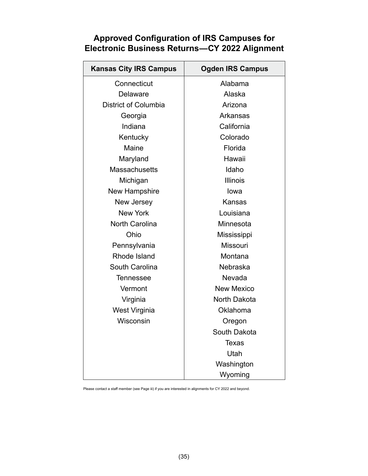## <span id="page-39-0"></span>**Approved Configuration of IRS Campuses for Electronic Business Returns—CY 2022 Alignment**

| <b>Kansas City IRS Campus</b> | <b>Ogden IRS Campus</b> |  |
|-------------------------------|-------------------------|--|
| Connecticut                   | Alabama                 |  |
| <b>Delaware</b>               | Alaska                  |  |
| <b>District of Columbia</b>   | Arizona                 |  |
| Georgia                       | Arkansas                |  |
| Indiana                       | California              |  |
| Kentucky                      | Colorado                |  |
| Maine                         | Florida                 |  |
| Maryland                      | Hawaii                  |  |
| <b>Massachusetts</b>          | Idaho                   |  |
| Michigan                      | <b>Illinois</b>         |  |
| <b>New Hampshire</b>          | lowa                    |  |
| New Jersey                    | Kansas                  |  |
| <b>New York</b>               | Louisiana               |  |
| North Carolina                | Minnesota               |  |
| Ohio                          | Mississippi             |  |
| Pennsylvania                  | <b>Missouri</b>         |  |
| Rhode Island                  | Montana                 |  |
| <b>South Carolina</b>         | Nebraska                |  |
| <b>Tennessee</b>              | Nevada                  |  |
| Vermont                       | <b>New Mexico</b>       |  |
| Virginia                      | North Dakota            |  |
| West Virginia                 | Oklahoma                |  |
| Wisconsin                     | Oregon                  |  |
|                               | South Dakota            |  |
|                               | <b>Texas</b>            |  |
|                               | Utah                    |  |
|                               | Washington              |  |
|                               | Wyoming                 |  |

Please contact a staff member (see Page iii) if you are interested in alignments for CY 2022 and beyond.